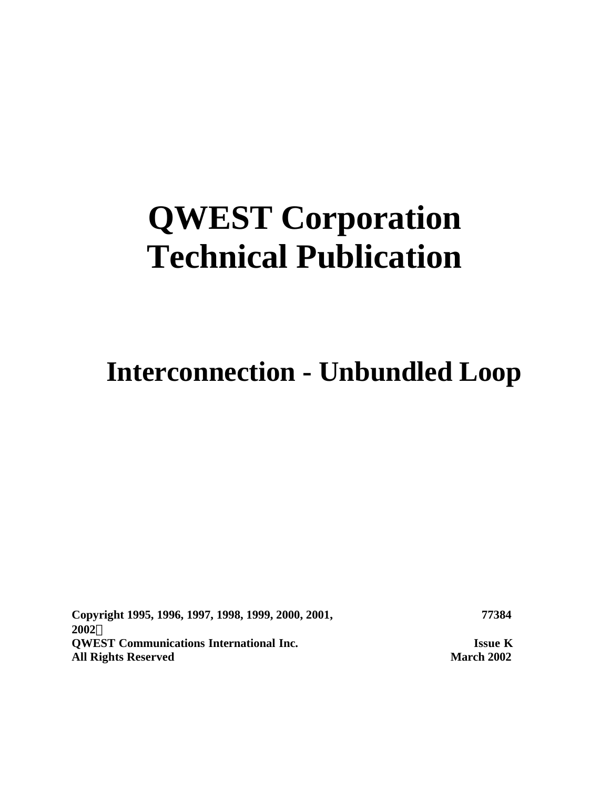# **QWEST Corporation Technical Publication**

# **Interconnection - Unbundled Loop**

**Copyright 1995, 1996, 1997, 1998, 1999, 2000, 2001, 2002Ó QWEST Communications International Inc. Issue K All Rights Reserved March 2002**

**77384**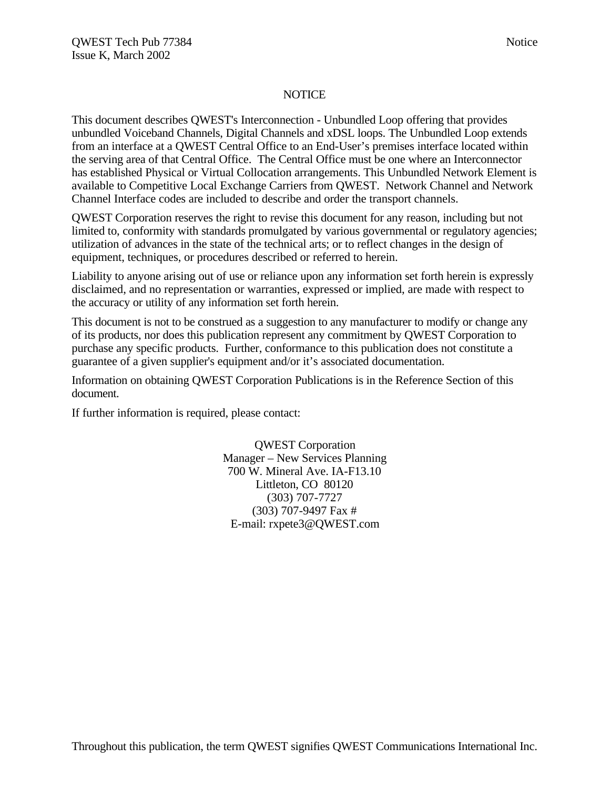#### **NOTICE**

This document describes QWEST's Interconnection - Unbundled Loop offering that provides unbundled Voiceband Channels, Digital Channels and xDSL loops. The Unbundled Loop extends from an interface at a QWEST Central Office to an End-User's premises interface located within the serving area of that Central Office. The Central Office must be one where an Interconnector has established Physical or Virtual Collocation arrangements. This Unbundled Network Element is available to Competitive Local Exchange Carriers from QWEST. Network Channel and Network Channel Interface codes are included to describe and order the transport channels.

QWEST Corporation reserves the right to revise this document for any reason, including but not limited to, conformity with standards promulgated by various governmental or regulatory agencies; utilization of advances in the state of the technical arts; or to reflect changes in the design of equipment, techniques, or procedures described or referred to herein.

Liability to anyone arising out of use or reliance upon any information set forth herein is expressly disclaimed, and no representation or warranties, expressed or implied, are made with respect to the accuracy or utility of any information set forth herein.

This document is not to be construed as a suggestion to any manufacturer to modify or change any of its products, nor does this publication represent any commitment by QWEST Corporation to purchase any specific products. Further, conformance to this publication does not constitute a guarantee of a given supplier's equipment and/or it's associated documentation.

Information on obtaining QWEST Corporation Publications is in the Reference Section of this document.

If further information is required, please contact:

QWEST Corporation Manager – New Services Planning 700 W. Mineral Ave. IA-F13.10 Littleton, CO 80120 (303) 707-7727 (303) 707-9497 Fax # E-mail: rxpete3@QWEST.com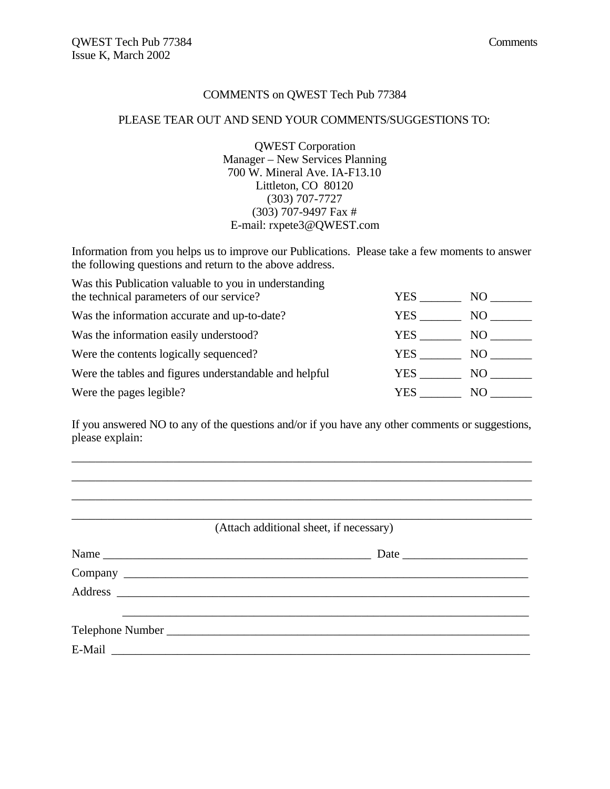#### COMMENTS on QWEST Tech Pub 77384

#### PLEASE TEAR OUT AND SEND YOUR COMMENTS/SUGGESTIONS TO:

QWEST Corporation Manager – New Services Planning 700 W. Mineral Ave. IA-F13.10 Littleton, CO 80120 (303) 707-7727 (303) 707-9497 Fax # E-mail: rxpete3@QWEST.com

Information from you helps us to improve our Publications. Please take a few moments to answer the following questions and return to the above address.

| Was this Publication valuable to you in understanding  |            |      |
|--------------------------------------------------------|------------|------|
| the technical parameters of our service?               | YES        | NO.  |
| Was the information accurate and up-to-date?           | YES.       | NO.  |
| Was the information easily understood?                 | YES        | NO - |
| Were the contents logically sequenced?                 | <b>YES</b> | NO - |
| Were the tables and figures understandable and helpful | YES.       | NO - |
| Were the pages legible?                                | YES        | NO.  |

If you answered NO to any of the questions and/or if you have any other comments or suggestions, please explain:

\_\_\_\_\_\_\_\_\_\_\_\_\_\_\_\_\_\_\_\_\_\_\_\_\_\_\_\_\_\_\_\_\_\_\_\_\_\_\_\_\_\_\_\_\_\_\_\_\_\_\_\_\_\_\_\_\_\_\_\_\_\_\_\_\_\_\_\_\_\_\_\_\_\_\_\_\_ \_\_\_\_\_\_\_\_\_\_\_\_\_\_\_\_\_\_\_\_\_\_\_\_\_\_\_\_\_\_\_\_\_\_\_\_\_\_\_\_\_\_\_\_\_\_\_\_\_\_\_\_\_\_\_\_\_\_\_\_\_\_\_\_\_\_\_\_\_\_\_\_\_\_\_\_\_ \_\_\_\_\_\_\_\_\_\_\_\_\_\_\_\_\_\_\_\_\_\_\_\_\_\_\_\_\_\_\_\_\_\_\_\_\_\_\_\_\_\_\_\_\_\_\_\_\_\_\_\_\_\_\_\_\_\_\_\_\_\_\_\_\_\_\_\_\_\_\_\_\_\_\_\_\_

\_\_\_\_\_\_\_\_\_\_\_\_\_\_\_\_\_\_\_\_\_\_\_\_\_\_\_\_\_\_\_\_\_\_\_\_\_\_\_\_\_\_\_\_\_\_\_\_\_\_\_\_\_\_\_\_\_\_\_\_\_\_\_\_\_\_\_\_\_\_\_\_\_\_\_\_\_ (Attach additional sheet, if necessary)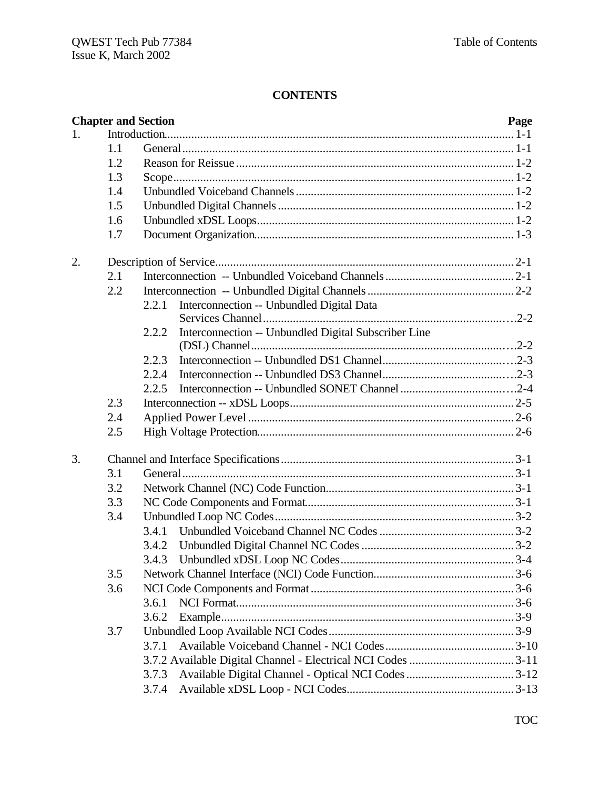# **CONTENTS**

| <b>Chapter and Section</b>                                    | Page |
|---------------------------------------------------------------|------|
| 1.                                                            |      |
| 1.1                                                           |      |
| 1.2                                                           |      |
| 1.3                                                           |      |
| 1.4                                                           |      |
| 1.5                                                           |      |
| 1.6                                                           |      |
| 1.7                                                           |      |
| 2.                                                            |      |
| 2.1                                                           |      |
| 2.2                                                           |      |
| Interconnection -- Unbundled Digital Data<br>2.2.1            |      |
| 2.2.2<br>Interconnection -- Unbundled Digital Subscriber Line |      |
|                                                               |      |
| 2.2.3                                                         |      |
| 2.2.4                                                         |      |
| 2.2.5                                                         |      |
| 2.3                                                           |      |
| 2.4                                                           |      |
| 2.5                                                           |      |
| 3.                                                            |      |
| 3.1                                                           |      |
| 3.2                                                           |      |
| 3.3                                                           |      |
| 3.4                                                           |      |
| 3.4.1                                                         |      |
| 3.4.2                                                         |      |
|                                                               |      |
| 3.5                                                           |      |
| 3.6                                                           |      |
| 3.6.1                                                         |      |
| 3.6.2                                                         |      |
| 3.7                                                           |      |
| 3.7.1                                                         |      |
|                                                               |      |
| 3.7.3                                                         |      |
| 3.7.4                                                         |      |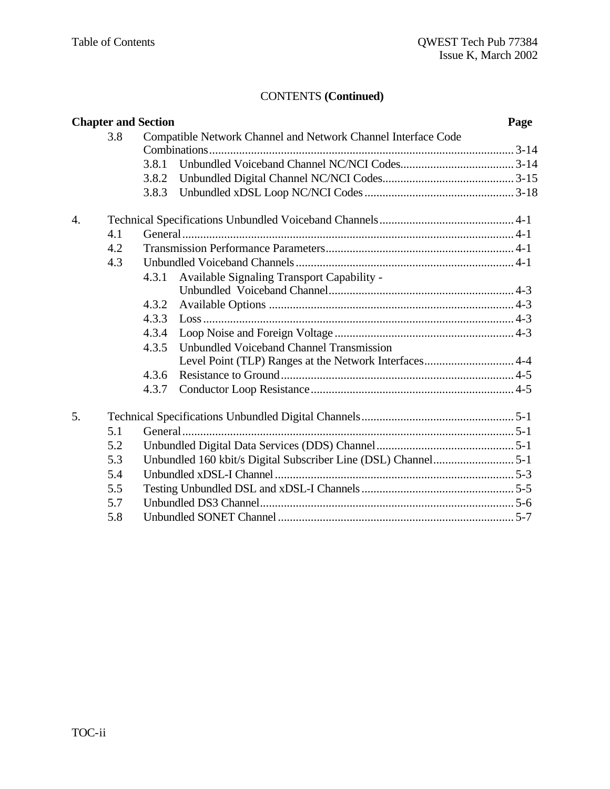| <b>Chapter and Section</b> |     |       | Page                                                          |  |
|----------------------------|-----|-------|---------------------------------------------------------------|--|
|                            | 3.8 |       | Compatible Network Channel and Network Channel Interface Code |  |
|                            |     |       |                                                               |  |
|                            |     | 3.8.1 |                                                               |  |
|                            |     | 3.8.2 |                                                               |  |
|                            |     | 3.8.3 |                                                               |  |
| $\overline{4}$ .           |     |       |                                                               |  |
|                            | 4.1 |       |                                                               |  |
|                            | 4.2 |       |                                                               |  |
|                            | 4.3 |       |                                                               |  |
|                            |     | 4.3.1 | Available Signaling Transport Capability -                    |  |
|                            |     |       |                                                               |  |
|                            |     | 4.3.2 |                                                               |  |
|                            |     | 4.3.3 |                                                               |  |
|                            |     | 4.3.4 |                                                               |  |
|                            |     | 4.3.5 | Unbundled Voiceband Channel Transmission                      |  |
|                            |     |       | Level Point (TLP) Ranges at the Network Interfaces 4-4        |  |
|                            |     | 4.3.6 |                                                               |  |
|                            |     | 4.3.7 |                                                               |  |
| 5.                         |     |       |                                                               |  |
|                            | 5.1 |       |                                                               |  |
|                            | 5.2 |       |                                                               |  |
|                            | 5.3 |       |                                                               |  |
|                            | 5.4 |       |                                                               |  |
|                            | 5.5 |       |                                                               |  |
|                            | 5.7 |       |                                                               |  |
|                            | 5.8 |       |                                                               |  |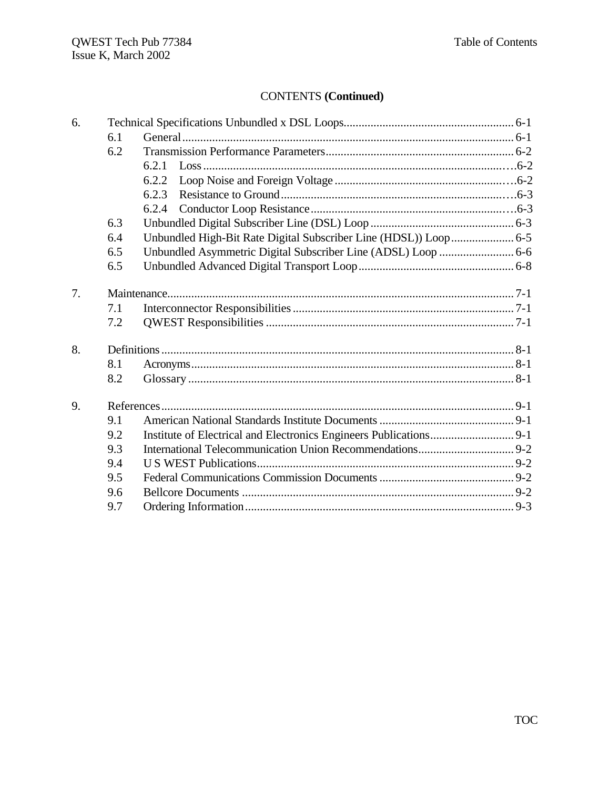| 6. |     |                                                                  |  |
|----|-----|------------------------------------------------------------------|--|
|    | 6.1 |                                                                  |  |
|    | 6.2 |                                                                  |  |
|    |     | 6.2.1                                                            |  |
|    |     | 6.2.2                                                            |  |
|    |     | 6.2.3                                                            |  |
|    |     | 6.2.4                                                            |  |
|    | 6.3 |                                                                  |  |
|    | 6.4 | Unbundled High-Bit Rate Digital Subscriber Line (HDSL)) Loop 6-5 |  |
|    | 6.5 | Unbundled Asymmetric Digital Subscriber Line (ADSL) Loop  6-6    |  |
|    | 6.5 |                                                                  |  |
| 7. |     |                                                                  |  |
|    | 7.1 |                                                                  |  |
|    | 7.2 |                                                                  |  |
| 8. |     |                                                                  |  |
|    | 8.1 |                                                                  |  |
|    | 8.2 |                                                                  |  |
| 9. |     |                                                                  |  |
|    | 9.1 |                                                                  |  |
|    | 9.2 |                                                                  |  |
|    | 9.3 |                                                                  |  |
|    | 9.4 |                                                                  |  |
|    | 9.5 |                                                                  |  |
|    | 9.6 |                                                                  |  |
|    | 9.7 |                                                                  |  |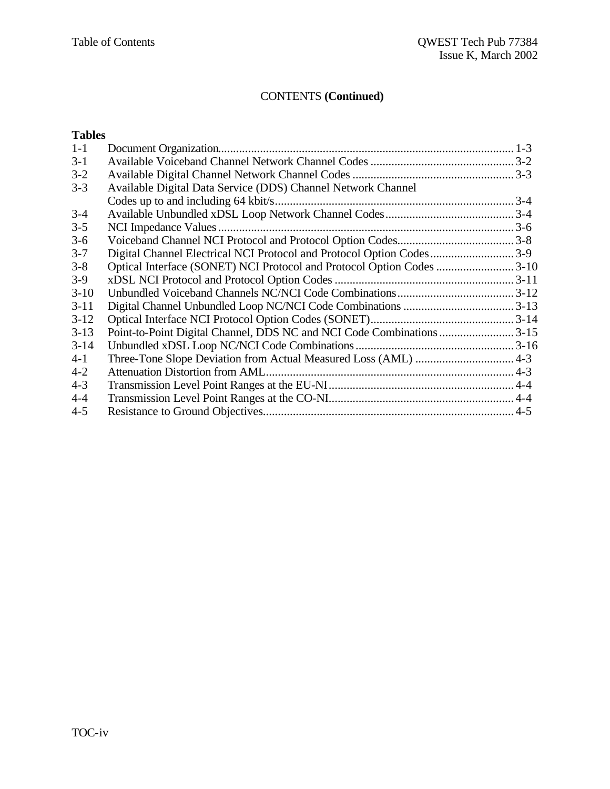# **Tables**

| $1-1$    |                                                                       |  |
|----------|-----------------------------------------------------------------------|--|
| $3-1$    |                                                                       |  |
| $3 - 2$  |                                                                       |  |
| $3 - 3$  | Available Digital Data Service (DDS) Channel Network Channel          |  |
|          |                                                                       |  |
| $3-4$    |                                                                       |  |
| $3 - 5$  |                                                                       |  |
| $3-6$    |                                                                       |  |
| $3 - 7$  | Digital Channel Electrical NCI Protocol and Protocol Option Codes3-9  |  |
| $3 - 8$  | Optical Interface (SONET) NCI Protocol and Protocol Option Codes 3-10 |  |
| $3-9$    |                                                                       |  |
| $3-10$   |                                                                       |  |
| $3 - 11$ |                                                                       |  |
| $3 - 12$ |                                                                       |  |
| $3-13$   |                                                                       |  |
| $3 - 14$ |                                                                       |  |
| $4 - 1$  |                                                                       |  |
| $4 - 2$  |                                                                       |  |
| $4 - 3$  |                                                                       |  |
| $4 - 4$  |                                                                       |  |
| $4 - 5$  |                                                                       |  |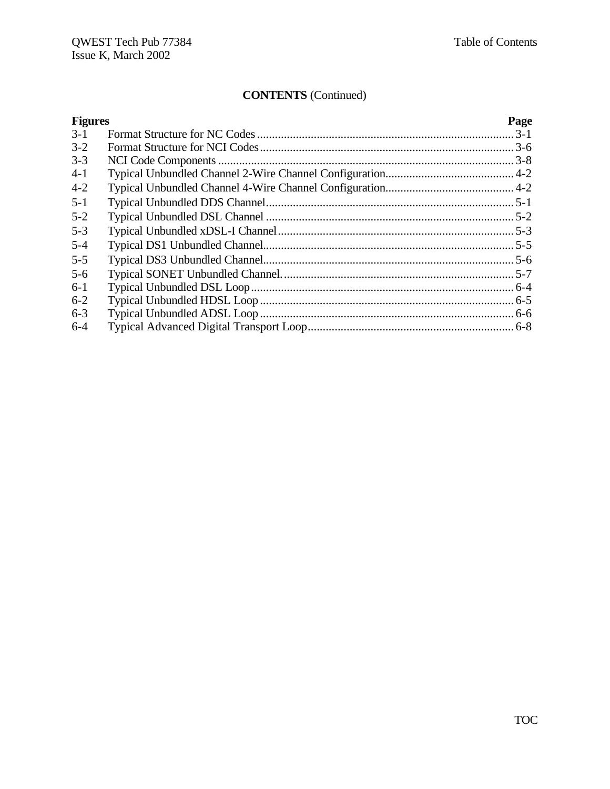| <b>Figures</b> | Page |
|----------------|------|
| $3-1$          |      |
| $3 - 2$        |      |
| $3 - 3$        |      |
| $4-1$          |      |
| $4 - 2$        |      |
| $5 - 1$        |      |
| $5 - 2$        |      |
| $5 - 3$        |      |
| $5 - 4$        |      |
| $5 - 5$        |      |
| $5 - 6$        |      |
| $6-1$          |      |
| $6 - 2$        |      |
| $6 - 3$        |      |
| $6 - 4$        |      |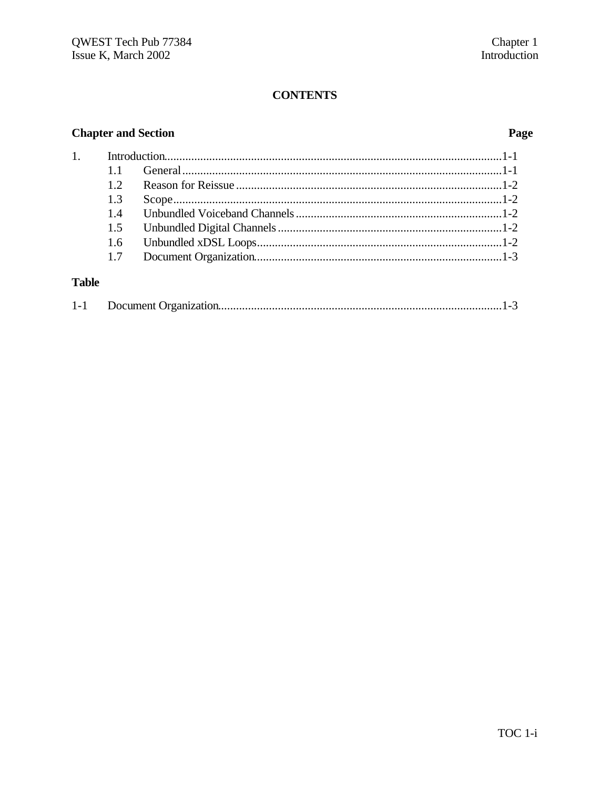# **CONTENTS**

# **Chapter and Section**

# Page

| 1.           |     |  |
|--------------|-----|--|
|              |     |  |
|              | 12  |  |
|              | 1.3 |  |
|              | 1.4 |  |
|              | 1.5 |  |
|              | 1.6 |  |
|              | 1.7 |  |
| <b>Table</b> |     |  |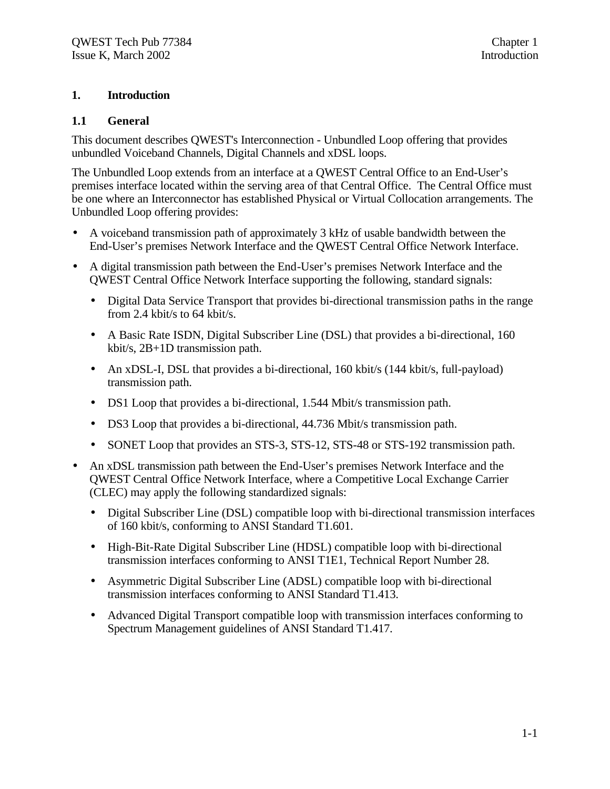#### **1. Introduction**

#### **1.1 General**

This document describes QWEST's Interconnection - Unbundled Loop offering that provides unbundled Voiceband Channels, Digital Channels and xDSL loops.

The Unbundled Loop extends from an interface at a QWEST Central Office to an End-User's premises interface located within the serving area of that Central Office. The Central Office must be one where an Interconnector has established Physical or Virtual Collocation arrangements. The Unbundled Loop offering provides:

- A voiceband transmission path of approximately 3 kHz of usable bandwidth between the End-User's premises Network Interface and the QWEST Central Office Network Interface.
- A digital transmission path between the End-User's premises Network Interface and the QWEST Central Office Network Interface supporting the following, standard signals:
	- Digital Data Service Transport that provides bi-directional transmission paths in the range from 2.4 kbit/s to 64 kbit/s.
	- A Basic Rate ISDN, Digital Subscriber Line (DSL) that provides a bi-directional, 160 kbit/s, 2B+1D transmission path.
	- An xDSL-I, DSL that provides a bi-directional, 160 kbit/s (144 kbit/s, full-payload) transmission path.
	- DS1 Loop that provides a bi-directional, 1.544 Mbit/s transmission path.
	- DS3 Loop that provides a bi-directional, 44.736 Mbit/s transmission path.
	- SONET Loop that provides an STS-3, STS-12, STS-48 or STS-192 transmission path.
- An xDSL transmission path between the End-User's premises Network Interface and the QWEST Central Office Network Interface, where a Competitive Local Exchange Carrier (CLEC) may apply the following standardized signals:
	- Digital Subscriber Line (DSL) compatible loop with bi-directional transmission interfaces of 160 kbit/s, conforming to ANSI Standard T1.601.
	- High-Bit-Rate Digital Subscriber Line (HDSL) compatible loop with bi-directional transmission interfaces conforming to ANSI T1E1, Technical Report Number 28.
	- Asymmetric Digital Subscriber Line (ADSL) compatible loop with bi-directional transmission interfaces conforming to ANSI Standard T1.413.
	- Advanced Digital Transport compatible loop with transmission interfaces conforming to Spectrum Management guidelines of ANSI Standard T1.417.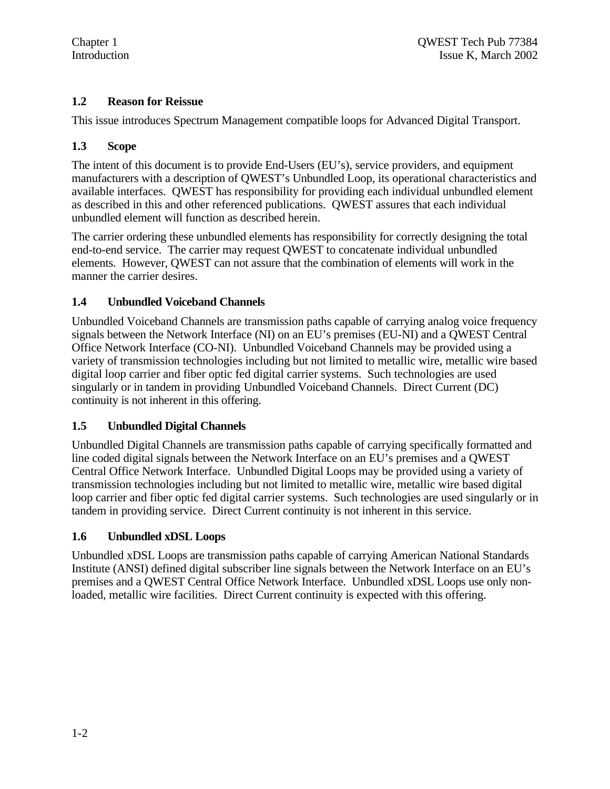# **1.2 Reason for Reissue**

This issue introduces Spectrum Management compatible loops for Advanced Digital Transport.

# **1.3 Scope**

The intent of this document is to provide End-Users (EU's), service providers, and equipment manufacturers with a description of QWEST's Unbundled Loop, its operational characteristics and available interfaces. QWEST has responsibility for providing each individual unbundled element as described in this and other referenced publications. QWEST assures that each individual unbundled element will function as described herein.

The carrier ordering these unbundled elements has responsibility for correctly designing the total end-to-end service. The carrier may request QWEST to concatenate individual unbundled elements. However, QWEST can not assure that the combination of elements will work in the manner the carrier desires.

# **1.4 Unbundled Voiceband Channels**

Unbundled Voiceband Channels are transmission paths capable of carrying analog voice frequency signals between the Network Interface (NI) on an EU's premises (EU-NI) and a QWEST Central Office Network Interface (CO-NI). Unbundled Voiceband Channels may be provided using a variety of transmission technologies including but not limited to metallic wire, metallic wire based digital loop carrier and fiber optic fed digital carrier systems. Such technologies are used singularly or in tandem in providing Unbundled Voiceband Channels. Direct Current (DC) continuity is not inherent in this offering.

# **1.5 Unbundled Digital Channels**

Unbundled Digital Channels are transmission paths capable of carrying specifically formatted and line coded digital signals between the Network Interface on an EU's premises and a QWEST Central Office Network Interface. Unbundled Digital Loops may be provided using a variety of transmission technologies including but not limited to metallic wire, metallic wire based digital loop carrier and fiber optic fed digital carrier systems. Such technologies are used singularly or in tandem in providing service. Direct Current continuity is not inherent in this service.

# **1.6 Unbundled xDSL Loops**

Unbundled xDSL Loops are transmission paths capable of carrying American National Standards Institute (ANSI) defined digital subscriber line signals between the Network Interface on an EU's premises and a QWEST Central Office Network Interface. Unbundled xDSL Loops use only nonloaded, metallic wire facilities. Direct Current continuity is expected with this offering.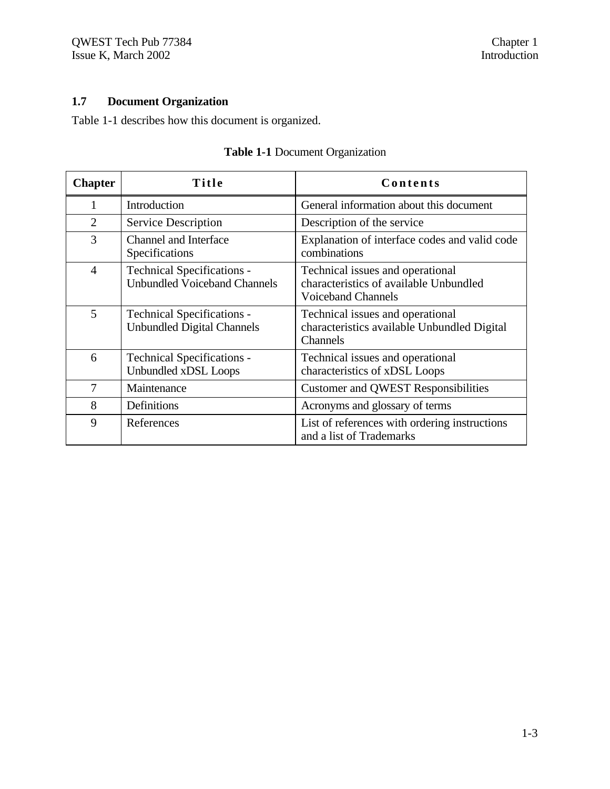# **1.7 Document Organization**

Table 1-1 describes how this document is organized.

| <b>Chapter</b> | Title                                                                    | Contents                                                                                                |
|----------------|--------------------------------------------------------------------------|---------------------------------------------------------------------------------------------------------|
| 1              | Introduction                                                             | General information about this document                                                                 |
| 2              | Service Description                                                      | Description of the service                                                                              |
| 3              | <b>Channel and Interface</b><br>Specifications                           | Explanation of interface codes and valid code<br>combinations                                           |
| $\overline{4}$ | <b>Technical Specifications -</b><br><b>Unbundled Voiceband Channels</b> | Technical issues and operational<br>characteristics of available Unbundled<br><b>Voiceband Channels</b> |
| 5              | <b>Technical Specifications -</b><br><b>Unbundled Digital Channels</b>   | Technical issues and operational<br>characteristics available Unbundled Digital<br>Channels             |
| 6              | <b>Technical Specifications -</b><br>Unbundled xDSL Loops                | Technical issues and operational<br>characteristics of xDSL Loops                                       |
| 7              | Maintenance                                                              | <b>Customer and QWEST Responsibilities</b>                                                              |
| 8              | Definitions                                                              | Acronyms and glossary of terms                                                                          |
| 9              | References                                                               | List of references with ordering instructions<br>and a list of Trademarks                               |

# **Table 1-1** Document Organization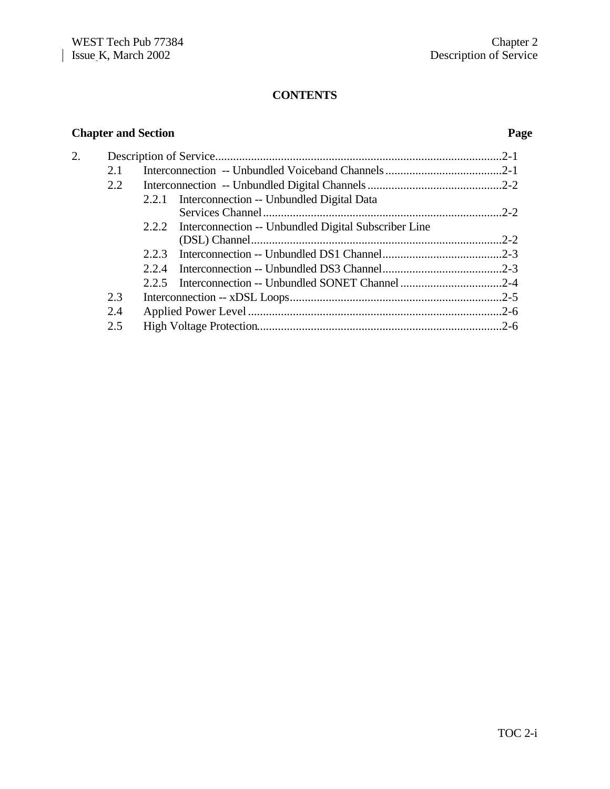# **CONTENTS**

# **Chapter and Section Page**

| 2. |     |                                                            | $2 - 1$ |
|----|-----|------------------------------------------------------------|---------|
|    | 2.1 |                                                            |         |
|    | 2.2 |                                                            |         |
|    |     | 2.2.1 Interconnection -- Unbundled Digital Data            |         |
|    |     |                                                            |         |
|    |     | 2.2.2 Interconnection -- Unbundled Digital Subscriber Line |         |
|    |     |                                                            |         |
|    |     |                                                            |         |
|    |     |                                                            |         |
|    |     |                                                            |         |
|    | 2.3 |                                                            |         |
|    | 2.4 |                                                            |         |
|    | 2.5 |                                                            |         |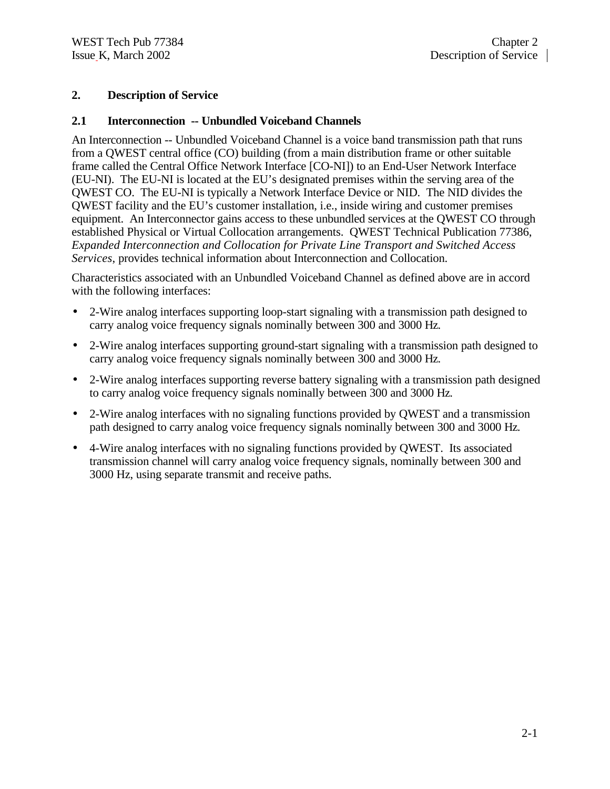#### **2. Description of Service**

#### **2.1 Interconnection -- Unbundled Voiceband Channels**

An Interconnection -- Unbundled Voiceband Channel is a voice band transmission path that runs from a QWEST central office (CO) building (from a main distribution frame or other suitable frame called the Central Office Network Interface [CO-NI]) to an End-User Network Interface (EU-NI). The EU-NI is located at the EU's designated premises within the serving area of the QWEST CO. The EU-NI is typically a Network Interface Device or NID. The NID divides the QWEST facility and the EU's customer installation, i.e., inside wiring and customer premises equipment. An Interconnector gains access to these unbundled services at the QWEST CO through established Physical or Virtual Collocation arrangements. QWEST Technical Publication 77386, *Expanded Interconnection and Collocation for Private Line Transport and Switched Access Services*, provides technical information about Interconnection and Collocation.

Characteristics associated with an Unbundled Voiceband Channel as defined above are in accord with the following interfaces:

- 2-Wire analog interfaces supporting loop-start signaling with a transmission path designed to carry analog voice frequency signals nominally between 300 and 3000 Hz.
- 2-Wire analog interfaces supporting ground-start signaling with a transmission path designed to carry analog voice frequency signals nominally between 300 and 3000 Hz.
- 2-Wire analog interfaces supporting reverse battery signaling with a transmission path designed to carry analog voice frequency signals nominally between 300 and 3000 Hz.
- 2-Wire analog interfaces with no signaling functions provided by QWEST and a transmission path designed to carry analog voice frequency signals nominally between 300 and 3000 Hz.
- 4-Wire analog interfaces with no signaling functions provided by QWEST. Its associated transmission channel will carry analog voice frequency signals, nominally between 300 and 3000 Hz, using separate transmit and receive paths.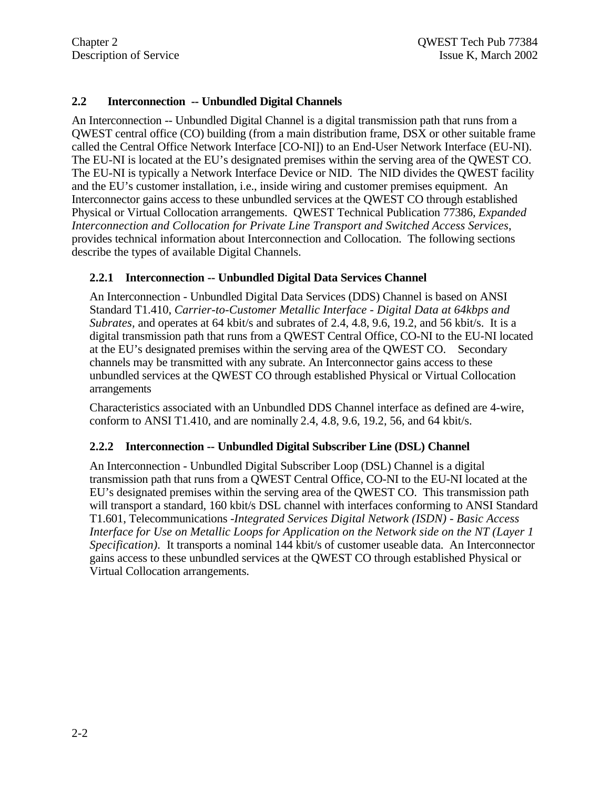# **2.2 Interconnection -- Unbundled Digital Channels**

An Interconnection -- Unbundled Digital Channel is a digital transmission path that runs from a QWEST central office (CO) building (from a main distribution frame, DSX or other suitable frame called the Central Office Network Interface [CO-NI]) to an End-User Network Interface (EU-NI). The EU-NI is located at the EU's designated premises within the serving area of the QWEST CO. The EU-NI is typically a Network Interface Device or NID. The NID divides the QWEST facility and the EU's customer installation, i.e., inside wiring and customer premises equipment. An Interconnector gains access to these unbundled services at the QWEST CO through established Physical or Virtual Collocation arrangements. QWEST Technical Publication 77386, *Expanded Interconnection and Collocation for Private Line Transport and Switched Access Services*, provides technical information about Interconnection and Collocation. The following sections describe the types of available Digital Channels.

#### **2.2.1 Interconnection -- Unbundled Digital Data Services Channel**

An Interconnection - Unbundled Digital Data Services (DDS) Channel is based on ANSI Standard T1.410, *Carrier-to-Customer Metallic Interface - Digital Data at 64kbps and Subrates,* and operates at 64 kbit/s and subrates of 2.4, 4.8, 9.6, 19.2, and 56 kbit/s. It is a digital transmission path that runs from a QWEST Central Office, CO-NI to the EU-NI located at the EU's designated premises within the serving area of the QWEST CO. Secondary channels may be transmitted with any subrate. An Interconnector gains access to these unbundled services at the QWEST CO through established Physical or Virtual Collocation arrangements

Characteristics associated with an Unbundled DDS Channel interface as defined are 4-wire, conform to ANSI T1.410, and are nominally  $2.4$ ,  $4.8$ ,  $9.6$ ,  $19.2$ ,  $56$ , and  $64$  kbit/s.

#### **2.2.2 Interconnection -- Unbundled Digital Subscriber Line (DSL) Channel**

An Interconnection - Unbundled Digital Subscriber Loop (DSL) Channel is a digital transmission path that runs from a QWEST Central Office, CO-NI to the EU-NI located at the EU's designated premises within the serving area of the QWEST CO. This transmission path will transport a standard, 160 kbit/s DSL channel with interfaces conforming to ANSI Standard T1.601, Telecommunications -*Integrated Services Digital Network (ISDN) - Basic Access Interface for Use on Metallic Loops for Application on the Network side on the NT (Layer 1 Specification).* It transports a nominal 144 kbit/s of customer useable data. An Interconnector gains access to these unbundled services at the QWEST CO through established Physical or Virtual Collocation arrangements.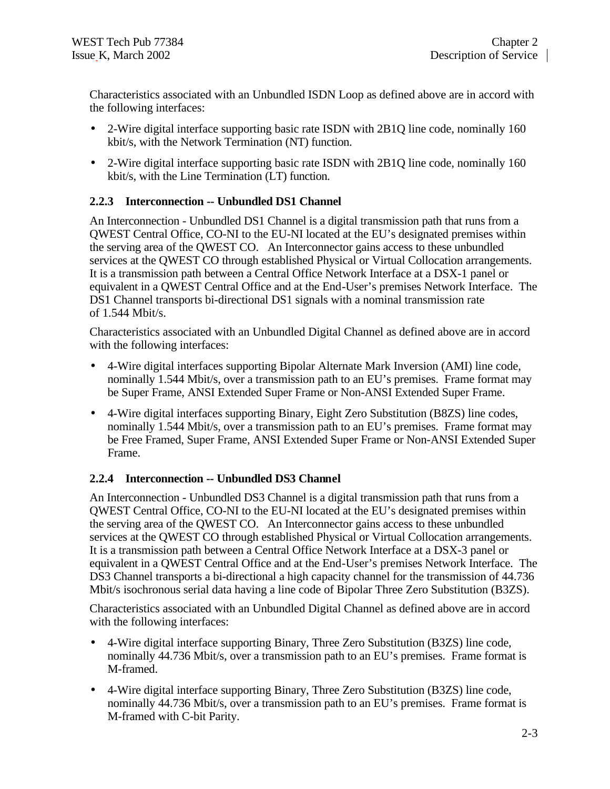Characteristics associated with an Unbundled ISDN Loop as defined above are in accord with the following interfaces:

- 2-Wire digital interface supporting basic rate ISDN with 2B1Q line code, nominally 160 kbit/s, with the Network Termination (NT) function.
- 2-Wire digital interface supporting basic rate ISDN with 2B1Q line code, nominally 160 kbit/s, with the Line Termination (LT) function.

# **2.2.3 Interconnection -- Unbundled DS1 Channel**

An Interconnection - Unbundled DS1 Channel is a digital transmission path that runs from a QWEST Central Office, CO-NI to the EU-NI located at the EU's designated premises within the serving area of the QWEST CO. An Interconnector gains access to these unbundled services at the QWEST CO through established Physical or Virtual Collocation arrangements. It is a transmission path between a Central Office Network Interface at a DSX-1 panel or equivalent in a QWEST Central Office and at the End-User's premises Network Interface. The DS1 Channel transports bi-directional DS1 signals with a nominal transmission rate of 1.544 Mbit/s.

Characteristics associated with an Unbundled Digital Channel as defined above are in accord with the following interfaces:

- 4-Wire digital interfaces supporting Bipolar Alternate Mark Inversion (AMI) line code, nominally 1.544 Mbit/s, over a transmission path to an EU's premises. Frame format may be Super Frame, ANSI Extended Super Frame or Non-ANSI Extended Super Frame.
- 4-Wire digital interfaces supporting Binary, Eight Zero Substitution (B8ZS) line codes, nominally 1.544 Mbit/s, over a transmission path to an EU's premises. Frame format may be Free Framed, Super Frame, ANSI Extended Super Frame or Non-ANSI Extended Super Frame.

# **2.2.4 Interconnection -- Unbundled DS3 Channel**

An Interconnection - Unbundled DS3 Channel is a digital transmission path that runs from a QWEST Central Office, CO-NI to the EU-NI located at the EU's designated premises within the serving area of the QWEST CO. An Interconnector gains access to these unbundled services at the QWEST CO through established Physical or Virtual Collocation arrangements. It is a transmission path between a Central Office Network Interface at a DSX-3 panel or equivalent in a QWEST Central Office and at the End-User's premises Network Interface. The DS3 Channel transports a bi-directional a high capacity channel for the transmission of 44.736 Mbit/s isochronous serial data having a line code of Bipolar Three Zero Substitution (B3ZS).

Characteristics associated with an Unbundled Digital Channel as defined above are in accord with the following interfaces:

- 4-Wire digital interface supporting Binary, Three Zero Substitution (B3ZS) line code, nominally 44.736 Mbit/s, over a transmission path to an EU's premises. Frame format is M-framed.
- 4-Wire digital interface supporting Binary, Three Zero Substitution (B3ZS) line code, nominally 44.736 Mbit/s, over a transmission path to an EU's premises. Frame format is M-framed with C-bit Parity.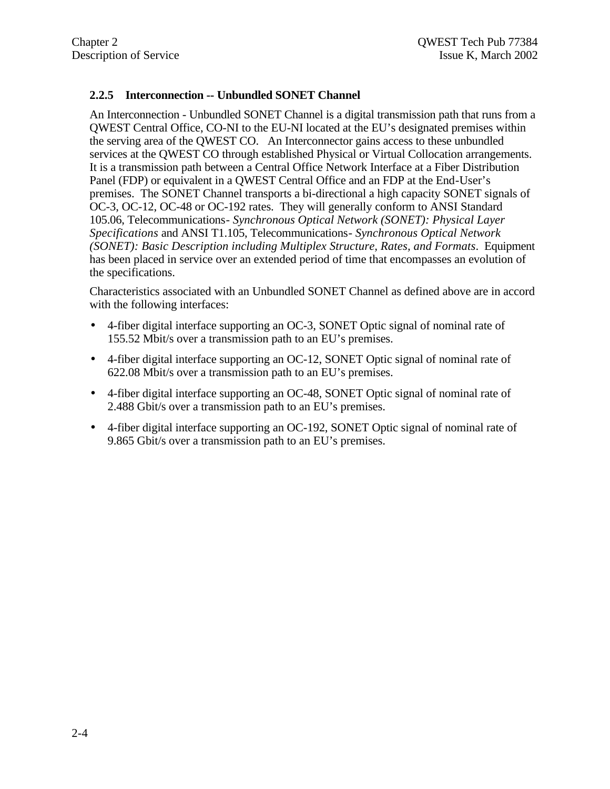# **2.2.5 Interconnection -- Unbundled SONET Channel**

An Interconnection - Unbundled SONET Channel is a digital transmission path that runs from a QWEST Central Office, CO-NI to the EU-NI located at the EU's designated premises within the serving area of the QWEST CO. An Interconnector gains access to these unbundled services at the QWEST CO through established Physical or Virtual Collocation arrangements. It is a transmission path between a Central Office Network Interface at a Fiber Distribution Panel (FDP) or equivalent in a QWEST Central Office and an FDP at the End-User's premises. The SONET Channel transports a bi-directional a high capacity SONET signals of OC-3, OC-12, OC-48 or OC-192 rates. They will generally conform to ANSI Standard 105.06, Telecommunications*- Synchronous Optical Network (SONET): Physical Layer Specifications* and ANSI T1.105, Telecommunications*- Synchronous Optical Network (SONET): Basic Description including Multiplex Structure, Rates, and Formats*. Equipment has been placed in service over an extended period of time that encompasses an evolution of the specifications.

Characteristics associated with an Unbundled SONET Channel as defined above are in accord with the following interfaces:

- 4-fiber digital interface supporting an OC-3, SONET Optic signal of nominal rate of 155.52 Mbit/s over a transmission path to an EU's premises.
- 4-fiber digital interface supporting an OC-12, SONET Optic signal of nominal rate of 622.08 Mbit/s over a transmission path to an EU's premises.
- 4-fiber digital interface supporting an OC-48, SONET Optic signal of nominal rate of 2.488 Gbit/s over a transmission path to an EU's premises.
- 4-fiber digital interface supporting an OC-192, SONET Optic signal of nominal rate of 9.865 Gbit/s over a transmission path to an EU's premises.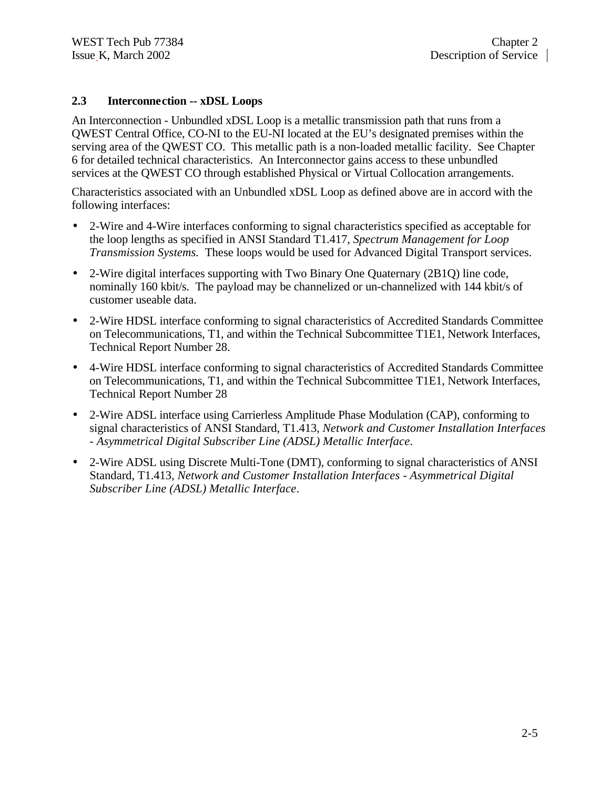#### **2.3 Interconnection -- xDSL Loops**

An Interconnection - Unbundled xDSL Loop is a metallic transmission path that runs from a QWEST Central Office, CO-NI to the EU-NI located at the EU's designated premises within the serving area of the QWEST CO. This metallic path is a non-loaded metallic facility. See Chapter 6 for detailed technical characteristics. An Interconnector gains access to these unbundled services at the QWEST CO through established Physical or Virtual Collocation arrangements.

Characteristics associated with an Unbundled xDSL Loop as defined above are in accord with the following interfaces:

- 2-Wire and 4-Wire interfaces conforming to signal characteristics specified as acceptable for the loop lengths as specified in ANSI Standard T1.417, *Spectrum Management for Loop Transmission Systems.* These loops would be used for Advanced Digital Transport services.
- 2-Wire digital interfaces supporting with Two Binary One Quaternary (2B1Q) line code, nominally 160 kbit/s. The payload may be channelized or un-channelized with 144 kbit/s of customer useable data.
- 2-Wire HDSL interface conforming to signal characteristics of Accredited Standards Committee on Telecommunications, T1, and within the Technical Subcommittee T1E1, Network Interfaces, Technical Report Number 28.
- 4-Wire HDSL interface conforming to signal characteristics of Accredited Standards Committee on Telecommunications, T1, and within the Technical Subcommittee T1E1, Network Interfaces, Technical Report Number 28
- 2-Wire ADSL interface using Carrierless Amplitude Phase Modulation (CAP), conforming to signal characteristics of ANSI Standard, T1.413, *Network and Customer Installation Interfaces - Asymmetrical Digital Subscriber Line (ADSL) Metallic Interface*.
- 2-Wire ADSL using Discrete Multi-Tone (DMT), conforming to signal characteristics of ANSI Standard, T1.413, *Network and Customer Installation Interfaces - Asymmetrical Digital Subscriber Line (ADSL) Metallic Interface*.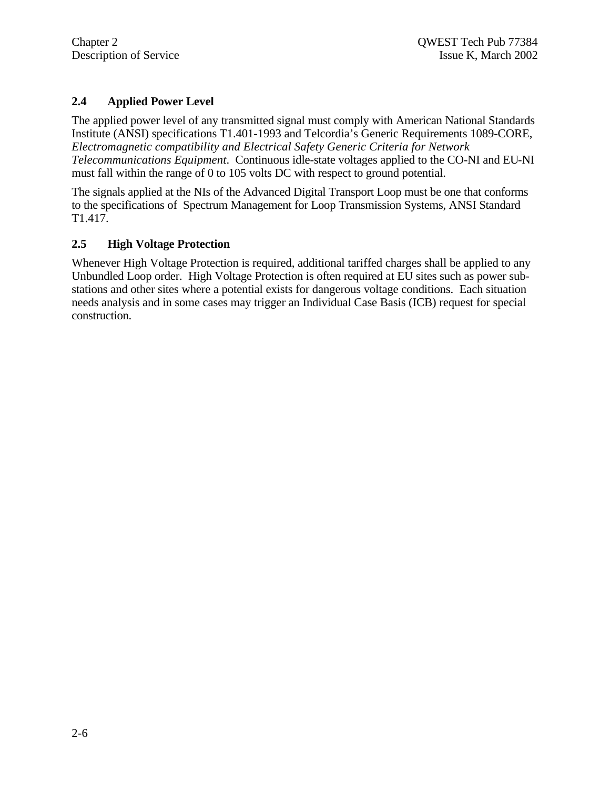# **2.4 Applied Power Level**

The applied power level of any transmitted signal must comply with American National Standards Institute (ANSI) specifications T1.401-1993 and Telcordia's Generic Requirements 1089-CORE, *Electromagnetic compatibility and Electrical Safety Generic Criteria for Network Telecommunications Equipment*. Continuous idle-state voltages applied to the CO-NI and EU-NI must fall within the range of 0 to 105 volts DC with respect to ground potential.

The signals applied at the NIs of the Advanced Digital Transport Loop must be one that conforms to the specifications of Spectrum Management for Loop Transmission Systems, ANSI Standard T1.417.

# **2.5 High Voltage Protection**

Whenever High Voltage Protection is required, additional tariffed charges shall be applied to any Unbundled Loop order. High Voltage Protection is often required at EU sites such as power substations and other sites where a potential exists for dangerous voltage conditions. Each situation needs analysis and in some cases may trigger an Individual Case Basis (ICB) request for special construction.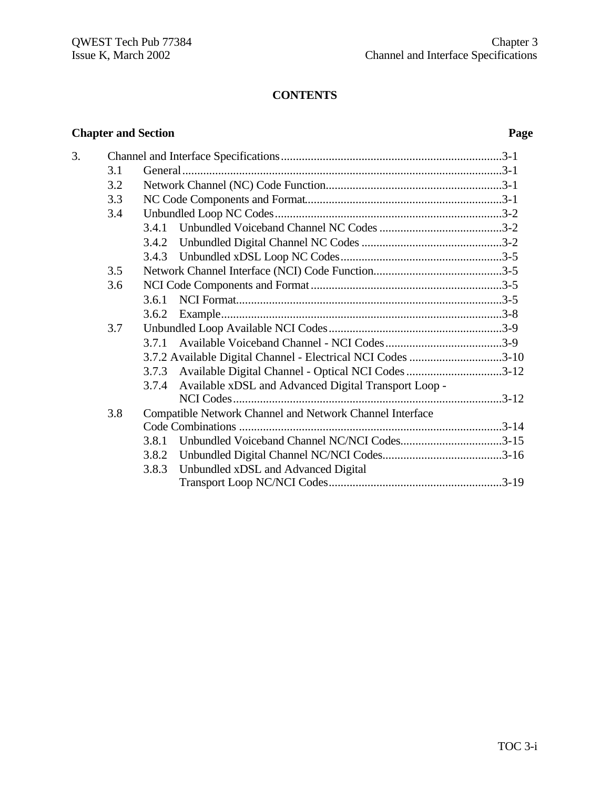# **CONTENTS**

# **Chapter and Section Page**

| 3. |     |                                                             |
|----|-----|-------------------------------------------------------------|
|    | 3.1 |                                                             |
|    | 3.2 |                                                             |
|    | 3.3 |                                                             |
|    | 3.4 |                                                             |
|    |     |                                                             |
|    |     |                                                             |
|    |     |                                                             |
|    | 3.5 |                                                             |
|    | 3.6 |                                                             |
|    |     | 3.6.1                                                       |
|    |     | 3.6.2                                                       |
|    | 3.7 |                                                             |
|    |     | 3.7.1                                                       |
|    |     | 3.7.2 Available Digital Channel - Electrical NCI Codes 3-10 |
|    |     | 3.7.3 Available Digital Channel - Optical NCI Codes 3-12    |
|    |     | 3.7.4 Available xDSL and Advanced Digital Transport Loop -  |
|    |     |                                                             |
|    | 3.8 | Compatible Network Channel and Network Channel Interface    |
|    |     |                                                             |
|    |     | Unbundled Voiceband Channel NC/NCI Codes3-15<br>3.8.1       |
|    |     | 3.8.2                                                       |
|    |     | Unbundled xDSL and Advanced Digital<br>3.8.3                |
|    |     |                                                             |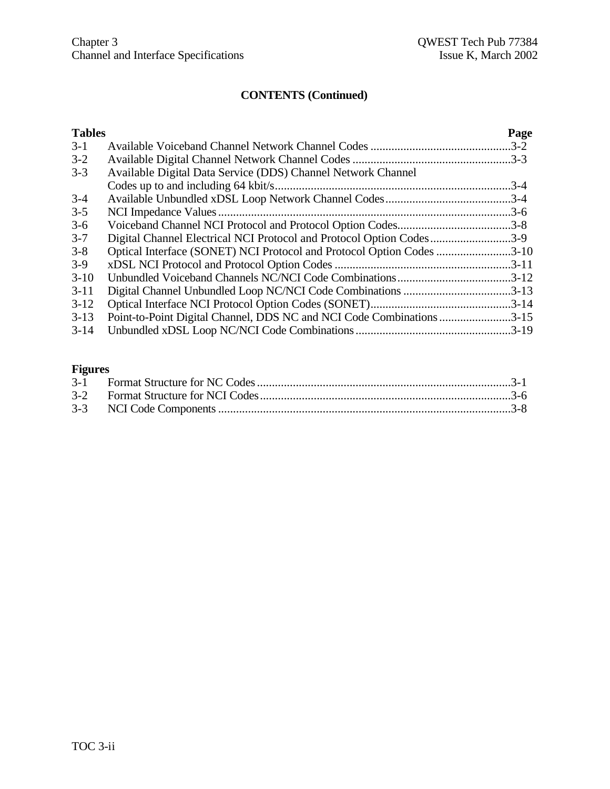| <b>Tables</b> |                                                                       | Page     |
|---------------|-----------------------------------------------------------------------|----------|
| $3-1$         |                                                                       |          |
| $3 - 2$       |                                                                       |          |
| $3 - 3$       | Available Digital Data Service (DDS) Channel Network Channel          |          |
|               |                                                                       | $.3 - 4$ |
| $3-4$         |                                                                       |          |
| $3 - 5$       |                                                                       |          |
| $3-6$         |                                                                       |          |
| $3 - 7$       | Digital Channel Electrical NCI Protocol and Protocol Option Codes3-9  |          |
| $3 - 8$       | Optical Interface (SONET) NCI Protocol and Protocol Option Codes 3-10 |          |
| $3-9$         |                                                                       |          |
| $3-10$        |                                                                       |          |
| $3-11$        | Digital Channel Unbundled Loop NC/NCI Code Combinations 3-13          |          |
| $3-12$        |                                                                       |          |
| $3-13$        | Point-to-Point Digital Channel, DDS NC and NCI Code Combinations 3-15 |          |
| $3-14$        |                                                                       |          |
|               |                                                                       |          |

# **Figures**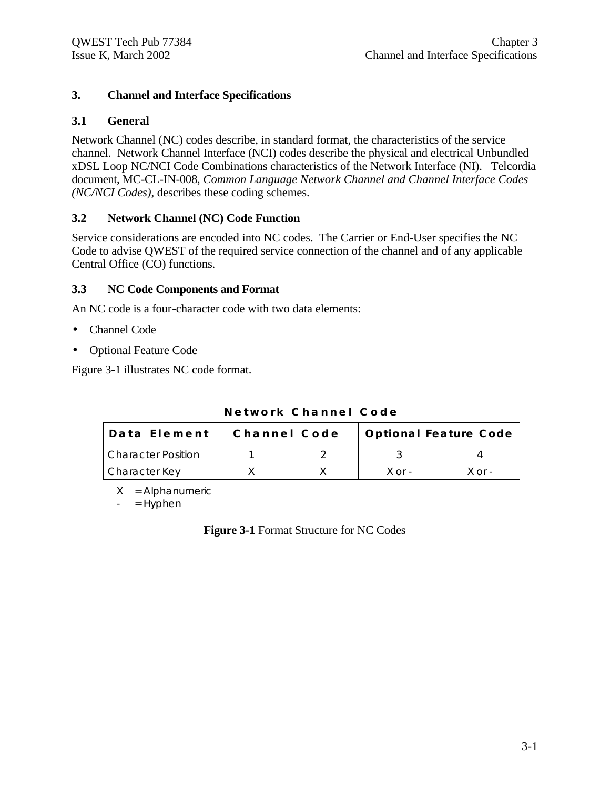# **3. Channel and Interface Specifications**

# **3.1 General**

Network Channel (NC) codes describe, in standard format, the characteristics of the service channel. Network Channel Interface (NCI) codes describe the physical and electrical Unbundled xDSL Loop NC/NCI Code Combinations characteristics of the Network Interface (NI). Telcordia document, MC-CL-IN-008, *Common Language Network Channel and Channel Interface Codes (NC/NCI Codes)*, describes these coding schemes.

# **3.2 Network Channel (NC) Code Function**

Service considerations are encoded into NC codes. The Carrier or End-User specifies the NC Code to advise QWEST of the required service connection of the channel and of any applicable Central Office (CO) functions.

# **3.3 NC Code Components and Format**

An NC code is a four-character code with two data elements:

- Channel Code
- Optional Feature Code

Figure 3-1 illustrates NC code format.

| Data Element I            | Channel Code | <b>Optional Feature Code</b> |        |  |  |
|---------------------------|--------------|------------------------------|--------|--|--|
| <b>Character Position</b> |              |                              |        |  |  |
| Character Key             |              | $X$ or $-$                   | ∨ ∩r - |  |  |

#### **Network Channel Code**

 $X =$  Alphanumeric

 $=$  Hyphen

**Figure 3-1** Format Structure for NC Codes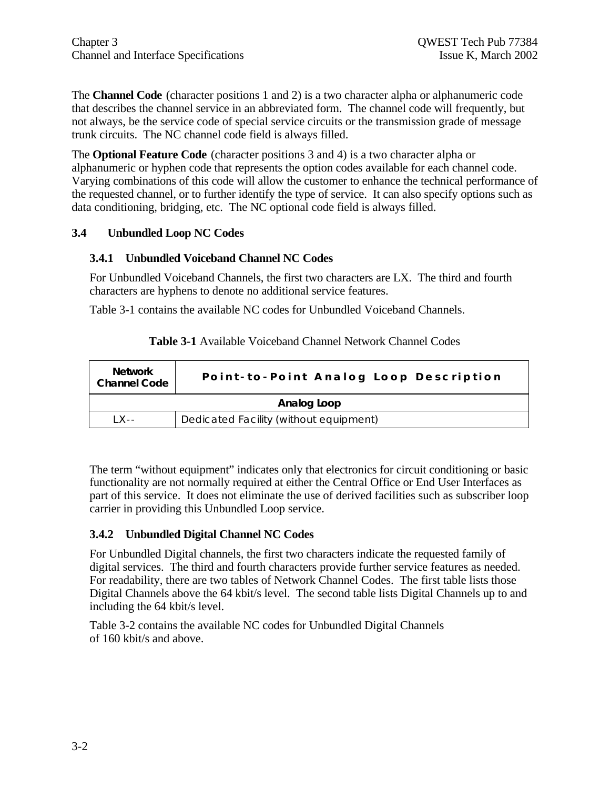The **Channel Code** (character positions 1 and 2) is a two character alpha or alphanumeric code that describes the channel service in an abbreviated form. The channel code will frequently, but not always, be the service code of special service circuits or the transmission grade of message trunk circuits. The NC channel code field is always filled.

The **Optional Feature Code** (character positions 3 and 4) is a two character alpha or alphanumeric or hyphen code that represents the option codes available for each channel code. Varying combinations of this code will allow the customer to enhance the technical performance of the requested channel, or to further identify the type of service. It can also specify options such as data conditioning, bridging, etc. The NC optional code field is always filled.

#### **3.4 Unbundled Loop NC Codes**

#### **3.4.1 Unbundled Voiceband Channel NC Codes**

For Unbundled Voiceband Channels, the first two characters are LX. The third and fourth characters are hyphens to denote no additional service features.

Table 3-1 contains the available NC codes for Unbundled Voiceband Channels.

| <b>Network</b><br><b>Channel Code</b>             | Point-to-Point Analog Loop Description |  |  |  |  |
|---------------------------------------------------|----------------------------------------|--|--|--|--|
| Analog Loop                                       |                                        |  |  |  |  |
| Dedicated Facility (without equipment)<br>1 X - - |                                        |  |  |  |  |

| <b>Table 3-1</b> Available Voiceband Channel Network Channel Codes |  |  |  |  |
|--------------------------------------------------------------------|--|--|--|--|
|--------------------------------------------------------------------|--|--|--|--|

The term "without equipment" indicates only that electronics for circuit conditioning or basic functionality are not normally required at either the Central Office or End User Interfaces as part of this service. It does not eliminate the use of derived facilities such as subscriber loop carrier in providing this Unbundled Loop service.

# **3.4.2 Unbundled Digital Channel NC Codes**

For Unbundled Digital channels, the first two characters indicate the requested family of digital services. The third and fourth characters provide further service features as needed. For readability, there are two tables of Network Channel Codes. The first table lists those Digital Channels above the 64 kbit/s level. The second table lists Digital Channels up to and including the 64 kbit/s level.

Table 3-2 contains the available NC codes for Unbundled Digital Channels of 160 kbit/s and above.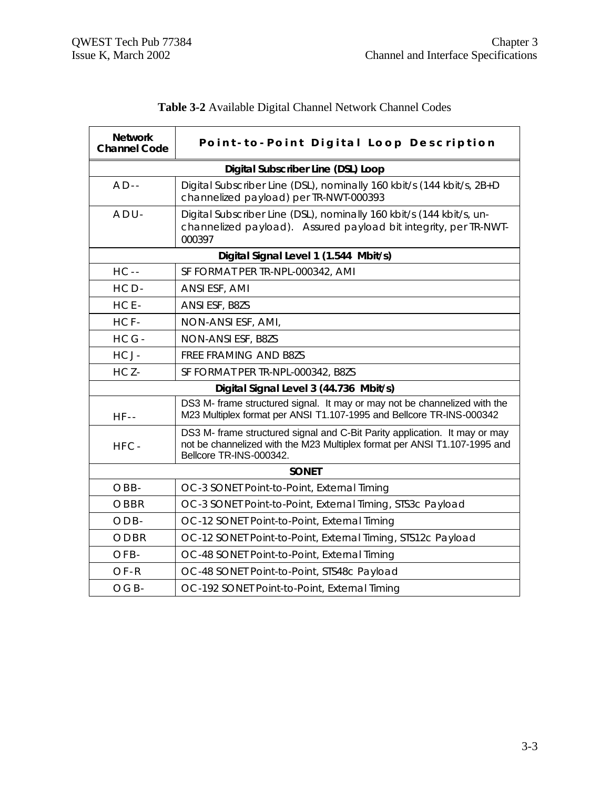| <b>Network</b><br><b>Channel Code</b>  | Point-to-Point Digital Loop Description                                                                                                                                            |  |  |  |  |  |  |
|----------------------------------------|------------------------------------------------------------------------------------------------------------------------------------------------------------------------------------|--|--|--|--|--|--|
|                                        | Digital Subscriber Line (DSL) Loop                                                                                                                                                 |  |  |  |  |  |  |
| $AD -$                                 | Digital Subscriber Line (DSL), nominally 160 kbit/s (144 kbit/s, 2B+D<br>channelized payload) per TR-NWT-000393                                                                    |  |  |  |  |  |  |
| $ADU -$                                | Digital Subscriber Line (DSL), nominally 160 kbit/s (144 kbit/s, un-<br>channelized payload). Assured payload bit integrity, per TR-NWT-<br>000397                                 |  |  |  |  |  |  |
|                                        | Digital Signal Level 1 (1.544 Mbit/s)                                                                                                                                              |  |  |  |  |  |  |
| $HC -$                                 | SF FORMAT PER TR-NPL-000342, AMI                                                                                                                                                   |  |  |  |  |  |  |
| HCD-                                   | ANSI ESF, AMI                                                                                                                                                                      |  |  |  |  |  |  |
| HCE-                                   | ANSI ESF, B8ZS                                                                                                                                                                     |  |  |  |  |  |  |
| HCF-                                   | NON-ANSI ESF, AMI,                                                                                                                                                                 |  |  |  |  |  |  |
| HCG-                                   | NON-ANSI ESF, B8ZS                                                                                                                                                                 |  |  |  |  |  |  |
| HCJ-                                   | FREE FRAMING AND B8ZS                                                                                                                                                              |  |  |  |  |  |  |
| HCZ-                                   | SF FORMAT PER TR-NPL-000342, B8ZS                                                                                                                                                  |  |  |  |  |  |  |
| Digital Signal Level 3 (44.736 Mbit/s) |                                                                                                                                                                                    |  |  |  |  |  |  |
| $HF-$                                  | DS3 M- frame structured signal. It may or may not be channelized with the<br>M23 Multiplex format per ANSI T1.107-1995 and Bellcore TR-INS-000342                                  |  |  |  |  |  |  |
| HFC-                                   | DS3 M- frame structured signal and C-Bit Parity application. It may or may<br>not be channelized with the M23 Multiplex format per ANSI T1.107-1995 and<br>Bellcore TR-INS-000342. |  |  |  |  |  |  |
|                                        | <b>SONET</b>                                                                                                                                                                       |  |  |  |  |  |  |
| OBB-                                   | OC-3 SONET Point-to-Point, External Timing                                                                                                                                         |  |  |  |  |  |  |
| OBBR                                   | OC-3 SONET Point-to-Point, External Timing, STS3c Payload                                                                                                                          |  |  |  |  |  |  |
| $ODB -$                                | OC-12 SONET Point-to-Point, External Timing                                                                                                                                        |  |  |  |  |  |  |
| ODBR                                   | OC-12 SONET Point-to-Point, External Timing, STS12c Payload                                                                                                                        |  |  |  |  |  |  |
| OFB-                                   | OC-48 SONET Point-to-Point, External Timing                                                                                                                                        |  |  |  |  |  |  |
| OF-R                                   | OC-48 SONET Point-to-Point, STS48c Payload                                                                                                                                         |  |  |  |  |  |  |
| $OGB-$                                 | OC-192 SONET Point-to-Point, External Timing                                                                                                                                       |  |  |  |  |  |  |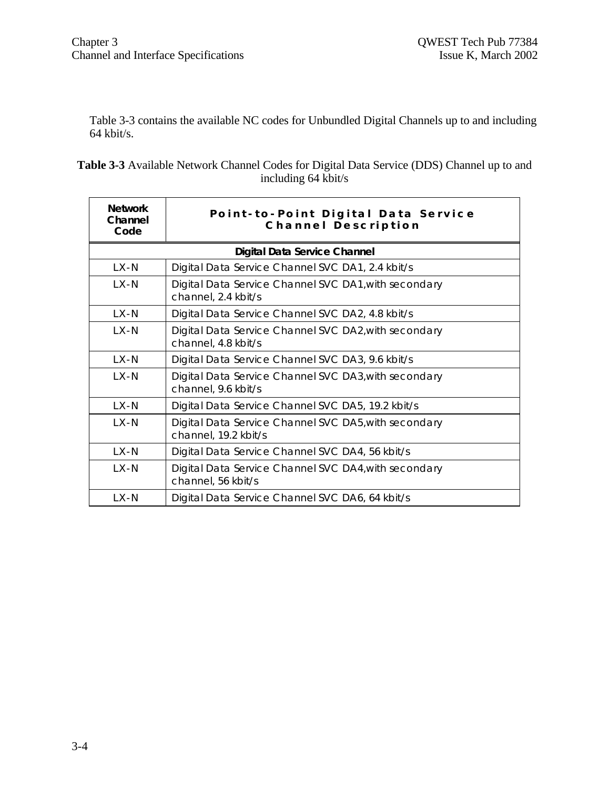Table 3-3 contains the available NC codes for Unbundled Digital Channels up to and including 64 kbit/s.

| <b>Table 3-3</b> Available Network Channel Codes for Digital Data Service (DDS) Channel up to and |
|---------------------------------------------------------------------------------------------------|
| including 64 kbit/s                                                                               |

| <b>Network</b><br>Channel<br>Code | Point-to-Point Digital Data Service<br>Channel Description                   |  |  |  |  |  |  |
|-----------------------------------|------------------------------------------------------------------------------|--|--|--|--|--|--|
|                                   | Digital Data Service Channel                                                 |  |  |  |  |  |  |
| LX-N                              | Digital Data Service Channel SVC DA1, 2.4 kbit/s                             |  |  |  |  |  |  |
| $LX - N$                          | Digital Data Service Channel SVC DA1, with secondary<br>channel, 2.4 kbit/s  |  |  |  |  |  |  |
| LX-N                              | Digital Data Service Channel SVC DA2, 4.8 kbit/s                             |  |  |  |  |  |  |
| $LX - N$                          | Digital Data Service Channel SVC DA2, with secondary<br>channel, 4.8 kbit/s  |  |  |  |  |  |  |
| LX-N                              | Digital Data Service Channel SVC DA3, 9.6 kbit/s                             |  |  |  |  |  |  |
| LX-N                              | Digital Data Service Channel SVC DA3, with secondary<br>channel, 9.6 kbit/s  |  |  |  |  |  |  |
| LX-N                              | Digital Data Service Channel SVC DA5, 19.2 kbit/s                            |  |  |  |  |  |  |
| $LX-N$                            | Digital Data Service Channel SVC DA5, with secondary<br>channel, 19.2 kbit/s |  |  |  |  |  |  |
| $LX-N$                            | Digital Data Service Channel SVC DA4, 56 kbit/s                              |  |  |  |  |  |  |
| LX-N                              | Digital Data Service Channel SVC DA4, with secondary<br>channel, 56 kbit/s   |  |  |  |  |  |  |
| LX-N                              | Digital Data Service Channel SVC DA6, 64 kbit/s                              |  |  |  |  |  |  |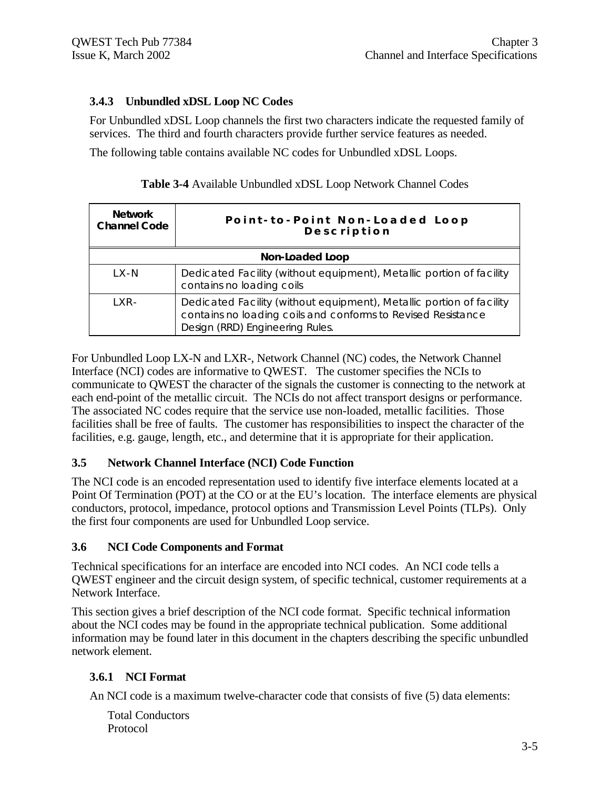# **3.4.3 Unbundled xDSL Loop NC Codes**

For Unbundled xDSL Loop channels the first two characters indicate the requested family of services. The third and fourth characters provide further service features as needed.

The following table contains available NC codes for Unbundled xDSL Loops.

| <b>Network</b><br><b>Channel Code</b> | Point-to-Point Non-Loaded Loop<br>Description                                                                                                                           |
|---------------------------------------|-------------------------------------------------------------------------------------------------------------------------------------------------------------------------|
|                                       | Non-Loaded Loop                                                                                                                                                         |
| $LX-N$                                | Dedicated Facility (without equipment), Metallic portion of facility<br>contains no loading coils                                                                       |
| $IXR-$                                | Dedicated Facility (without equipment), Metallic portion of facility<br>contains no loading coils and conforms to Revised Resistance<br>Design (RRD) Engineering Rules. |

**Table 3-4** Available Unbundled xDSL Loop Network Channel Codes

For Unbundled Loop LX-N and LXR-, Network Channel (NC) codes, the Network Channel Interface (NCI) codes are informative to QWEST. The customer specifies the NCIs to communicate to QWEST the character of the signals the customer is connecting to the network at each end-point of the metallic circuit. The NCIs do not affect transport designs or performance. The associated NC codes require that the service use non-loaded, metallic facilities. Those facilities shall be free of faults. The customer has responsibilities to inspect the character of the facilities, e.g. gauge, length, etc., and determine that it is appropriate for their application.

# **3.5 Network Channel Interface (NCI) Code Function**

The NCI code is an encoded representation used to identify five interface elements located at a Point Of Termination (POT) at the CO or at the EU's location. The interface elements are physical conductors, protocol, impedance, protocol options and Transmission Level Points (TLPs). Only the first four components are used for Unbundled Loop service.

# **3.6 NCI Code Components and Format**

Technical specifications for an interface are encoded into NCI codes. An NCI code tells a QWEST engineer and the circuit design system, of specific technical, customer requirements at a Network Interface.

This section gives a brief description of the NCI code format. Specific technical information about the NCI codes may be found in the appropriate technical publication. Some additional information may be found later in this document in the chapters describing the specific unbundled network element.

# **3.6.1 NCI Format**

An NCI code is a maximum twelve-character code that consists of five (5) data elements:

Total Conductors Protocol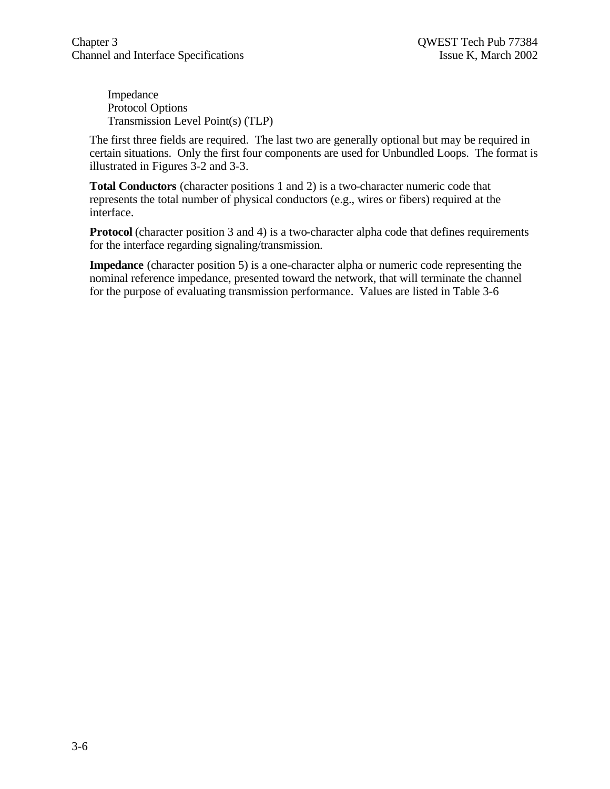Impedance Protocol Options Transmission Level Point(s) (TLP)

The first three fields are required. The last two are generally optional but may be required in certain situations. Only the first four components are used for Unbundled Loops. The format is illustrated in Figures 3-2 and 3-3.

**Total Conductors** (character positions 1 and 2) is a two-character numeric code that represents the total number of physical conductors (e.g., wires or fibers) required at the interface.

**Protocol** (character position 3 and 4) is a two-character alpha code that defines requirements for the interface regarding signaling/transmission.

**Impedance** (character position 5) is a one-character alpha or numeric code representing the nominal reference impedance, presented toward the network, that will terminate the channel for the purpose of evaluating transmission performance. Values are listed in Table 3-6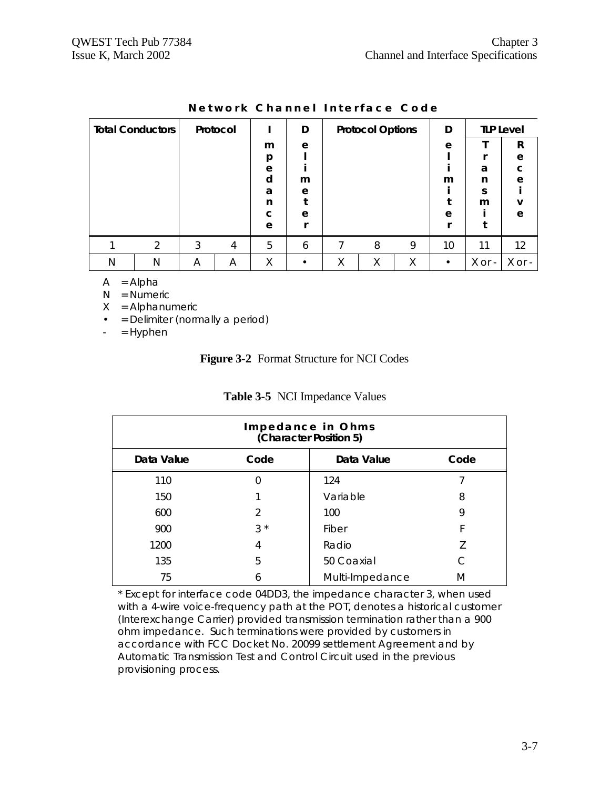| <b>Total Conductors</b> |   |   | Protocol |   | D |   | <b>Protocol Options</b> |   | D         |        | <b>TLP Level</b>  |
|-------------------------|---|---|----------|---|---|---|-------------------------|---|-----------|--------|-------------------|
|                         |   |   |          | m | e |   |                         |   | e         |        | R                 |
|                         |   |   |          | p |   |   |                         |   |           |        | e                 |
|                         |   |   |          | e |   |   |                         |   |           | a      | C                 |
|                         |   |   |          | d | m |   |                         |   | m         | n      | e                 |
|                         |   |   |          | a | e |   |                         |   |           | S      |                   |
|                         |   |   |          | n |   |   |                         |   |           | m      | v                 |
|                         |   |   |          | C | e |   |                         |   | e         |        | e                 |
|                         |   |   |          | e |   |   |                         |   |           |        |                   |
|                         | 2 | 3 | 4        | 5 | 6 |   | 8                       | 9 | 10        | 11     | $12 \overline{ }$ |
| N                       | N | A | A        | Χ | ٠ | Χ | Χ                       | Χ | $\bullet$ | X or - | X or -            |

| Network Channel Interface Code |  |  |
|--------------------------------|--|--|
|--------------------------------|--|--|

 $A = Alpha$ 

N = Numeric

- $X =$  Alphanumeric
- = Delimiter (normally a period)
- $-$  = Hyphen

# **Figure 3-2** Format Structure for NCI Codes

| Impedance in Ohms<br>(Character Position 5) |      |                 |      |
|---------------------------------------------|------|-----------------|------|
| Data Value                                  | Code | Data Value      | Code |
| 110                                         | 0    | 124             |      |
| 150                                         |      | Variable        | 8    |
| 600                                         | 2    | 100             | 9    |
| 900                                         | $3*$ | Fiber           | F    |
| 1200                                        | 4    | Radio           |      |
| 135                                         | 5    | 50 Coaxial      |      |
| 75                                          | 6    | Multi-Impedance | M    |

# **Table 3-5** NCI Impedance Values

\* Except for interface code 04DD3, the impedance character 3, when used with a 4-wire voice-frequency path at the POT, denotes a historical customer (Interexchange Carrier) provided transmission termination rather than a 900 ohm impedance. Such terminations were provided by customers in accordance with FCC Docket No. 20099 settlement Agreement and by Automatic Transmission Test and Control Circuit used in the previous provisioning process.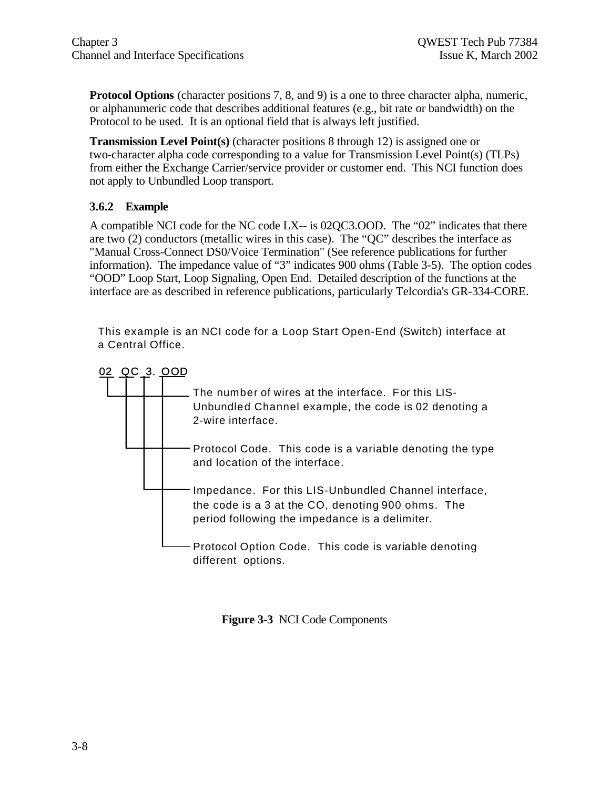**Protocol Options** (character positions 7, 8, and 9) is a one to three character alpha, numeric, or alphanumeric code that describes additional features (e.g., bit rate or bandwidth) on the Protocol to be used. It is an optional field that is always left justified.

**Transmission Level Point(s)** (character positions 8 through 12) is assigned one or two-character alpha code corresponding to a value for Transmission Level Point(s) (TLPs) from either the Exchange Carrier/service provider or customer end. This NCI function does not apply to Unbundled Loop transport.

# **3.6.2 Example**

A compatible NCI code for the NC code LX-- is 02QC3.OOD. The "02" indicates that there are two (2) conductors (metallic wires in this case). The "QC" describes the interface as "Manual Cross-Connect DS0/Voice Termination" (See reference publications for further information). The impedance value of "3" indicates 900 ohms (Table 3-5). The option codes "OOD" Loop Start, Loop Signaling, Open End. Detailed description of the functions at the interface are as described in reference publications, particularly Telcordia's GR-334-CORE.

This example is an NCI code for a Loop Start Open-End (Switch) interface at a Central Office.



**Figure 3-3** NCI Code Components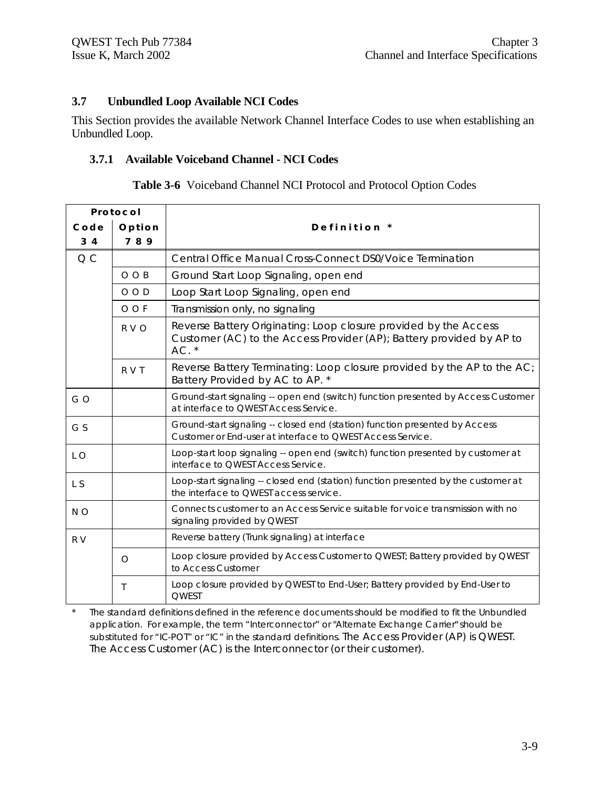# **3.7 Unbundled Loop Available NCI Codes**

This Section provides the available Network Channel Interface Codes to use when establishing an Unbundled Loop.

#### **3.7.1 Available Voiceband Channel - NCI Codes**

| Table 3-6 Voiceband Channel NCI Protocol and Protocol Option Codes |
|--------------------------------------------------------------------|
|--------------------------------------------------------------------|

| Protocol    |             |                                                                                                                                                    |
|-------------|-------------|----------------------------------------------------------------------------------------------------------------------------------------------------|
| $C$ o d $e$ | Option      | Definition *                                                                                                                                       |
| $3\quad 4$  | 789         |                                                                                                                                                    |
| QC          |             | Central Office Manual Cross-Connect DS0/Voice Termination                                                                                          |
|             | $O$ $O$ $B$ | Ground Start Loop Signaling, open end                                                                                                              |
|             | $O$ $O$ $D$ | Loop Start Loop Signaling, open end                                                                                                                |
|             | O O F       | Transmission only, no signaling                                                                                                                    |
|             | R V O       | Reverse Battery Originating: Loop closure provided by the Access<br>Customer (AC) to the Access Provider (AP); Battery provided by AP to<br>$AC.*$ |
|             | R V T       | Reverse Battery Terminating: Loop closure provided by the AP to the AC;<br>Battery Provided by AC to AP. *                                         |
| GO          |             | Ground-start signaling -- open end (switch) function presented by Access Customer<br>at interface to QWEST Access Service.                         |
| G S         |             | Ground-start signaling -- closed end (station) function presented by Access<br>Customer or End-user at interface to QWEST Access Service.          |
| L O         |             | Loop-start loop signaling -- open end (switch) function presented by customer at<br>interface to QWEST Access Service.                             |
| L S         |             | Loop-start signaling -- closed end (station) function presented by the customer at<br>the interface to OWEST access service.                       |
| N O         |             | Connects customer to an Access Service suitable for voice transmission with no<br>signaling provided by QWEST                                      |
| R V         |             | Reverse battery (Trunk signaling) at interface                                                                                                     |
|             | $\circ$     | Loop closure provided by Access Customer to QWEST; Battery provided by QWEST<br>to Access Customer                                                 |
|             | Τ           | Loop closure provided by QWEST to End-User; Battery provided by End-User to<br><b>OWEST</b>                                                        |

\* The standard definitions defined in the reference documents should be modified to fit the Unbundled application. For example, the term "Interconnector" or "Alternate Exchange Carrier" should be substituted for "IC-POT" or "IC" in the standard definitions. The Access Provider (AP) is QWEST. The Access Customer (AC) is the Interconnector (or their customer).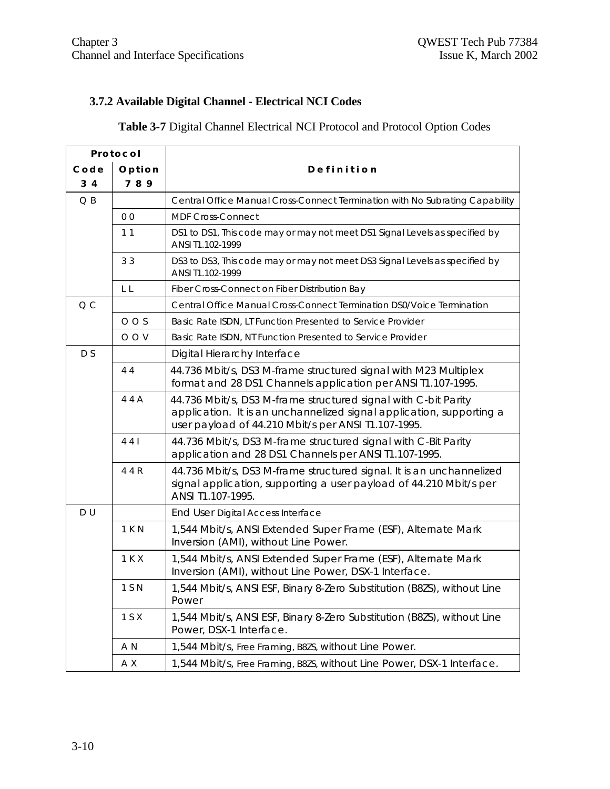# **3.7.2 Available Digital Channel - Electrical NCI Codes**

# **Table 3-7** Digital Channel Electrical NCI Protocol and Protocol Option Codes

|                | Protocol       |                                                                                                                                                                                               |
|----------------|----------------|-----------------------------------------------------------------------------------------------------------------------------------------------------------------------------------------------|
| Code           | Option         | Definition                                                                                                                                                                                    |
| 3 <sub>4</sub> | 789            |                                                                                                                                                                                               |
| $Q$ $B$        |                | Central Office Manual Cross-Connect Termination with No Subrating Capability                                                                                                                  |
|                | 0 <sub>0</sub> | <b>MDF Cross-Connect</b>                                                                                                                                                                      |
|                | 11             | DS1 to DS1, This code may or may not meet DS1 Signal Levels as specified by<br>ANSI T1.102-1999                                                                                               |
|                | 33             | DS3 to DS3, This code may or may not meet DS3 Signal Levels as specified by<br>ANSI T1.102-1999                                                                                               |
|                | L L            | Fiber Cross-Connect on Fiber Distribution Bay                                                                                                                                                 |
| Q <sub>C</sub> |                | Central Office Manual Cross-Connect Termination DS0/Voice Termination                                                                                                                         |
|                | $O$ O S        | Basic Rate ISDN, LT Function Presented to Service Provider                                                                                                                                    |
|                | O O V          | Basic Rate ISDN, NT Function Presented to Service Provider                                                                                                                                    |
| D S            |                | Digital Hierarchy Interface                                                                                                                                                                   |
|                | 44             | 44.736 Mbit/s, DS3 M-frame structured signal with M23 Multiplex<br>format and 28 DS1 Channels application per ANSI T1.107-1995.                                                               |
|                | 44A            | 44.736 Mbit/s, DS3 M-frame structured signal with C-bit Parity<br>application. It is an unchannelized signal application, supporting a<br>user payload of 44.210 Mbit/s per ANSI T1.107-1995. |
|                | 441            | 44.736 Mbit/s, DS3 M-frame structured signal with C-Bit Parity<br>application and 28 DS1 Channels per ANSI T1.107-1995.                                                                       |
|                | 4 4 R          | 44.736 Mbit/s, DS3 M-frame structured signal. It is an unchannelized<br>signal application, supporting a user payload of 44.210 Mbit/s per<br>ANSI T1.107-1995.                               |
| DU             |                | End User Digital Access Interface                                                                                                                                                             |
|                | 1 K N          | 1,544 Mbit/s, ANSI Extended Super Frame (ESF), Alternate Mark<br>Inversion (AMI), without Line Power.                                                                                         |
|                | 1 K X          | 1,544 Mbit/s, ANSI Extended Super Frame (ESF), Alternate Mark<br>Inversion (AMI), without Line Power, DSX-1 Interface.                                                                        |
|                | 1 S N          | 1,544 Mbit/s, ANSI ESF, Binary 8-Zero Substitution (B8ZS), without Line<br>Power                                                                                                              |
|                | 1 S X          | 1,544 Mbit/s, ANSI ESF, Binary 8-Zero Substitution (B8ZS), without Line<br>Power, DSX-1 Interface.                                                                                            |
|                | A N            | 1,544 Mbit/s, Free Framing, B8ZS, without Line Power.                                                                                                                                         |
|                | A X            | 1,544 Mbit/s, Free Framing, B8ZS, without Line Power, DSX-1 Interface.                                                                                                                        |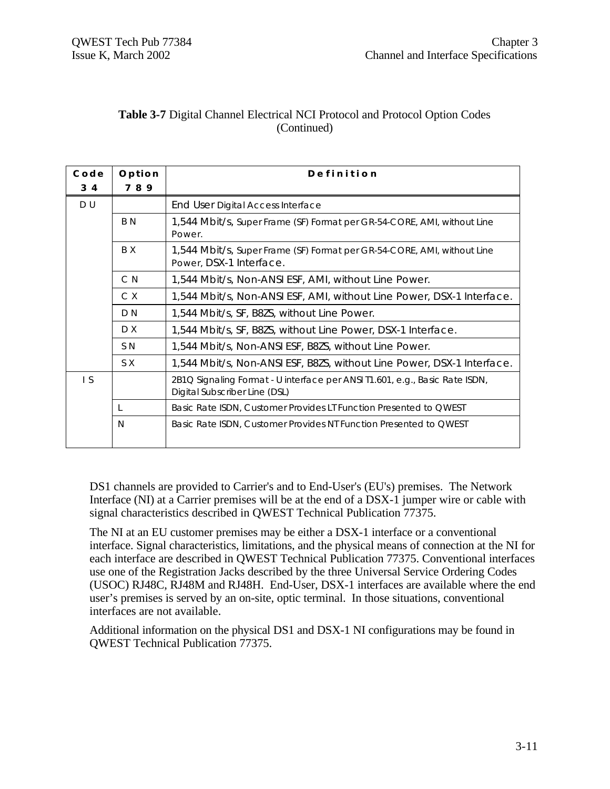# **Table 3-7** Digital Channel Electrical NCI Protocol and Protocol Option Codes (Continued)

| Code | Option | Definition                                                                                                   |
|------|--------|--------------------------------------------------------------------------------------------------------------|
| 3 4  | 789    |                                                                                                              |
| D U  |        | End User Digital Access Interface                                                                            |
|      | B N    | 1,544 Mbit/s, Super Frame (SF) Format per GR-54-CORE, AMI, without Line<br>Power.                            |
|      | B X    | 1,544 Mbit/s, Super Frame (SF) Format per GR-54-CORE, AMI, without Line<br>Power, DSX-1 Interface.           |
|      | C N    | 1,544 Mbit/s, Non-ANSI ESF, AMI, without Line Power.                                                         |
|      | C X    | 1,544 Mbit/s, Non-ANSI ESF, AMI, without Line Power, DSX-1 Interface.                                        |
|      | D N    | 1,544 Mbit/s, SF, B8ZS, without Line Power.                                                                  |
|      | D X    | 1,544 Mbit/s, SF, B8ZS, without Line Power, DSX-1 Interface.                                                 |
|      | S N    | 1,544 Mbit/s, Non-ANSI ESF, B8ZS, without Line Power.                                                        |
|      | S X    | 1,544 Mbit/s, Non-ANSI ESF, B8ZS, without Line Power, DSX-1 Interface.                                       |
| I S  |        | 2B1Q Signaling Format - U interface per ANSI T1.601, e.g., Basic Rate ISDN,<br>Digital Subscriber Line (DSL) |
|      | L      | Basic Rate ISDN, Customer Provides LT Function Presented to QWEST                                            |
|      | N      | Basic Rate ISDN, Customer Provides NT Function Presented to QWEST                                            |

DS1 channels are provided to Carrier's and to End-User's (EU's) premises. The Network Interface (NI) at a Carrier premises will be at the end of a DSX-1 jumper wire or cable with signal characteristics described in QWEST Technical Publication 77375.

The NI at an EU customer premises may be either a DSX-1 interface or a conventional interface. Signal characteristics, limitations, and the physical means of connection at the NI for each interface are described in QWEST Technical Publication 77375. Conventional interfaces use one of the Registration Jacks described by the three Universal Service Ordering Codes (USOC) RJ48C, RJ48M and RJ48H. End-User, DSX-1 interfaces are available where the end user's premises is served by an on-site, optic terminal. In those situations, conventional interfaces are not available.

Additional information on the physical DS1 and DSX-1 NI configurations may be found in QWEST Technical Publication 77375.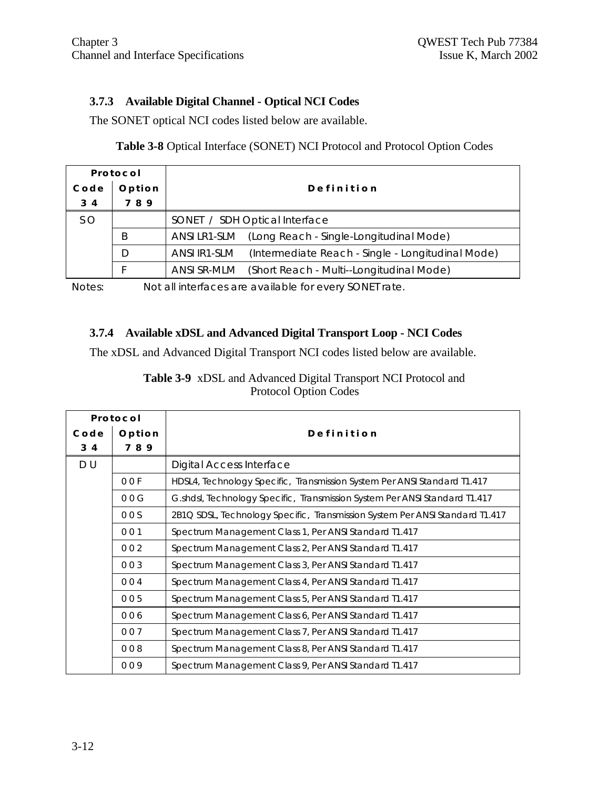# **3.7.3 Available Digital Channel - Optical NCI Codes**

The SONET optical NCI codes listed below are available.

# **Table 3-8** Optical Interface (SONET) NCI Protocol and Protocol Option Codes

| Protocol  |        |                                                                   |  |
|-----------|--------|-------------------------------------------------------------------|--|
| Code      | Option | Definition                                                        |  |
| $3\quad4$ | 789    |                                                                   |  |
| S O       |        | SONET / SDH Optical Interface                                     |  |
|           | B      | (Long Reach - Single-Longitudinal Mode)<br>ANSI LR1-SLM           |  |
|           | D      | (Intermediate Reach - Single - Longitudinal Mode)<br>ANSI IR1-SLM |  |
|           |        | ANSI SR-MLM<br>(Short Reach - Multi--Longitudinal Mode)           |  |

Notes: Not all interfaces are available for every SONET rate.

#### **3.7.4 Available xDSL and Advanced Digital Transport Loop - NCI Codes**

The xDSL and Advanced Digital Transport NCI codes listed below are available.

| Protocol |        |                                                                              |
|----------|--------|------------------------------------------------------------------------------|
| Code     | Option | Definition                                                                   |
| 3 4      | 789    |                                                                              |
| D U      |        | <b>Digital Access Interface</b>                                              |
|          | 00F    | HDSL4, Technology Specific, Transmission System Per ANSI Standard T1.417     |
|          | 00G    | G.shdsl, Technology Specific, Transmission System Per ANSI Standard T1.417   |
|          | 00S    | 2B1Q SDSL, Technology Specific, Transmission System Per ANSI Standard T1.417 |
|          | 001    | Spectrum Management Class 1, Per ANSI Standard T1.417                        |
|          | 002    | Spectrum Management Class 2, Per ANSI Standard T1.417                        |
|          | 003    | Spectrum Management Class 3, Per ANSI Standard T1.417                        |
|          | 004    | Spectrum Management Class 4, Per ANSI Standard T1.417                        |
|          | 005    | Spectrum Management Class 5, Per ANSI Standard T1.417                        |
|          | 006    | Spectrum Management Class 6, Per ANSI Standard T1.417                        |
|          | 007    | Spectrum Management Class 7, Per ANSI Standard T1.417                        |
|          | 008    | Spectrum Management Class 8, Per ANSI Standard T1.417                        |
|          | 009    | Spectrum Management Class 9, Per ANSI Standard T1.417                        |

**Table 3-9** xDSL and Advanced Digital Transport NCI Protocol and Protocol Option Codes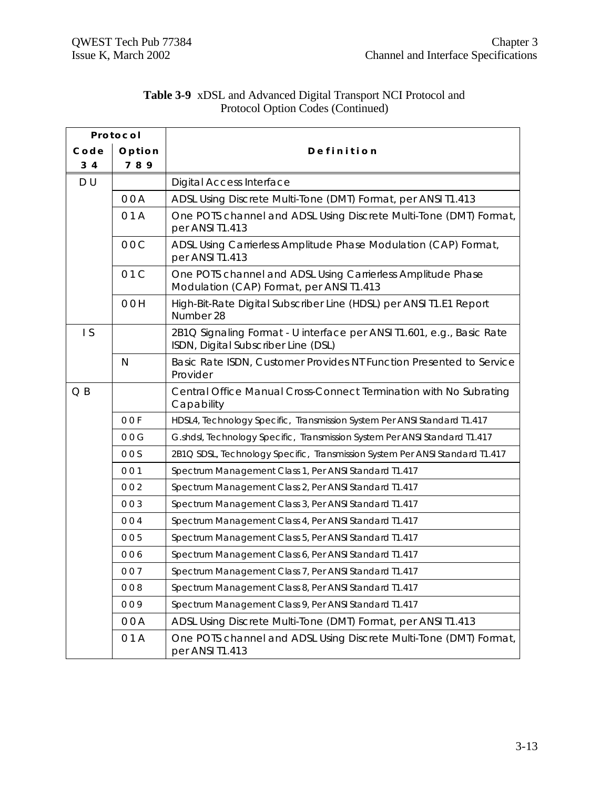| Protocol       |        |                                                                                                              |  |  |
|----------------|--------|--------------------------------------------------------------------------------------------------------------|--|--|
| Code           | Option | Definition                                                                                                   |  |  |
| 3 <sub>4</sub> | 789    |                                                                                                              |  |  |
| DU             |        | <b>Digital Access Interface</b>                                                                              |  |  |
|                | 00A    | ADSL Using Discrete Multi-Tone (DMT) Format, per ANSI T1.413                                                 |  |  |
|                | 01A    | One POTS channel and ADSL Using Discrete Multi-Tone (DMT) Format,<br>per ANSI T1.413                         |  |  |
|                | 00C    | ADSL Using Carrierless Amplitude Phase Modulation (CAP) Format,<br>per ANSI T1.413                           |  |  |
|                | 01C    | One POTS channel and ADSL Using Carrierless Amplitude Phase<br>Modulation (CAP) Format, per ANSI T1.413      |  |  |
|                | 00H    | High-Bit-Rate Digital Subscriber Line (HDSL) per ANSI T1.E1 Report<br>Number 28                              |  |  |
| $\mathsf{I}$ S |        | 2B1Q Signaling Format - U interface per ANSI T1.601, e.g., Basic Rate<br>ISDN, Digital Subscriber Line (DSL) |  |  |
|                | N      | Basic Rate ISDN, Customer Provides NT Function Presented to Service<br>Provider                              |  |  |
| $Q$ $B$        |        | Central Office Manual Cross-Connect Termination with No Subrating<br>Capability                              |  |  |
|                | 00F    | HDSL4, Technology Specific, Transmission System Per ANSI Standard T1.417                                     |  |  |
|                | 00G    | G.shdsl, Technology Specific, Transmission System Per ANSI Standard T1.417                                   |  |  |
|                | 00S    | 2B1Q SDSL, Technology Specific, Transmission System Per ANSI Standard T1.417                                 |  |  |
|                | 001    | Spectrum Management Class 1, Per ANSI Standard T1.417                                                        |  |  |
|                | 002    | Spectrum Management Class 2, Per ANSI Standard T1.417                                                        |  |  |
|                | 003    | Spectrum Management Class 3, Per ANSI Standard T1.417                                                        |  |  |
|                | 004    | Spectrum Management Class 4, Per ANSI Standard T1.417                                                        |  |  |
|                | 005    | Spectrum Management Class 5, Per ANSI Standard T1.417                                                        |  |  |
|                | 006    | Spectrum Management Class 6, Per ANSI Standard T1.417                                                        |  |  |
|                | 007    | Spectrum Management Class 7, Per ANSI Standard T1.417                                                        |  |  |
|                | 008    | Spectrum Management Class 8, Per ANSI Standard T1.417                                                        |  |  |
|                | 009    | Spectrum Management Class 9, Per ANSI Standard T1.417                                                        |  |  |
|                | 00A    | ADSL Using Discrete Multi-Tone (DMT) Format, per ANSI T1.413                                                 |  |  |
|                | 01A    | One POTS channel and ADSL Using Discrete Multi-Tone (DMT) Format,<br>per ANSI T1.413                         |  |  |

#### **Table 3-9** xDSL and Advanced Digital Transport NCI Protocol and Protocol Option Codes (Continued)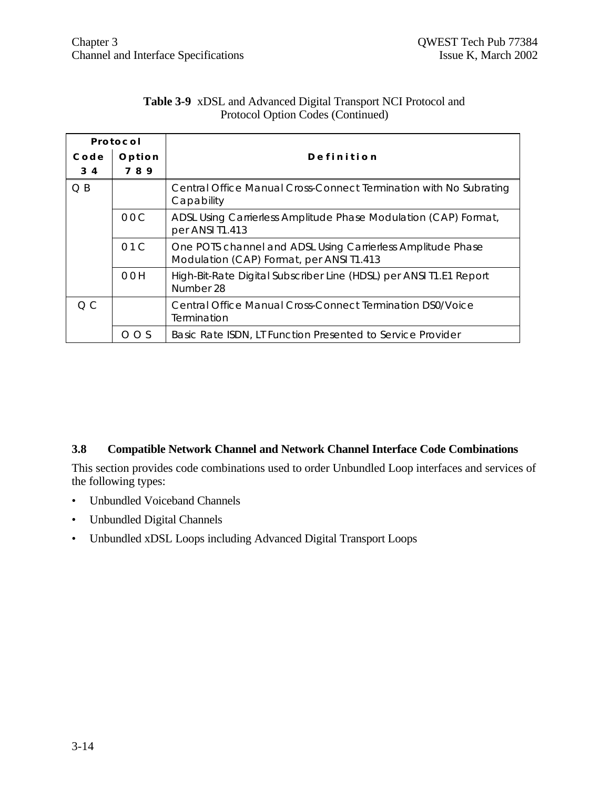| Protocol               |        |                                                                                                         |  |  |
|------------------------|--------|---------------------------------------------------------------------------------------------------------|--|--|
| Code                   | Option | Definition                                                                                              |  |  |
| 34                     | 789    |                                                                                                         |  |  |
| $Q$ $B$                |        | Central Office Manual Cross-Connect Termination with No Subrating<br>Capability                         |  |  |
| 00C<br>per ANSI T1.413 |        | ADSL Using Carrierless Amplitude Phase Modulation (CAP) Format,                                         |  |  |
|                        | 01C    | One POTS channel and ADSL Using Carrierless Amplitude Phase<br>Modulation (CAP) Format, per ANSI T1.413 |  |  |
|                        | 00H    | High-Bit-Rate Digital Subscriber Line (HDSL) per ANSI T1.E1 Report<br>Number 28                         |  |  |
| O C                    |        | Central Office Manual Cross-Connect Termination DS0/Voice<br>Termination                                |  |  |
|                        | OOS    | Basic Rate ISDN, LT Function Presented to Service Provider                                              |  |  |

#### **Table 3-9** xDSL and Advanced Digital Transport NCI Protocol and Protocol Option Codes (Continued)

#### **3.8 Compatible Network Channel and Network Channel Interface Code Combinations**

This section provides code combinations used to order Unbundled Loop interfaces and services of the following types:

- Unbundled Voiceband Channels
- Unbundled Digital Channels
- Unbundled xDSL Loops including Advanced Digital Transport Loops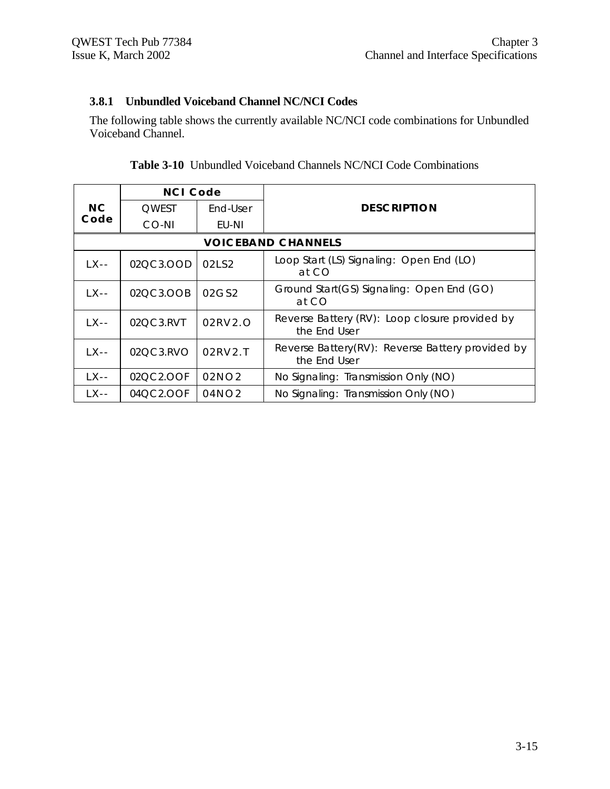# **3.8.1 Unbundled Voiceband Channel NC/NCI Codes**

The following table shows the currently available NC/NCI code combinations for Unbundled Voiceband Channel.

|                | <b>NCI Code</b> |                |                                                                  |
|----------------|-----------------|----------------|------------------------------------------------------------------|
| N <sub>C</sub> | <b>OWEST</b>    | End-User       | <b>DESCRIPTION</b>                                               |
| Code           | CO-NI           | EU-NI          |                                                                  |
|                |                 |                | <b>VOICEBAND CHANNELS</b>                                        |
| $LX -$         | 02QC3.OOD       | 02LS2          | Loop Start (LS) Signaling: Open End (LO)<br>at CO                |
| $LX -$         | 02QC3.OOB       | 02GS2          | Ground Start(GS) Signaling: Open End (GO)<br>at CO               |
| LX--           | 02QC3.RVT       | 02RV2.O        | Reverse Battery (RV): Loop closure provided by<br>the End User   |
| $LX -$         | 02QC3.RVO       | $02$ RV $2$ .T | Reverse Battery(RV): Reverse Battery provided by<br>the End User |
| $LX -$         | 02QC2.OOF       | 02NO2          | No Signaling: Transmission Only (NO)                             |
| LX - -         | 04QC2.OOF       | 04NO2          | No Signaling: Transmission Only (NO)                             |

| <b>Table 3-10</b> Unbundled Voiceband Channels NC/NCI Code Combinations |
|-------------------------------------------------------------------------|
|-------------------------------------------------------------------------|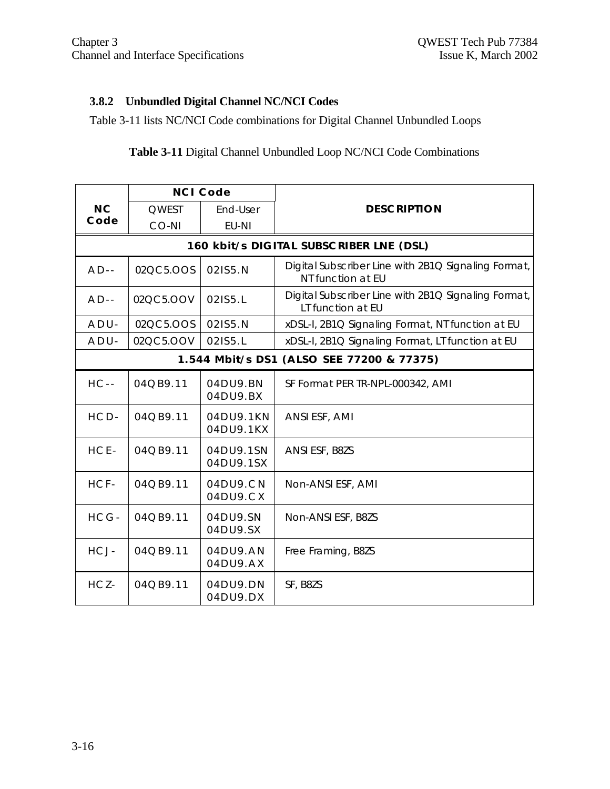# **3.8.2 Unbundled Digital Channel NC/NCI Codes**

Table 3-11 lists NC/NCI Code combinations for Digital Channel Unbundled Loops

# **Table 3-11** Digital Channel Unbundled Loop NC/NCI Code Combinations

|                                           | <b>NCI Code</b> |                            |                                                                          |  |
|-------------------------------------------|-----------------|----------------------------|--------------------------------------------------------------------------|--|
| <b>NC</b>                                 | <b>QWEST</b>    | End-User                   | <b>DESCRIPTION</b>                                                       |  |
| Code                                      | CO-NI           | EU-NI                      |                                                                          |  |
|                                           |                 |                            | 160 kbit/s DIGITAL SUBSCRIBER LNE (DSL)                                  |  |
| $AD -$                                    | 02QC5.OOS       | 021S5.N                    | Digital Subscriber Line with 2B1Q Signaling Format,<br>NT function at EU |  |
| $AD -$                                    | 02QC5.OOV       | 021S5.L                    | Digital Subscriber Line with 2B1Q Signaling Format,<br>LT function at EU |  |
| $ADU -$                                   | 02QC5.OOS       | 021S5.N                    | xDSL-I, 2B1Q Signaling Format, NT function at EU                         |  |
| $ADU -$                                   | 02QC5.OOV       | 021S5.L                    | xDSL-I, 2B1Q Signaling Format, LT function at EU                         |  |
| 1.544 Mbit/s DS1 (ALSO SEE 77200 & 77375) |                 |                            |                                                                          |  |
| $HC -$                                    | 04QB9.11        | 04DU9.BN<br>04DU9.BX       | SF Format PER TR-NPL-000342, AMI                                         |  |
| HCD-                                      | 04QB9.11        | 04DU9.1KN<br>04DU9.1KX     | ANSI ESF, AMI                                                            |  |
| HCE-                                      | 04QB9.11        | 04DU9.1SN<br>04DU9.1SX     | ANSI ESF, B8ZS                                                           |  |
| HCF-                                      | 04QB9.11        | $04DU9$ . $CN$<br>04DU9.CX | Non-ANSI ESF, AMI                                                        |  |
| HCG-                                      | 04QB9.11        | 04DU9.SN<br>04DU9.SX       | Non-ANSI ESF, B8ZS                                                       |  |
| HCJ-                                      | 04QB9.11        | 04DU9.AN<br>04DU9.AX       | Free Framing, B8ZS                                                       |  |
| HCZ-                                      | 04QB9.11        | 04DU9.DN<br>04DU9.DX       | SF, B8ZS                                                                 |  |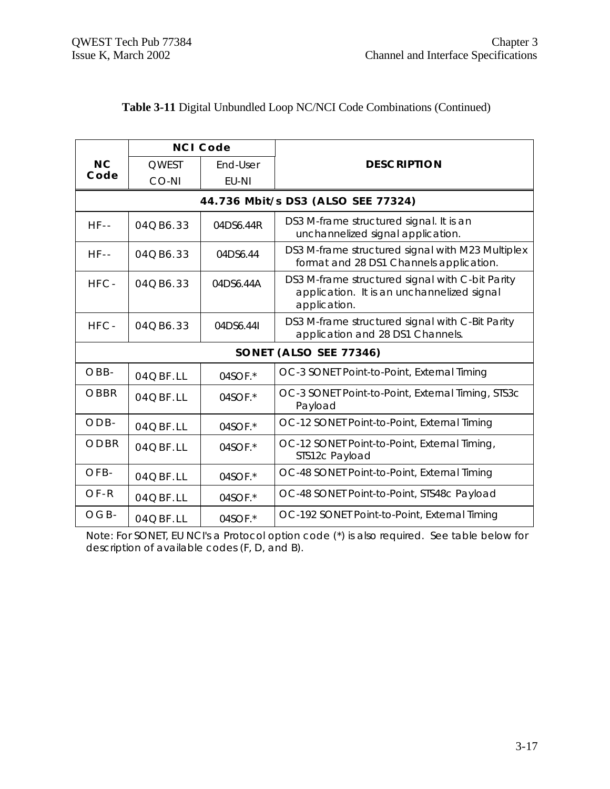|                        | <b>NCI Code</b> |           |                                                                                                               |  |
|------------------------|-----------------|-----------|---------------------------------------------------------------------------------------------------------------|--|
| <b>NC</b>              | OWEST           | End-User  | <b>DESCRIPTION</b>                                                                                            |  |
| Code                   | CO-NI           | EU-NI     |                                                                                                               |  |
|                        |                 |           | 44.736 Mbit/s DS3 (ALSO SEE 77324)                                                                            |  |
| $HF - -$               | 04QB6.33        | 04DS6.44R | DS3 M-frame structured signal. It is an<br>unchannelized signal application.                                  |  |
| $HF-$                  | 04QB6.33        | 04DS6.44  | DS3 M-frame structured signal with M23 Multiplex<br>format and 28 DS1 Channels application.                   |  |
| HFC-                   | 04QB6.33        | 04DS6.44A | DS3 M-frame structured signal with C-bit Parity<br>application. It is an unchannelized signal<br>application. |  |
| HFC-                   | 04QB6.33        | 04DS6.44I | DS3 M-frame structured signal with C-Bit Parity<br>application and 28 DS1 Channels.                           |  |
| SONET (ALSO SEE 77346) |                 |           |                                                                                                               |  |
| OBB-                   | 04QBF.LL        | 04SOF.*   | OC-3 SONET Point-to-Point, External Timing                                                                    |  |
| OBBR                   | 04QBF.LL        | 04SOF.*   | OC-3 SONET Point-to-Point, External Timing, STS3c<br>Payload                                                  |  |
| $ODB -$                | 04QBF.LL        | 04SOF.*   | OC-12 SONET Point-to-Point, External Timing                                                                   |  |
| ODBR                   | 04QBF.LL        | 04SOF.*   | OC-12 SONET Point-to-Point, External Timing,<br>STS12c Payload                                                |  |
| OFB-                   | 04QBF.LL        | 04SOF.*   | OC-48 SONET Point-to-Point, External Timing                                                                   |  |
| $OF-R$                 | 04QBF.LL        | 04SOF.*   | OC-48 SONET Point-to-Point, STS48c Payload                                                                    |  |
| $OGB-$                 | 04QBF.LL        | 04SOF.*   | OC-192 SONET Point-to-Point, External Timing                                                                  |  |

# **Table 3-11** Digital Unbundled Loop NC/NCI Code Combinations (Continued)

Note: For SONET, EU NCI's a Protocol option code (\*) is also required. See table below for description of available codes (F, D, and B).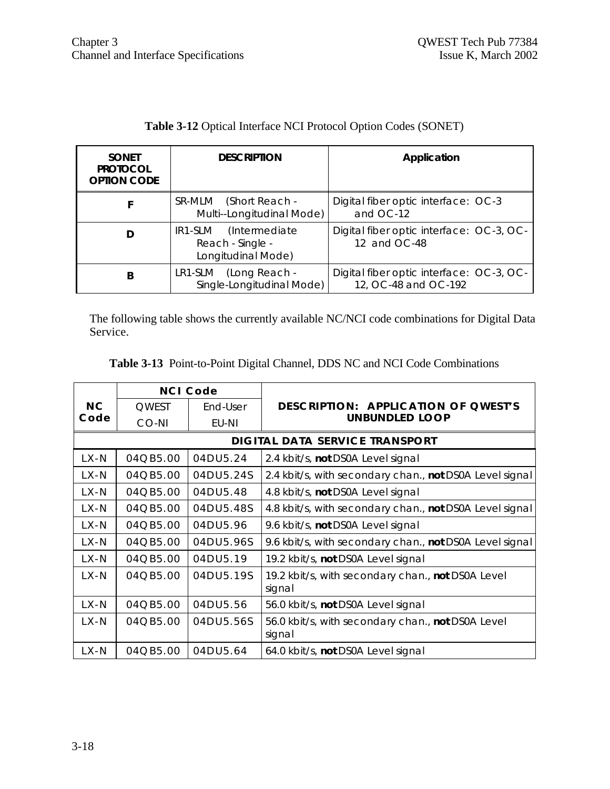| <b>SONET</b><br><b>PROTOCOL</b><br><b>OPTION CODE</b> | <b>DESCRIPTION</b>                                              | Application                                                      |
|-------------------------------------------------------|-----------------------------------------------------------------|------------------------------------------------------------------|
|                                                       | SR-MLM (Short Reach -<br>Multi--Longitudinal Mode)              | Digital fiber optic interface: OC-3<br>and OC-12                 |
| D                                                     | IR1-SLM (Intermediate<br>Reach - Single -<br>Longitudinal Mode) | Digital fiber optic interface: OC-3, OC-<br>12 and OC-48         |
| B                                                     | LR1-SLM (Long Reach -<br>Single-Longitudinal Mode)              | Digital fiber optic interface: OC-3, OC-<br>12, OC-48 and OC-192 |

# **Table 3-12** Optical Interface NCI Protocol Option Codes (SONET)

The following table shows the currently available NC/NCI code combinations for Digital Data Service.

| Table 3-13 Point-to-Point Digital Channel, DDS NC and NCI Code Combinations |  |
|-----------------------------------------------------------------------------|--|
|-----------------------------------------------------------------------------|--|

|          | <b>NCI Code</b> |           |                                                             |
|----------|-----------------|-----------|-------------------------------------------------------------|
| NC.      | <b>OWEST</b>    | End-User  | DESCRIPTION: APPLICATION OF OWEST'S                         |
| Code     | CO-NI           | EU-NI     | <b>UNBUNDLED LOOP</b>                                       |
|          |                 |           | <b>DIGITAL DATA SERVICE TRANSPORT</b>                       |
| $LX - N$ | 04QB5.00        | 04DU5.24  | 2.4 kbit/s, not DS0A Level signal                           |
| $LX-N$   | 04QB5.00        | 04DU5.24S | 2.4 kbit/s, with secondary chan., not DS0A Level signal     |
| LX-N     | 04QB5.00        | 04DU5.48  | 4.8 kbit/s, not DS0A Level signal                           |
| $LX-N$   | 04QB5.00        | 04DU5.48S | 4.8 kbit/s, with secondary chan., not DS0A Level signal     |
| LX-N     | 04QB5.00        | 04DU5.96  | 9.6 kbit/s, not DS0A Level signal                           |
| $LX-N$   | $04$ QB5.00     | 04DU5.96S | 9.6 kbit/s, with secondary chan., not DS0A Level signal     |
| LX-N     | $04$ QB5.00     | 04DU5.19  | 19.2 kbit/s, not DS0A Level signal                          |
| $LX-N$   | 04QB5.00        | 04DU5.19S | 19.2 kbit/s, with secondary chan., not DS0A Level<br>signal |
| $LX - N$ | 04QB5.00        | 04DU5.56  | 56.0 kbit/s, not DS0A Level signal                          |
| LX-N     | 04QB5.00        | 04DU5.56S | 56.0 kbit/s, with secondary chan., not DS0A Level<br>signal |
| LX-N     | 04QB5.00        | 04DU5.64  | 64.0 kbit/s, not DS0A Level signal                          |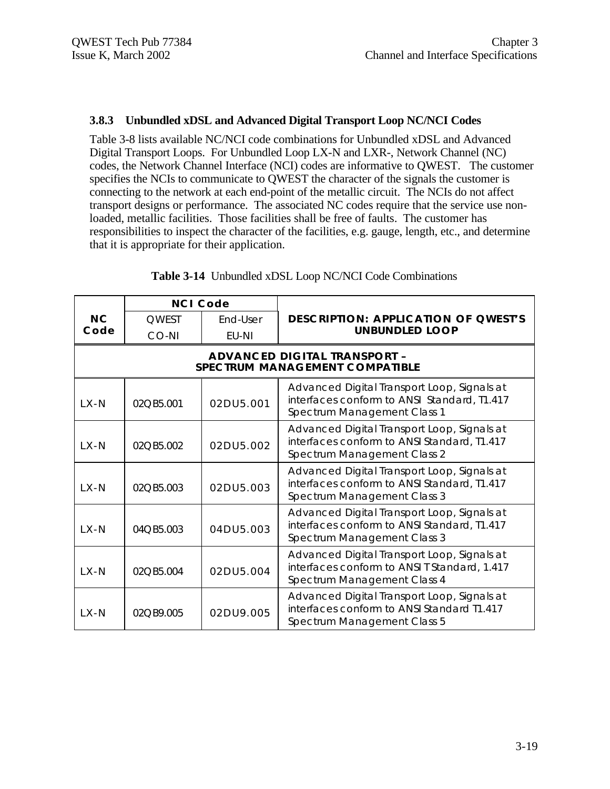#### **3.8.3 Unbundled xDSL and Advanced Digital Transport Loop NC/NCI Codes**

Table 3-8 lists available NC/NCI code combinations for Unbundled xDSL and Advanced Digital Transport Loops. For Unbundled Loop LX-N and LXR-, Network Channel (NC) codes, the Network Channel Interface (NCI) codes are informative to QWEST. The customer specifies the NCIs to communicate to QWEST the character of the signals the customer is connecting to the network at each end-point of the metallic circuit. The NCIs do not affect transport designs or performance. The associated NC codes require that the service use nonloaded, metallic facilities. Those facilities shall be free of faults. The customer has responsibilities to inspect the character of the facilities, e.g. gauge, length, etc., and determine that it is appropriate for their application.

|          | <b>NCI Code</b> |           |                                                                                                                            |
|----------|-----------------|-----------|----------------------------------------------------------------------------------------------------------------------------|
| NC       | <b>OWEST</b>    | End-User  | DESCRIPTION: APPLICATION OF QWEST'S                                                                                        |
| Code     | CO-NI           | EU-NI     | <b>UNBUNDLED LOOP</b>                                                                                                      |
|          |                 |           | ADVANCED DIGITAL TRANSPORT -<br>SPECTRUM MANAGEMENT COMPATIBLE                                                             |
| $LX-N$   | 02QB5.001       | 02DU5.001 | Advanced Digital Transport Loop, Signals at<br>interfaces conform to ANSI Standard, T1.417<br>Spectrum Management Class 1  |
| LX-N     | 02QB5.002       | 02DU5.002 | Advanced Digital Transport Loop, Signals at<br>interfaces conform to ANSI Standard, T1.417<br>Spectrum Management Class 2  |
| $LX-N$   | 02QB5.003       | 02DU5.003 | Advanced Digital Transport Loop, Signals at<br>interfaces conform to ANSI Standard, T1.417<br>Spectrum Management Class 3  |
| $IX - N$ | 04QB5.003       | 04DU5.003 | Advanced Digital Transport Loop, Signals at<br>interfaces conform to ANSI Standard, T1.417<br>Spectrum Management Class 3  |
| $IX - N$ | 02QB5.004       | 02DU5.004 | Advanced Digital Transport Loop, Signals at<br>interfaces conform to ANSI T Standard, 1.417<br>Spectrum Management Class 4 |
| $IX - N$ | 02OB9.005       | 02DU9.005 | Advanced Digital Transport Loop, Signals at<br>interfaces conform to ANSI Standard T1.417<br>Spectrum Management Class 5   |

**Table 3-14** Unbundled xDSL Loop NC/NCI Code Combinations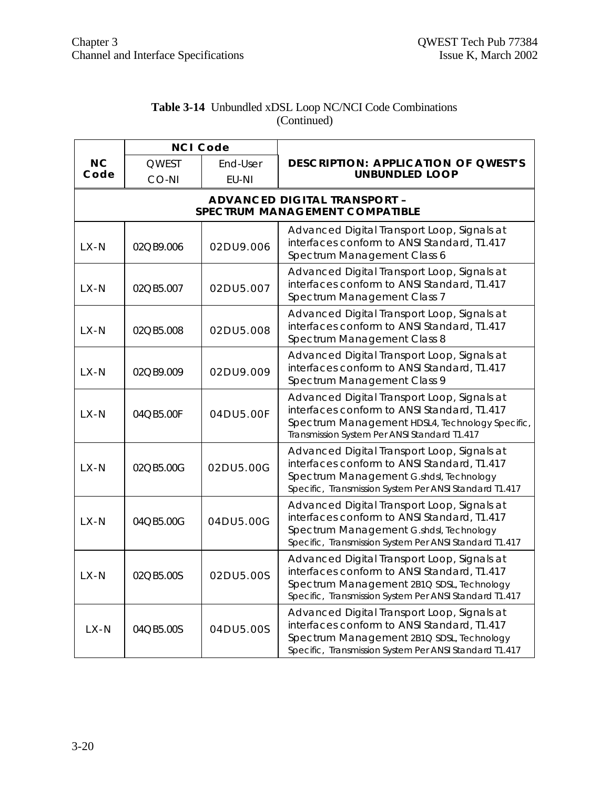| <b>Table 3-14</b> Unbundled xDSL Loop NC/NCI Code Combinations |
|----------------------------------------------------------------|
| (Continued)                                                    |

|                   | <b>NCI Code</b> |           |                                                                                                                                                                                                   |
|-------------------|-----------------|-----------|---------------------------------------------------------------------------------------------------------------------------------------------------------------------------------------------------|
| <b>NC</b><br>Code | <b>QWEST</b>    | End-User  | DESCRIPTION: APPLICATION OF QWEST'S                                                                                                                                                               |
|                   | CO-NI           | EU-NI     | <b>UNBUNDLED LOOP</b>                                                                                                                                                                             |
|                   |                 |           | ADVANCED DIGITAL TRANSPORT -<br>SPECTRUM MANAGEMENT COMPATIBLE                                                                                                                                    |
| $1 X - N$         | 02QB9.006       | 02DU9.006 | Advanced Digital Transport Loop, Signals at<br>interfaces conform to ANSI Standard, T1.417<br>Spectrum Management Class 6                                                                         |
| LX-N              | 02QB5.007       | 02DU5.007 | Advanced Digital Transport Loop, Signals at<br>interfaces conform to ANSI Standard, T1.417<br>Spectrum Management Class 7                                                                         |
| LX-N              | 02QB5.008       | 02DU5.008 | Advanced Digital Transport Loop, Signals at<br>interfaces conform to ANSI Standard, T1.417<br>Spectrum Management Class 8                                                                         |
| LX-N              | 02QB9.009       | 02DU9.009 | Advanced Digital Transport Loop, Signals at<br>interfaces conform to ANSI Standard, T1.417<br>Spectrum Management Class 9                                                                         |
| $LX-N$            | 04QB5.00F       | 04DU5.00F | Advanced Digital Transport Loop, Signals at<br>interfaces conform to ANSI Standard, T1.417<br>Spectrum Management HDSL4, Technology Specific,<br>Transmission System Per ANSI Standard T1.417     |
| $LX - N$          | 02QB5.00G       | 02DU5.00G | Advanced Digital Transport Loop, Signals at<br>interfaces conform to ANSI Standard, T1.417<br>Spectrum Management G.shdsl, Technology<br>Specific, Transmission System Per ANSI Standard T1.417   |
| $LX-N$            | 04QB5.00G       | 04DU5.00G | Advanced Digital Transport Loop, Signals at<br>interfaces conform to ANSI Standard, T1.417<br>Spectrum Management G.shdsl, Technology<br>Specific, Transmission System Per ANSI Standard T1.417   |
| $LX-N$            | 02QB5.00S       | 02DU5.00S | Advanced Digital Transport Loop, Signals at<br>interfaces conform to ANSI Standard, T1.417<br>Spectrum Management 2B1Q SDSL, Technology<br>Specific, Transmission System Per ANSI Standard T1.417 |
| $LX - N$          | 04QB5.00S       | 04DU5.00S | Advanced Digital Transport Loop, Signals at<br>interfaces conform to ANSI Standard, T1.417<br>Spectrum Management 2B1Q SDSL, Technology<br>Specific, Transmission System Per ANSI Standard T1.417 |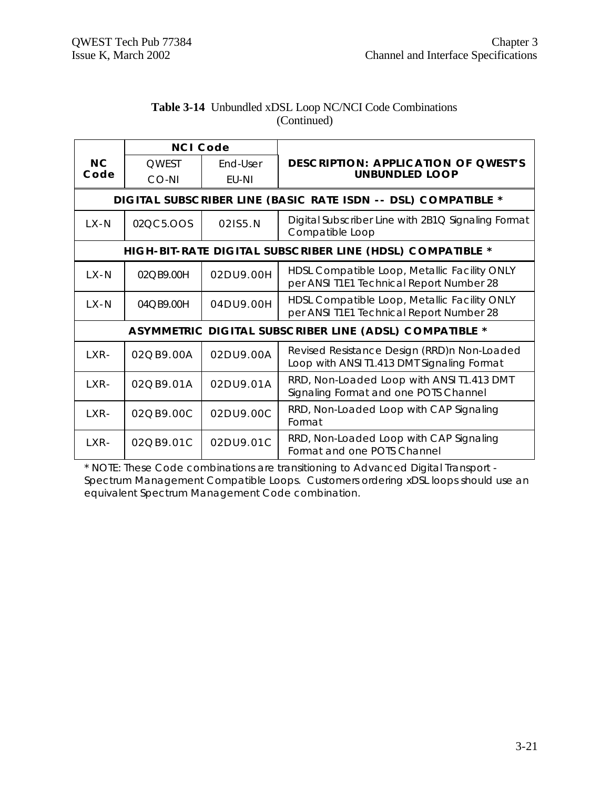|          | <b>NCI Code</b>          |           |                                                                                           |
|----------|--------------------------|-----------|-------------------------------------------------------------------------------------------|
| N C      | <b>OWEST</b>             | End-User  | <b>DESCRIPTION: APPLICATION OF QWEST'S</b>                                                |
| Code     | CO-NI                    | EU-NI     | <b>UNBUNDLED LOOP</b>                                                                     |
|          |                          |           | DIGITAL SUBSCRIBER LINE (BASIC RATE ISDN -- DSL) COMPATIBLE *                             |
| $LX-N$   | 02QC5.OOS                | 021S5.N   | Digital Subscriber Line with 2B1Q Signaling Format<br>Compatible Loop                     |
|          |                          |           | HIGH-BIT-RATE DIGITAL SUBSCRIBER LINE (HDSL) COMPATIBLE *                                 |
| $LX-N$   | 02QB9.00H                | 02DU9.00H | HDSL Compatible Loop, Metallic Facility ONLY<br>per ANSI T1E1 Technical Report Number 28  |
| $IX - N$ | 04OB9.00H                | 04DU9.00H | HDSL Compatible Loop, Metallic Facility ONLY<br>per ANSI T1E1 Technical Report Number 28  |
|          |                          |           | ASYMMETRIC DIGITAL SUBSCRIBER LINE (ADSL) COMPATIBLE *                                    |
| $IXR-$   | $02$ $O$ $B9$ , $00$ $A$ | 02DU9.00A | Revised Resistance Design (RRD)n Non-Loaded<br>Loop with ANSI T1.413 DMT Signaling Format |
| LXR-     | 02QB9.01A                | 02DU9.01A | RRD, Non-Loaded Loop with ANSI T1.413 DMT<br>Signaling Format and one POTS Channel        |
| LXR-     | 02QB9.00C                | 02DU9.00C | RRD, Non-Loaded Loop with CAP Signaling<br>Format                                         |
| $IXR-$   | $02$ $O$ $B9$ , $01$ $C$ | 02DU9.01C | RRD, Non-Loaded Loop with CAP Signaling<br>Format and one POTS Channel                    |

#### **Table 3-14** Unbundled xDSL Loop NC/NCI Code Combinations (Continued)

\* NOTE: These Code combinations are transitioning to Advanced Digital Transport - Spectrum Management Compatible Loops. Customers ordering xDSL loops should use an equivalent Spectrum Management Code combination.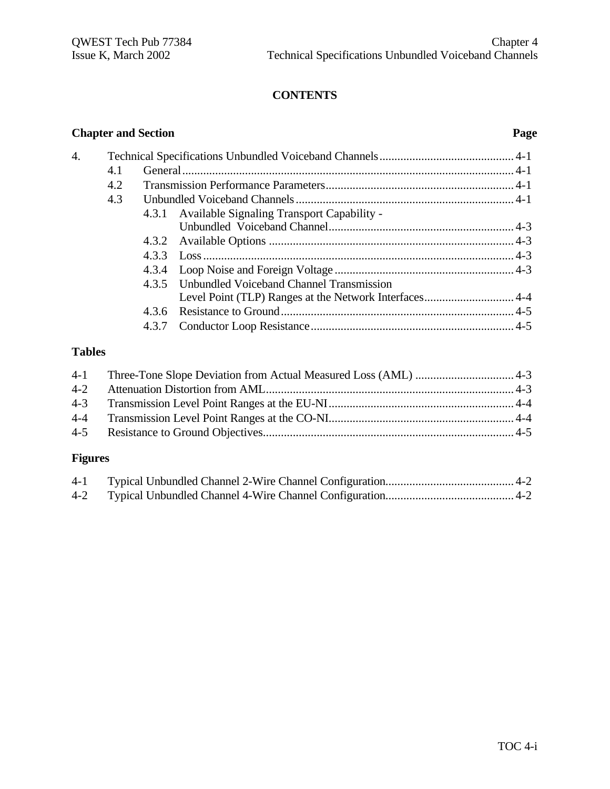# **CONTENTS**

# **Chapter and Section Page**

| $\mathbf 4$ |     |       |                                                  |  |
|-------------|-----|-------|--------------------------------------------------|--|
|             | 4.1 |       |                                                  |  |
|             | 4.2 |       |                                                  |  |
|             | 4.3 |       |                                                  |  |
|             |     |       | 4.3.1 Available Signaling Transport Capability - |  |
|             |     |       |                                                  |  |
|             |     |       |                                                  |  |
|             |     |       |                                                  |  |
|             |     |       |                                                  |  |
|             |     |       | 4.3.5 Unbundled Voiceband Channel Transmission   |  |
|             |     |       |                                                  |  |
|             |     | 4.3.6 |                                                  |  |
|             |     | 4.3.7 |                                                  |  |
|             |     |       |                                                  |  |

# **Tables**

# **Figures**

| $4-1$ |  |
|-------|--|
|       |  |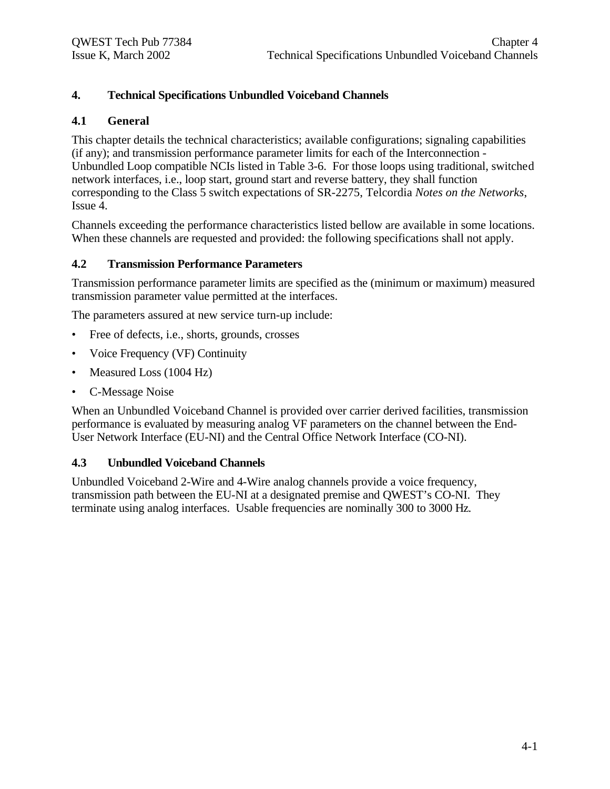# **4. Technical Specifications Unbundled Voiceband Channels**

#### **4.1 General**

This chapter details the technical characteristics; available configurations; signaling capabilities (if any); and transmission performance parameter limits for each of the Interconnection - Unbundled Loop compatible NCIs listed in Table 3-6. For those loops using traditional, switched network interfaces, i.e., loop start, ground start and reverse battery, they shall function corresponding to the Class 5 switch expectations of SR-2275, Telcordia *Notes on the Networks*, Issue 4.

Channels exceeding the performance characteristics listed bellow are available in some locations. When these channels are requested and provided: the following specifications shall not apply.

#### **4.2 Transmission Performance Parameters**

Transmission performance parameter limits are specified as the (minimum or maximum) measured transmission parameter value permitted at the interfaces.

The parameters assured at new service turn-up include:

- Free of defects, i.e., shorts, grounds, crosses
- Voice Frequency (VF) Continuity
- Measured Loss (1004 Hz)
- C-Message Noise

When an Unbundled Voiceband Channel is provided over carrier derived facilities, transmission performance is evaluated by measuring analog VF parameters on the channel between the End-User Network Interface (EU-NI) and the Central Office Network Interface (CO-NI).

#### **4.3 Unbundled Voiceband Channels**

Unbundled Voiceband 2-Wire and 4-Wire analog channels provide a voice frequency, transmission path between the EU-NI at a designated premise and QWEST's CO-NI. They terminate using analog interfaces. Usable frequencies are nominally 300 to 3000 Hz.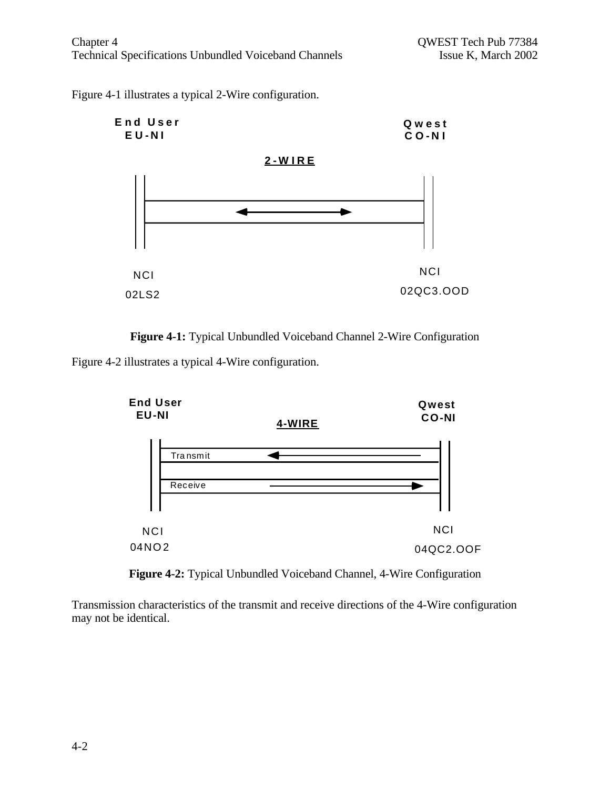Figure 4-1 illustrates a typical 2-Wire configuration.





Figure 4-2 illustrates a typical 4-Wire configuration.



**Figure 4-2:** Typical Unbundled Voiceband Channel, 4-Wire Configuration

Transmission characteristics of the transmit and receive directions of the 4-Wire configuration may not be identical.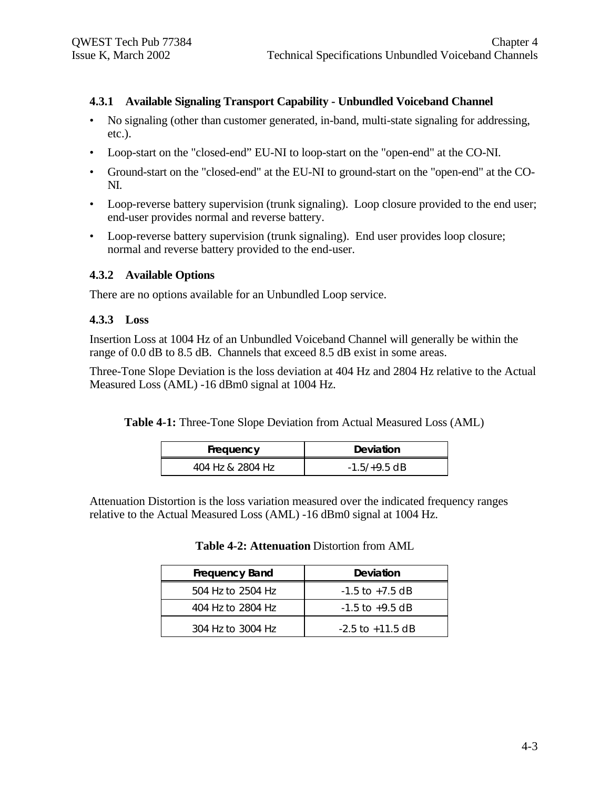#### **4.3.1 Available Signaling Transport Capability - Unbundled Voiceband Channel**

- No signaling (other than customer generated, in-band, multi-state signaling for addressing, etc.).
- Loop-start on the "closed-end" EU-NI to loop-start on the "open-end" at the CO-NI.
- Ground-start on the "closed-end" at the EU-NI to ground-start on the "open-end" at the CO-NI.
- Loop-reverse battery supervision (trunk signaling). Loop closure provided to the end user; end-user provides normal and reverse battery.
- Loop-reverse battery supervision (trunk signaling). End user provides loop closure; normal and reverse battery provided to the end-user.

#### **4.3.2 Available Options**

There are no options available for an Unbundled Loop service.

#### **4.3.3 Loss**

Insertion Loss at 1004 Hz of an Unbundled Voiceband Channel will generally be within the range of 0.0 dB to 8.5 dB. Channels that exceed 8.5 dB exist in some areas.

Three-Tone Slope Deviation is the loss deviation at 404 Hz and 2804 Hz relative to the Actual Measured Loss (AML) -16 dBm0 signal at 1004 Hz.

**Table 4-1:** Three-Tone Slope Deviation from Actual Measured Loss (AML)

| Frequency        | Deviation      |
|------------------|----------------|
| 404 Hz & 2804 Hz | $-1.5/+9.5$ dB |

Attenuation Distortion is the loss variation measured over the indicated frequency ranges relative to the Actual Measured Loss (AML) -16 dBm0 signal at 1004 Hz.

**Table 4-2: Attenuation** Distortion from AML

| <b>Frequency Band</b> | Deviation            |
|-----------------------|----------------------|
| 504 Hz to 2504 Hz     | $-1.5$ to $+7.5$ dB  |
| 404 Hz to 2804 Hz     | $-1.5$ to $+9.5$ dB  |
| 304 Hz to 3004 Hz     | $-2.5$ to $+11.5$ dB |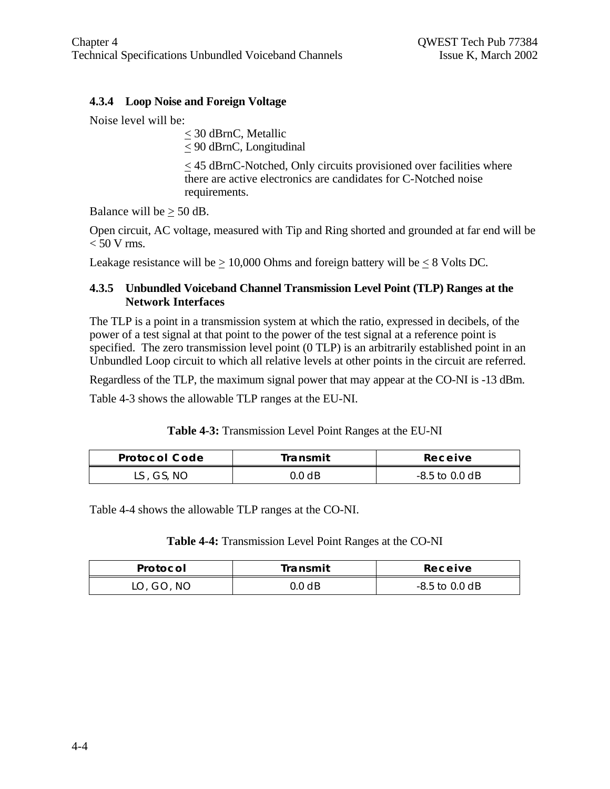# **4.3.4 Loop Noise and Foreign Voltage**

Noise level will be:

< 30 dBrnC, Metallic  $\leq$  90 dBrnC, Longitudinal

< 45 dBrnC-Notched, Only circuits provisioned over facilities where there are active electronics are candidates for C-Notched noise requirements.

Balance will be  $\geq 50$  dB.

Open circuit, AC voltage, measured with Tip and Ring shorted and grounded at far end will be  $< 50$  V rms.

Leakage resistance will be  $\geq 10,000$  Ohms and foreign battery will be  $\leq 8$  Volts DC.

## **4.3.5 Unbundled Voiceband Channel Transmission Level Point (TLP) Ranges at the Network Interfaces**

The TLP is a point in a transmission system at which the ratio, expressed in decibels, of the power of a test signal at that point to the power of the test signal at a reference point is specified. The zero transmission level point (0 TLP) is an arbitrarily established point in an Unbundled Loop circuit to which all relative levels at other points in the circuit are referred.

Regardless of the TLP, the maximum signal power that may appear at the CO-NI is -13 dBm.

Table 4-3 shows the allowable TLP ranges at the EU-NI.

| Table 4-3: Transmission Level Point Ranges at the EU-NI |  |  |
|---------------------------------------------------------|--|--|
|                                                         |  |  |

| <b>Protocol Code</b> | Transmit | Receive          |
|----------------------|----------|------------------|
| LS, GS, NO           | ).0 dB   | $-8.5$ to 0.0 dB |

Table 4-4 shows the allowable TLP ranges at the CO-NI.

#### **Table 4-4:** Transmission Level Point Ranges at the CO-NI

| Protocol   | Transmit | Receive        |
|------------|----------|----------------|
| LO, GO, NO | 0.0 dB   | -8.5 to 0.0 dB |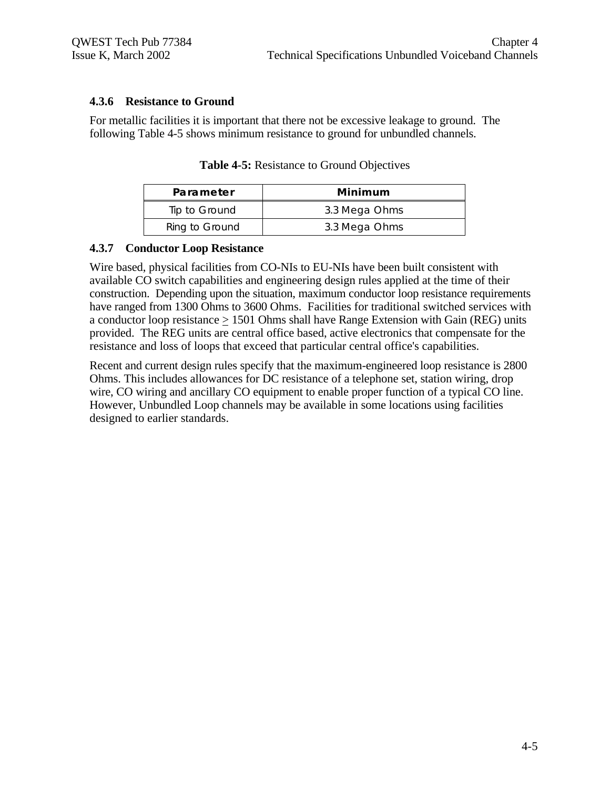#### **4.3.6 Resistance to Ground**

For metallic facilities it is important that there not be excessive leakage to ground. The following Table 4-5 shows minimum resistance to ground for unbundled channels.

| Parameter      | Minimum       |
|----------------|---------------|
| Tip to Ground  | 3.3 Mega Ohms |
| Ring to Ground | 3.3 Mega Ohms |

**Table 4-5:** Resistance to Ground Objectives

#### **4.3.7 Conductor Loop Resistance**

Wire based, physical facilities from CO-NIs to EU-NIs have been built consistent with available CO switch capabilities and engineering design rules applied at the time of their construction. Depending upon the situation, maximum conductor loop resistance requirements have ranged from 1300 Ohms to 3600 Ohms. Facilities for traditional switched services with a conductor loop resistance  $> 1501$  Ohms shall have Range Extension with Gain (REG) units provided. The REG units are central office based, active electronics that compensate for the resistance and loss of loops that exceed that particular central office's capabilities.

Recent and current design rules specify that the maximum-engineered loop resistance is 2800 Ohms. This includes allowances for DC resistance of a telephone set, station wiring, drop wire, CO wiring and ancillary CO equipment to enable proper function of a typical CO line. However, Unbundled Loop channels may be available in some locations using facilities designed to earlier standards.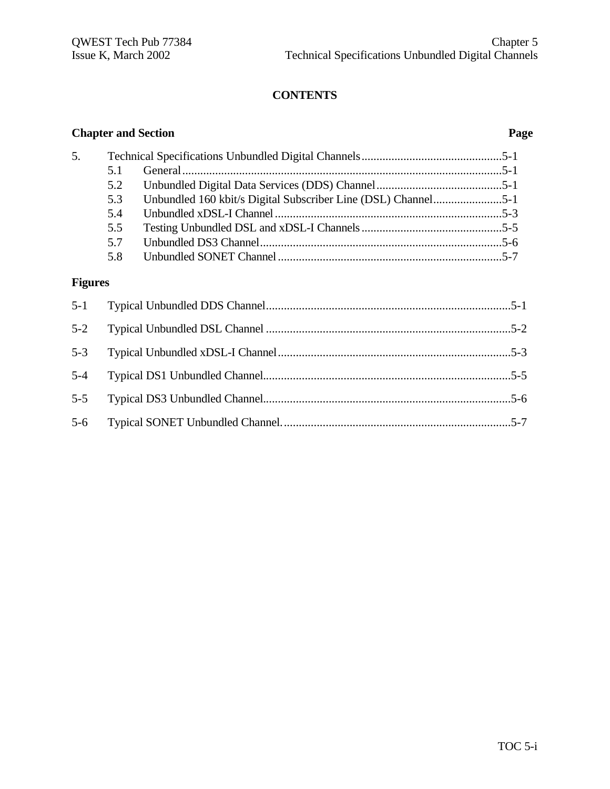# **CONTENTS**

|                | <b>Chapter and Section</b> |                                                               | Page |
|----------------|----------------------------|---------------------------------------------------------------|------|
| 5.             |                            |                                                               |      |
|                | 5.1                        |                                                               |      |
|                | 5.2                        |                                                               |      |
|                | 5.3                        | Unbundled 160 kbit/s Digital Subscriber Line (DSL) Channel5-1 |      |
|                | 5.4                        |                                                               |      |
|                | 5.5                        |                                                               |      |
|                | 5.7                        |                                                               |      |
|                | 5.8                        |                                                               |      |
| <b>Figures</b> |                            |                                                               |      |
| $5 - 1$        |                            |                                                               |      |
| $5 - 2$        |                            |                                                               |      |
| $5 - 3$        |                            |                                                               |      |
| $5 - 4$        |                            |                                                               |      |
| $5 - 5$        |                            |                                                               |      |
| $5-6$          |                            |                                                               |      |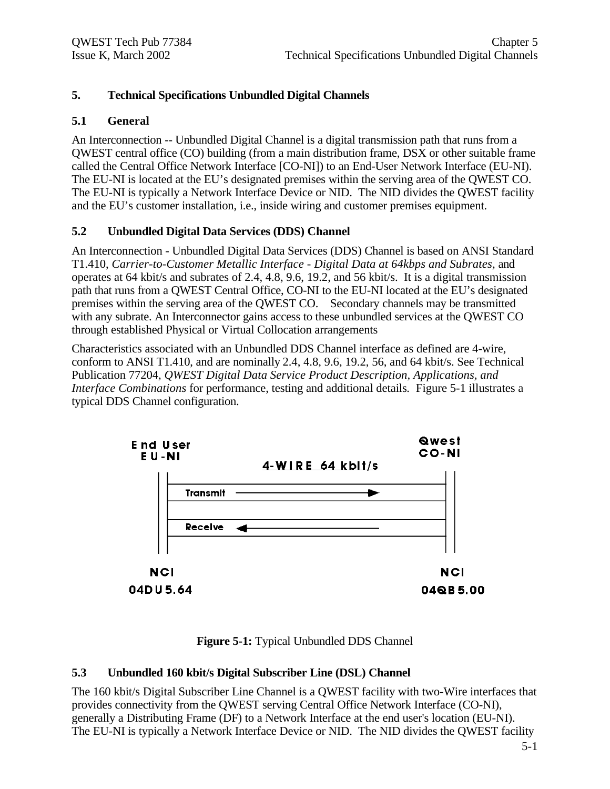# **5. Technical Specifications Unbundled Digital Channels**

#### **5.1 General**

An Interconnection -- Unbundled Digital Channel is a digital transmission path that runs from a QWEST central office (CO) building (from a main distribution frame, DSX or other suitable frame called the Central Office Network Interface [CO-NI]) to an End-User Network Interface (EU-NI). The EU-NI is located at the EU's designated premises within the serving area of the QWEST CO. The EU-NI is typically a Network Interface Device or NID. The NID divides the QWEST facility and the EU's customer installation, i.e., inside wiring and customer premises equipment.

# **5.2 Unbundled Digital Data Services (DDS) Channel**

An Interconnection - Unbundled Digital Data Services (DDS) Channel is based on ANSI Standard T1.410, *Carrier-to-Customer Metallic Interface - Digital Data at 64kbps and Subrates,* and operates at 64 kbit/s and subrates of 2.4, 4.8, 9.6, 19.2, and 56 kbit/s. It is a digital transmission path that runs from a QWEST Central Office, CO-NI to the EU-NI located at the EU's designated premises within the serving area of the QWEST CO. Secondary channels may be transmitted with any subrate. An Interconnector gains access to these unbundled services at the QWEST CO through established Physical or Virtual Collocation arrangements

Characteristics associated with an Unbundled DDS Channel interface as defined are 4-wire, conform to ANSI T1.410, and are nominally 2.4, 4.8, 9.6, 19.2, 56, and 64 kbit/s. See Technical Publication 77204, *QWEST Digital Data Service Product Description, Applications, and Interface Combinations* for performance, testing and additional details*.* Figure 5-1 illustrates a typical DDS Channel configuration.



**Figure 5-1:** Typical Unbundled DDS Channel

#### **5.3 Unbundled 160 kbit/s Digital Subscriber Line (DSL) Channel**

The 160 kbit/s Digital Subscriber Line Channel is a QWEST facility with two-Wire interfaces that provides connectivity from the QWEST serving Central Office Network Interface (CO-NI), generally a Distributing Frame (DF) to a Network Interface at the end user's location (EU-NI). The EU-NI is typically a Network Interface Device or NID. The NID divides the QWEST facility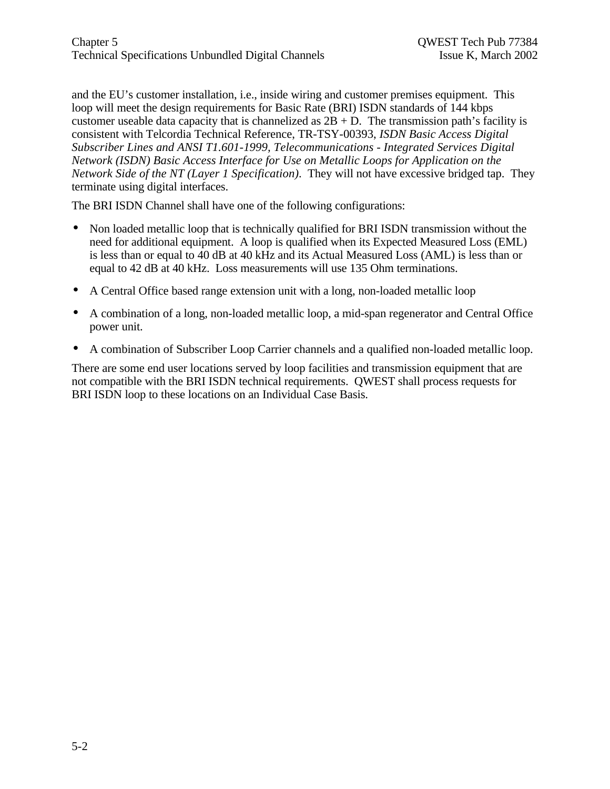and the EU's customer installation, i.e., inside wiring and customer premises equipment. This loop will meet the design requirements for Basic Rate (BRI) ISDN standards of 144 kbps customer useable data capacity that is channelized as  $2B + D$ . The transmission path's facility is consistent with Telcordia Technical Reference, TR-TSY-00393, *ISDN Basic Access Digital Subscriber Lines and ANSI T1.601-1999, Telecommunications - Integrated Services Digital Network (ISDN) Basic Access Interface for Use on Metallic Loops for Application on the Network Side of the NT (Layer 1 Specification)*. They will not have excessive bridged tap. They terminate using digital interfaces.

The BRI ISDN Channel shall have one of the following configurations:

- Non loaded metallic loop that is technically qualified for BRI ISDN transmission without the need for additional equipment. A loop is qualified when its Expected Measured Loss (EML) is less than or equal to 40 dB at 40 kHz and its Actual Measured Loss (AML) is less than or equal to 42 dB at 40 kHz. Loss measurements will use 135 Ohm terminations.
- A Central Office based range extension unit with a long, non-loaded metallic loop
- A combination of a long, non-loaded metallic loop, a mid-span regenerator and Central Office power unit.
- A combination of Subscriber Loop Carrier channels and a qualified non-loaded metallic loop.

There are some end user locations served by loop facilities and transmission equipment that are not compatible with the BRI ISDN technical requirements. QWEST shall process requests for BRI ISDN loop to these locations on an Individual Case Basis.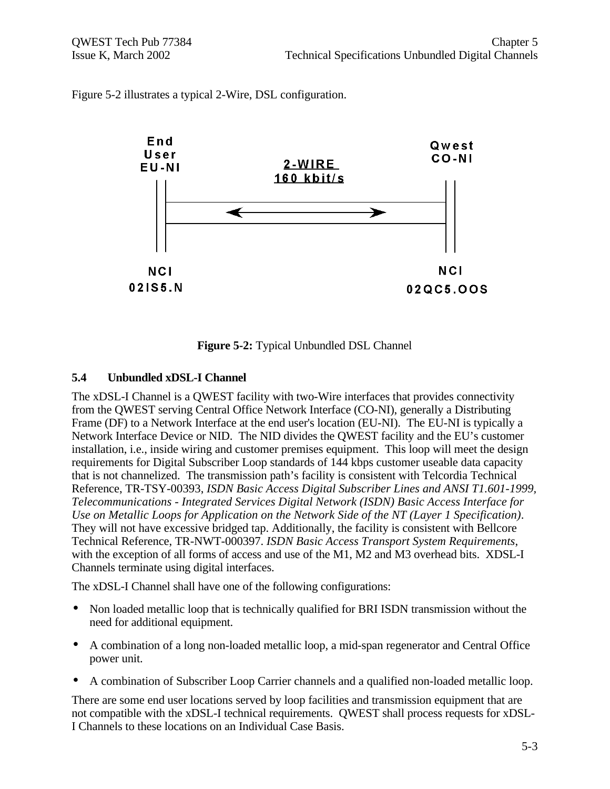Figure 5-2 illustrates a typical 2-Wire, DSL configuration.



**Figure 5-2:** Typical Unbundled DSL Channel

#### **5.4 Unbundled xDSL-I Channel**

The xDSL-I Channel is a QWEST facility with two-Wire interfaces that provides connectivity from the QWEST serving Central Office Network Interface (CO-NI), generally a Distributing Frame (DF) to a Network Interface at the end user's location (EU-NI). The EU-NI is typically a Network Interface Device or NID. The NID divides the QWEST facility and the EU's customer installation, i.e., inside wiring and customer premises equipment. This loop will meet the design requirements for Digital Subscriber Loop standards of 144 kbps customer useable data capacity that is not channelized. The transmission path's facility is consistent with Telcordia Technical Reference, TR-TSY-00393, *ISDN Basic Access Digital Subscriber Lines and ANSI T1.601-1999, Telecommunications - Integrated Services Digital Network (ISDN) Basic Access Interface for Use on Metallic Loops for Application on the Network Side of the NT (Layer 1 Specification)*. They will not have excessive bridged tap. Additionally, the facility is consistent with Bellcore Technical Reference, TR-NWT-000397. *ISDN Basic Access Transport System Requirements*, with the exception of all forms of access and use of the M1, M2 and M3 overhead bits. XDSL-I Channels terminate using digital interfaces.

The xDSL-I Channel shall have one of the following configurations:

- Non loaded metallic loop that is technically qualified for BRI ISDN transmission without the need for additional equipment.
- A combination of a long non-loaded metallic loop, a mid-span regenerator and Central Office power unit.
- A combination of Subscriber Loop Carrier channels and a qualified non-loaded metallic loop.

There are some end user locations served by loop facilities and transmission equipment that are not compatible with the xDSL-I technical requirements. QWEST shall process requests for xDSL-I Channels to these locations on an Individual Case Basis.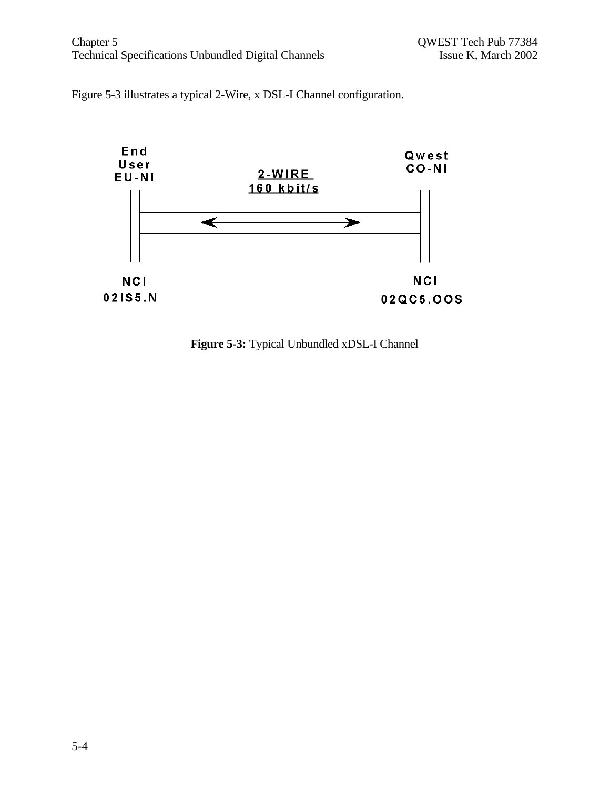#### Chapter 5 Chapter 5 QWEST Tech Pub 77384<br>Technical Specifications Unbundled Digital Channels Specifications Unbundled Digital Channels Specifications Unbundled Digital Channels Technical Specifications Unbundled Digital Channels

Figure 5-3 illustrates a typical 2-Wire, x DSL-I Channel configuration.



**Figure 5-3:** Typical Unbundled xDSL-I Channel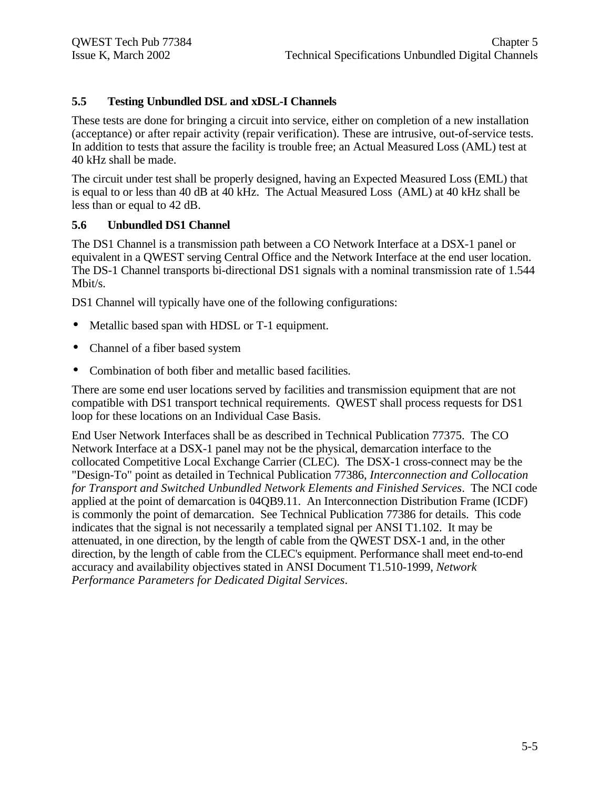#### **5.5 Testing Unbundled DSL and xDSL-I Channels**

These tests are done for bringing a circuit into service, either on completion of a new installation (acceptance) or after repair activity (repair verification). These are intrusive, out-of-service tests. In addition to tests that assure the facility is trouble free; an Actual Measured Loss (AML) test at 40 kHz shall be made.

The circuit under test shall be properly designed, having an Expected Measured Loss (EML) that is equal to or less than 40 dB at 40 kHz. The Actual Measured Loss (AML) at 40 kHz shall be less than or equal to 42 dB.

#### **5.6 Unbundled DS1 Channel**

The DS1 Channel is a transmission path between a CO Network Interface at a DSX-1 panel or equivalent in a QWEST serving Central Office and the Network Interface at the end user location. The DS-1 Channel transports bi-directional DS1 signals with a nominal transmission rate of 1.544 Mbit/s.

DS1 Channel will typically have one of the following configurations:

- Metallic based span with HDSL or T-1 equipment.
- Channel of a fiber based system
- Combination of both fiber and metallic based facilities.

There are some end user locations served by facilities and transmission equipment that are not compatible with DS1 transport technical requirements. QWEST shall process requests for DS1 loop for these locations on an Individual Case Basis.

End User Network Interfaces shall be as described in Technical Publication 77375. The CO Network Interface at a DSX-1 panel may not be the physical, demarcation interface to the collocated Competitive Local Exchange Carrier (CLEC). The DSX-1 cross-connect may be the "Design-To" point as detailed in Technical Publication 77386, *Interconnection and Collocation for Transport and Switched Unbundled Network Elements and Finished Services*. The NCI code applied at the point of demarcation is 04QB9.11. An Interconnection Distribution Frame (ICDF) is commonly the point of demarcation. See Technical Publication 77386 for details. This code indicates that the signal is not necessarily a templated signal per ANSI T1.102. It may be attenuated, in one direction, by the length of cable from the QWEST DSX-1 and, in the other direction, by the length of cable from the CLEC's equipment. Performance shall meet end-to-end accuracy and availability objectives stated in ANSI Document T1.510-1999, *Network Performance Parameters for Dedicated Digital Services*.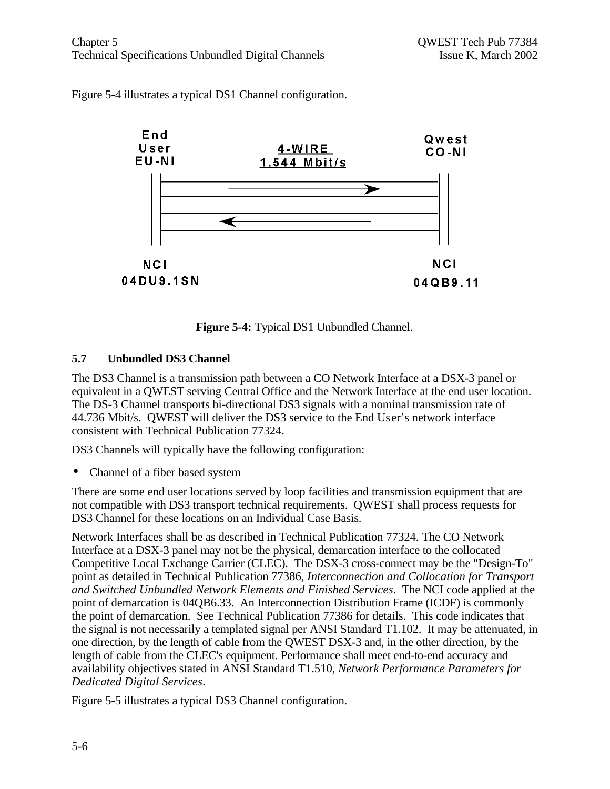



**Figure 5-4:** Typical DS1 Unbundled Channel.

# **5.7 Unbundled DS3 Channel**

The DS3 Channel is a transmission path between a CO Network Interface at a DSX-3 panel or equivalent in a QWEST serving Central Office and the Network Interface at the end user location. The DS-3 Channel transports bi-directional DS3 signals with a nominal transmission rate of 44.736 Mbit/s. QWEST will deliver the DS3 service to the End User's network interface consistent with Technical Publication 77324.

DS3 Channels will typically have the following configuration:

• Channel of a fiber based system

There are some end user locations served by loop facilities and transmission equipment that are not compatible with DS3 transport technical requirements. QWEST shall process requests for DS3 Channel for these locations on an Individual Case Basis.

Network Interfaces shall be as described in Technical Publication 77324. The CO Network Interface at a DSX-3 panel may not be the physical, demarcation interface to the collocated Competitive Local Exchange Carrier (CLEC). The DSX-3 cross-connect may be the "Design-To" point as detailed in Technical Publication 77386, *Interconnection and Collocation for Transport and Switched Unbundled Network Elements and Finished Services*. The NCI code applied at the point of demarcation is 04QB6.33. An Interconnection Distribution Frame (ICDF) is commonly the point of demarcation. See Technical Publication 77386 for details. This code indicates that the signal is not necessarily a templated signal per ANSI Standard T1.102. It may be attenuated, in one direction, by the length of cable from the QWEST DSX-3 and, in the other direction, by the length of cable from the CLEC's equipment. Performance shall meet end-to-end accuracy and availability objectives stated in ANSI Standard T1.510, *Network Performance Parameters for Dedicated Digital Services*.

Figure 5-5 illustrates a typical DS3 Channel configuration.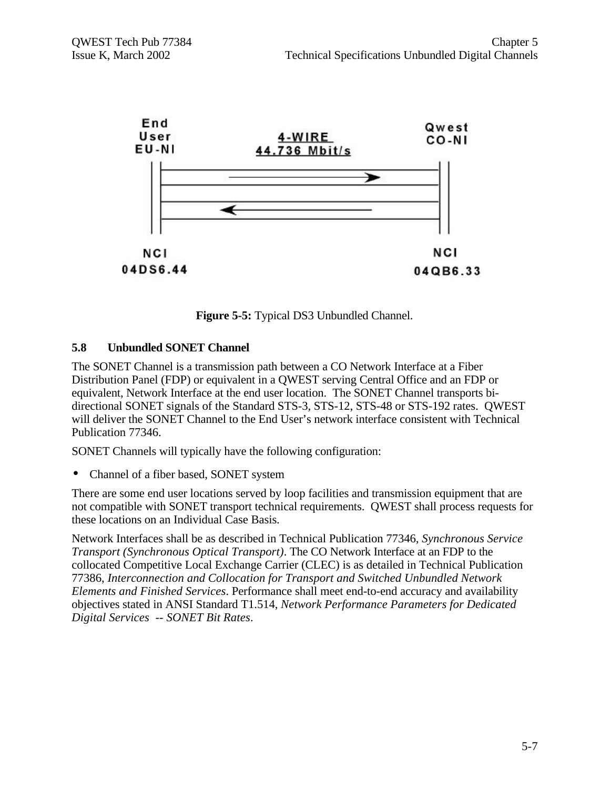

**Figure 5-5:** Typical DS3 Unbundled Channel.

#### **5.8 Unbundled SONET Channel**

The SONET Channel is a transmission path between a CO Network Interface at a Fiber Distribution Panel (FDP) or equivalent in a QWEST serving Central Office and an FDP or equivalent, Network Interface at the end user location. The SONET Channel transports bidirectional SONET signals of the Standard STS-3, STS-12, STS-48 or STS-192 rates. QWEST will deliver the SONET Channel to the End User's network interface consistent with Technical Publication 77346.

SONET Channels will typically have the following configuration:

• Channel of a fiber based, SONET system

There are some end user locations served by loop facilities and transmission equipment that are not compatible with SONET transport technical requirements. QWEST shall process requests for these locations on an Individual Case Basis.

Network Interfaces shall be as described in Technical Publication 77346*, Synchronous Service Transport (Synchronous Optical Transport)*. The CO Network Interface at an FDP to the collocated Competitive Local Exchange Carrier (CLEC) is as detailed in Technical Publication 77386, *Interconnection and Collocation for Transport and Switched Unbundled Network Elements and Finished Services*. Performance shall meet end-to-end accuracy and availability objectives stated in ANSI Standard T1.514, *Network Performance Parameters for Dedicated Digital Services -- SONET Bit Rates*.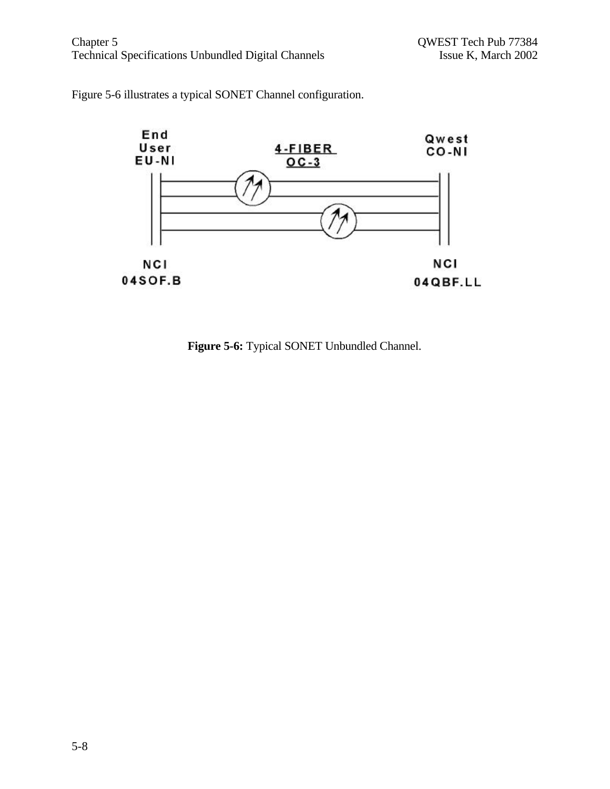



**Figure 5-6:** Typical SONET Unbundled Channel.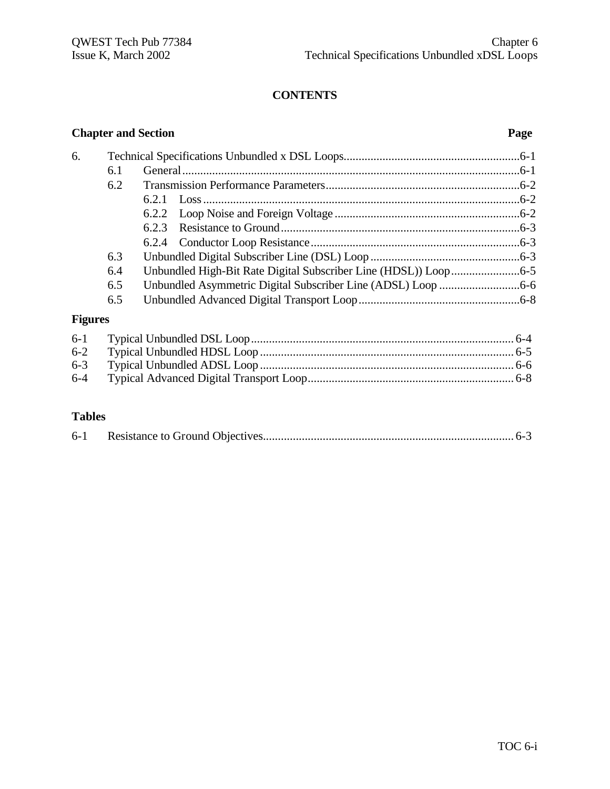# **CONTENTS**

# **Chapter and Section Page** 6. Technical Specifications Unbundled x DSL Loops...........................................................6-1 6.1 General.................................................................................................................6-1 6.2 Transmission Performance Parameters.................................................................6-2 6.2.1 Loss..........................................................................................................6-2 6.2.2 Loop Noise and Foreign Voltage ..............................................................6-2 6.2.3 Resistance to Ground................................................................................6-3 6.2.4 Conductor Loop Resistance......................................................................6-3 6.3 Unbundled Digital Subscriber Line (DSL) Loop ..................................................6-3 6.4 Unbundled High-Bit Rate Digital Subscriber Line (HDSL)) Loop.......................6-5 6.5 Unbundled Asymmetric Digital Subscriber Line (ADSL) Loop ...........................6-6 6.5 Unbundled Advanced Digital Transport Loop......................................................6-8 **Figures** 6-1 Typical Unbundled DSL Loop........................................................................................ 6-4

#### **Tables**

|--|--|--|--|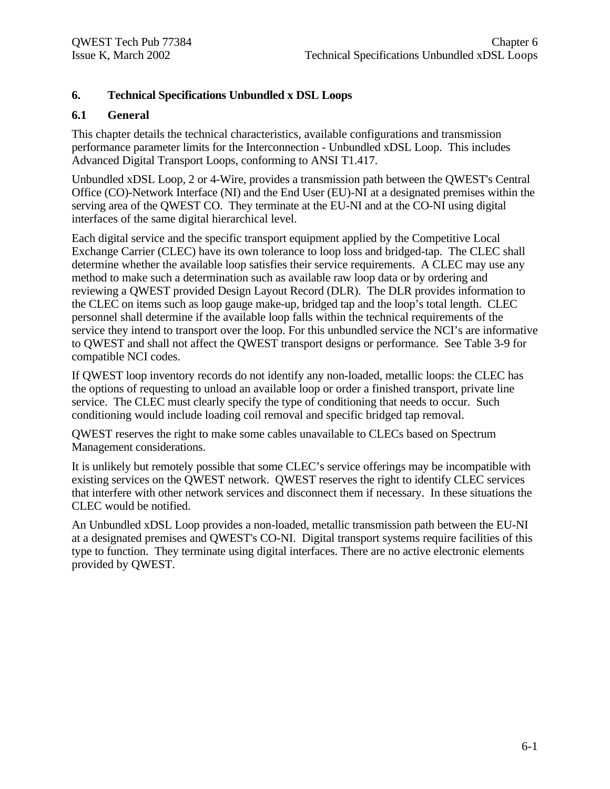## **6. Technical Specifications Unbundled x DSL Loops**

#### **6.1 General**

This chapter details the technical characteristics, available configurations and transmission performance parameter limits for the Interconnection - Unbundled xDSL Loop. This includes Advanced Digital Transport Loops, conforming to ANSI T1.417.

Unbundled xDSL Loop, 2 or 4-Wire, provides a transmission path between the QWEST's Central Office (CO)-Network Interface (NI) and the End User (EU)-NI at a designated premises within the serving area of the QWEST CO. They terminate at the EU-NI and at the CO-NI using digital interfaces of the same digital hierarchical level.

Each digital service and the specific transport equipment applied by the Competitive Local Exchange Carrier (CLEC) have its own tolerance to loop loss and bridged-tap. The CLEC shall determine whether the available loop satisfies their service requirements. A CLEC may use any method to make such a determination such as available raw loop data or by ordering and reviewing a QWEST provided Design Layout Record (DLR). The DLR provides information to the CLEC on items such as loop gauge make-up, bridged tap and the loop's total length. CLEC personnel shall determine if the available loop falls within the technical requirements of the service they intend to transport over the loop. For this unbundled service the NCI's are informative to QWEST and shall not affect the QWEST transport designs or performance. See Table 3-9 for compatible NCI codes.

If QWEST loop inventory records do not identify any non-loaded, metallic loops: the CLEC has the options of requesting to unload an available loop or order a finished transport, private line service. The CLEC must clearly specify the type of conditioning that needs to occur. Such conditioning would include loading coil removal and specific bridged tap removal.

QWEST reserves the right to make some cables unavailable to CLECs based on Spectrum Management considerations.

It is unlikely but remotely possible that some CLEC's service offerings may be incompatible with existing services on the QWEST network. QWEST reserves the right to identify CLEC services that interfere with other network services and disconnect them if necessary. In these situations the CLEC would be notified.

An Unbundled xDSL Loop provides a non-loaded, metallic transmission path between the EU-NI at a designated premises and QWEST's CO-NI. Digital transport systems require facilities of this type to function. They terminate using digital interfaces. There are no active electronic elements provided by QWEST.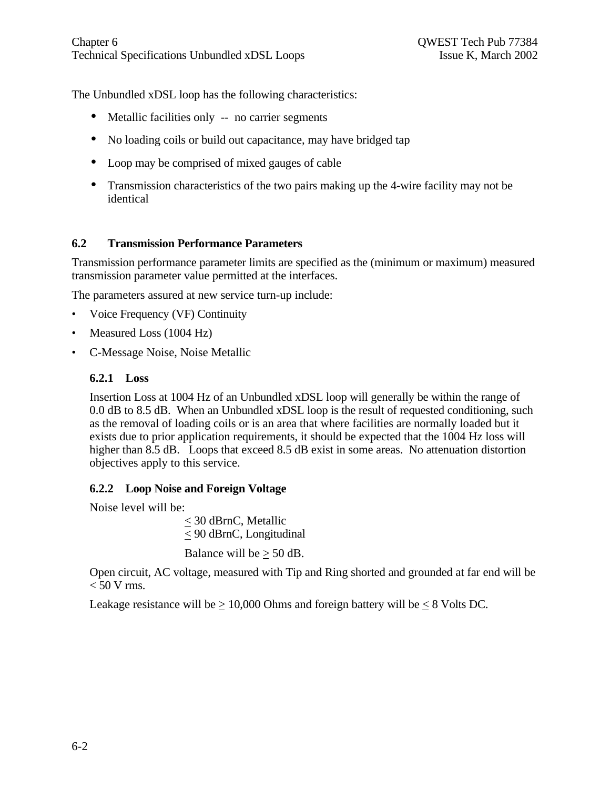The Unbundled xDSL loop has the following characteristics:

- Metallic facilities only -- no carrier segments
- No loading coils or build out capacitance, may have bridged tap
- Loop may be comprised of mixed gauges of cable
- Transmission characteristics of the two pairs making up the 4-wire facility may not be identical

#### **6.2 Transmission Performance Parameters**

Transmission performance parameter limits are specified as the (minimum or maximum) measured transmission parameter value permitted at the interfaces.

The parameters assured at new service turn-up include:

- Voice Frequency (VF) Continuity
- Measured Loss (1004 Hz)
- C-Message Noise, Noise Metallic

#### **6.2.1 Loss**

Insertion Loss at 1004 Hz of an Unbundled xDSL loop will generally be within the range of 0.0 dB to 8.5 dB. When an Unbundled xDSL loop is the result of requested conditioning, such as the removal of loading coils or is an area that where facilities are normally loaded but it exists due to prior application requirements, it should be expected that the 1004 Hz loss will higher than 8.5 dB. Loops that exceed 8.5 dB exist in some areas. No attenuation distortion objectives apply to this service.

#### **6.2.2 Loop Noise and Foreign Voltage**

Noise level will be:

< 30 dBrnC, Metallic < 90 dBrnC, Longitudinal

Balance will be  $\geq 50$  dB.

Open circuit, AC voltage, measured with Tip and Ring shorted and grounded at far end will be  $< 50$  V rms.

Leakage resistance will be  $> 10,000$  Ohms and foreign battery will be  $< 8$  Volts DC.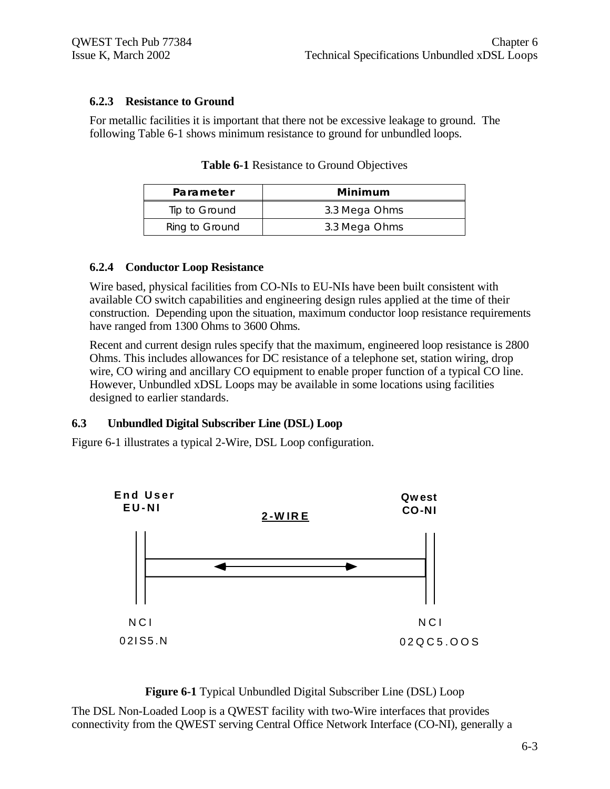#### **6.2.3 Resistance to Ground**

For metallic facilities it is important that there not be excessive leakage to ground. The following Table 6-1 shows minimum resistance to ground for unbundled loops.

| Parameter      | Minimum       |
|----------------|---------------|
| Tip to Ground  | 3.3 Mega Ohms |
| Ring to Ground | 3.3 Mega Ohms |

**Table 6-1** Resistance to Ground Objectives

#### **6.2.4 Conductor Loop Resistance**

Wire based, physical facilities from CO-NIs to EU-NIs have been built consistent with available CO switch capabilities and engineering design rules applied at the time of their construction. Depending upon the situation, maximum conductor loop resistance requirements have ranged from 1300 Ohms to 3600 Ohms.

Recent and current design rules specify that the maximum, engineered loop resistance is 2800 Ohms. This includes allowances for DC resistance of a telephone set, station wiring, drop wire, CO wiring and ancillary CO equipment to enable proper function of a typical CO line. However, Unbundled xDSL Loops may be available in some locations using facilities designed to earlier standards.

#### **6.3 Unbundled Digital Subscriber Line (DSL) Loop**

Figure 6-1 illustrates a typical 2-Wire, DSL Loop configuration.



**Figure 6-1** Typical Unbundled Digital Subscriber Line (DSL) Loop

The DSL Non-Loaded Loop is a QWEST facility with two-Wire interfaces that provides connectivity from the QWEST serving Central Office Network Interface (CO-NI), generally a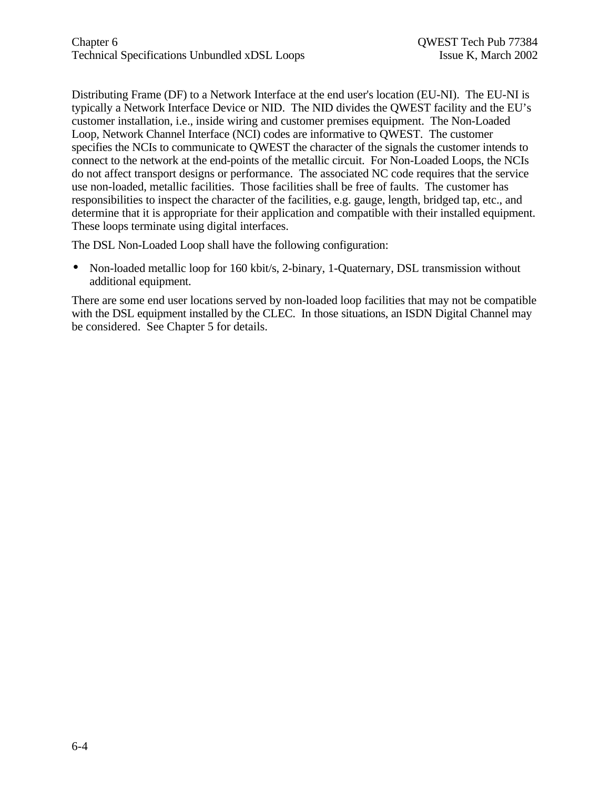Distributing Frame (DF) to a Network Interface at the end user's location (EU-NI). The EU-NI is typically a Network Interface Device or NID. The NID divides the QWEST facility and the EU's customer installation, i.e., inside wiring and customer premises equipment. The Non-Loaded Loop, Network Channel Interface (NCI) codes are informative to QWEST. The customer specifies the NCIs to communicate to QWEST the character of the signals the customer intends to connect to the network at the end-points of the metallic circuit. For Non-Loaded Loops, the NCIs do not affect transport designs or performance. The associated NC code requires that the service use non-loaded, metallic facilities. Those facilities shall be free of faults. The customer has responsibilities to inspect the character of the facilities, e.g. gauge, length, bridged tap, etc., and determine that it is appropriate for their application and compatible with their installed equipment. These loops terminate using digital interfaces.

The DSL Non-Loaded Loop shall have the following configuration:

• Non-loaded metallic loop for 160 kbit/s, 2-binary, 1-Quaternary, DSL transmission without additional equipment.

There are some end user locations served by non-loaded loop facilities that may not be compatible with the DSL equipment installed by the CLEC. In those situations, an ISDN Digital Channel may be considered. See Chapter 5 for details.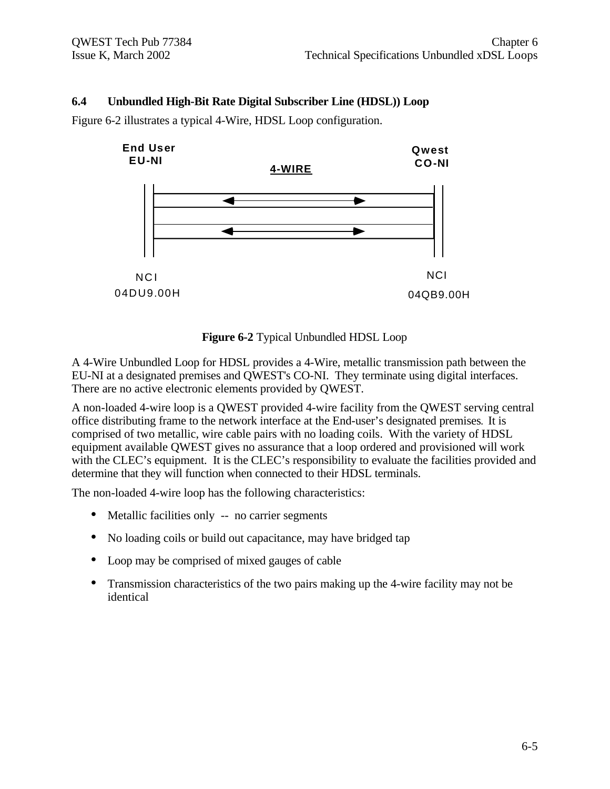#### **6.4 Unbundled High-Bit Rate Digital Subscriber Line (HDSL)) Loop**

Figure 6-2 illustrates a typical 4-Wire, HDSL Loop configuration.



#### **Figure 6-2** Typical Unbundled HDSL Loop

A 4-Wire Unbundled Loop for HDSL provides a 4-Wire, metallic transmission path between the EU-NI at a designated premises and QWEST's CO-NI. They terminate using digital interfaces. There are no active electronic elements provided by QWEST.

A non-loaded 4-wire loop is a QWEST provided 4-wire facility from the QWEST serving central office distributing frame to the network interface at the End-user's designated premises**.** It is comprised of two metallic, wire cable pairs with no loading coils. With the variety of HDSL equipment available QWEST gives no assurance that a loop ordered and provisioned will work with the CLEC's equipment. It is the CLEC's responsibility to evaluate the facilities provided and determine that they will function when connected to their HDSL terminals.

The non-loaded 4-wire loop has the following characteristics:

- Metallic facilities only -- no carrier segments
- No loading coils or build out capacitance, may have bridged tap
- Loop may be comprised of mixed gauges of cable
- Transmission characteristics of the two pairs making up the 4-wire facility may not be identical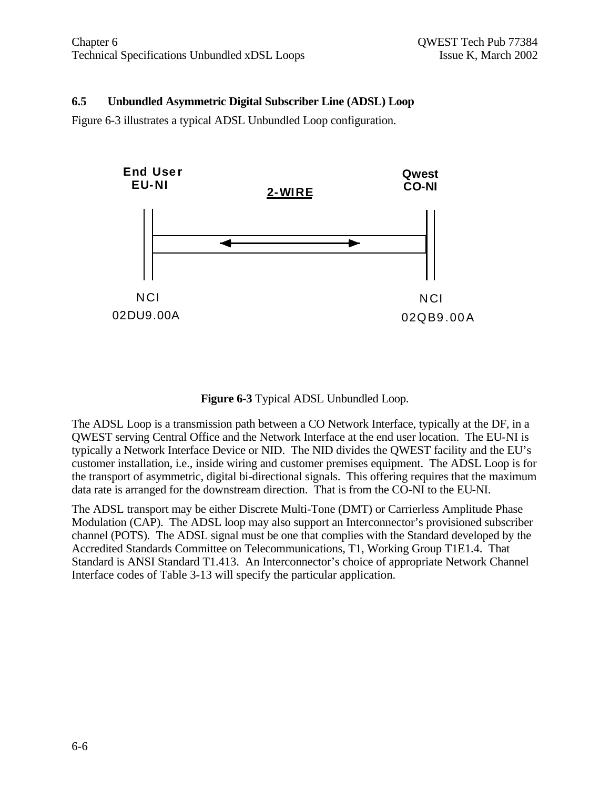## **6.5 Unbundled Asymmetric Digital Subscriber Line (ADSL) Loop**

Figure 6-3 illustrates a typical ADSL Unbundled Loop configuration.



**Figure 6-3** Typical ADSL Unbundled Loop.

The ADSL Loop is a transmission path between a CO Network Interface, typically at the DF, in a QWEST serving Central Office and the Network Interface at the end user location. The EU-NI is typically a Network Interface Device or NID. The NID divides the QWEST facility and the EU's customer installation, i.e., inside wiring and customer premises equipment. The ADSL Loop is for the transport of asymmetric, digital bi-directional signals. This offering requires that the maximum data rate is arranged for the downstream direction. That is from the CO-NI to the EU-NI.

The ADSL transport may be either Discrete Multi-Tone (DMT) or Carrierless Amplitude Phase Modulation (CAP). The ADSL loop may also support an Interconnector's provisioned subscriber channel (POTS). The ADSL signal must be one that complies with the Standard developed by the Accredited Standards Committee on Telecommunications, T1, Working Group T1E1.4. That Standard is ANSI Standard T1.413. An Interconnector's choice of appropriate Network Channel Interface codes of Table 3-13 will specify the particular application.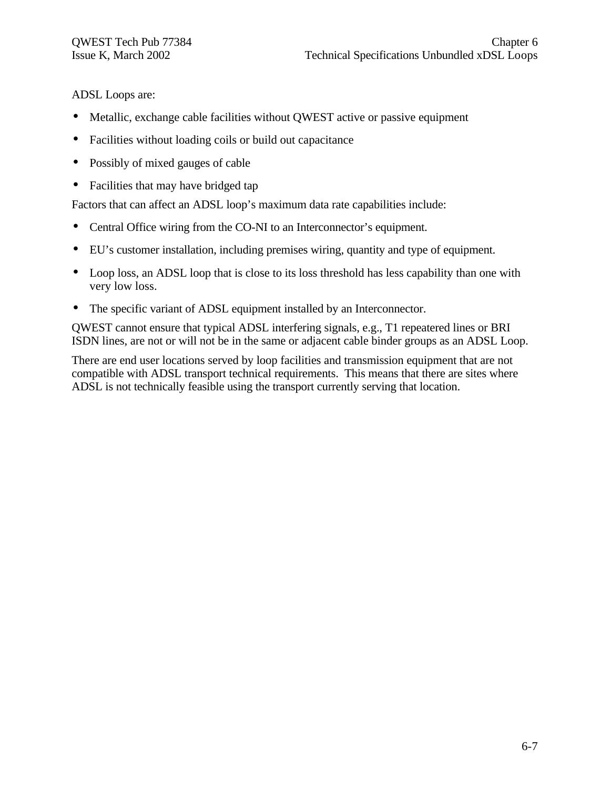ADSL Loops are:

- Metallic, exchange cable facilities without OWEST active or passive equipment
- Facilities without loading coils or build out capacitance
- Possibly of mixed gauges of cable
- Facilities that may have bridged tap

Factors that can affect an ADSL loop's maximum data rate capabilities include:

- Central Office wiring from the CO-NI to an Interconnector's equipment.
- EU's customer installation, including premises wiring, quantity and type of equipment.
- Loop loss, an ADSL loop that is close to its loss threshold has less capability than one with very low loss.
- The specific variant of ADSL equipment installed by an Interconnector.

QWEST cannot ensure that typical ADSL interfering signals, e.g., T1 repeatered lines or BRI ISDN lines, are not or will not be in the same or adjacent cable binder groups as an ADSL Loop.

There are end user locations served by loop facilities and transmission equipment that are not compatible with ADSL transport technical requirements. This means that there are sites where ADSL is not technically feasible using the transport currently serving that location.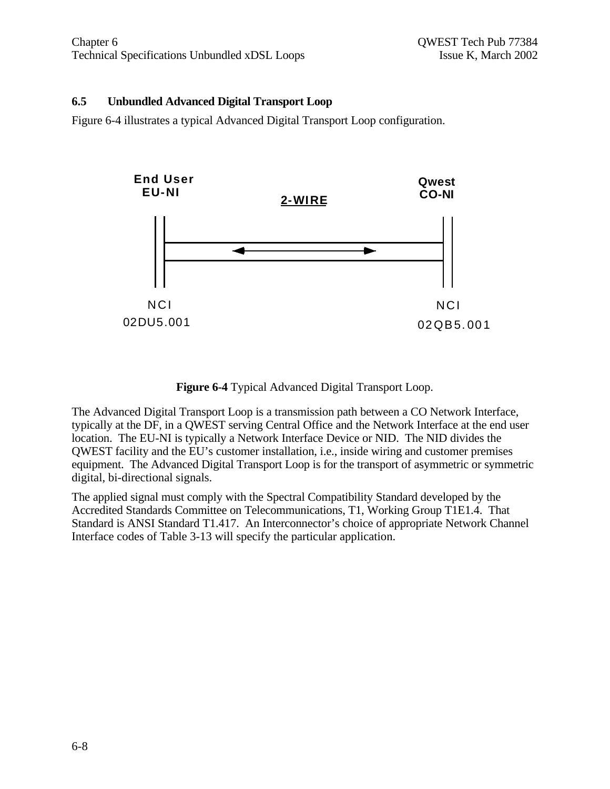## **6.5 Unbundled Advanced Digital Transport Loop**

Figure 6-4 illustrates a typical Advanced Digital Transport Loop configuration.



**Figure 6-4** Typical Advanced Digital Transport Loop.

The Advanced Digital Transport Loop is a transmission path between a CO Network Interface, typically at the DF, in a QWEST serving Central Office and the Network Interface at the end user location. The EU-NI is typically a Network Interface Device or NID. The NID divides the QWEST facility and the EU's customer installation, i.e., inside wiring and customer premises equipment. The Advanced Digital Transport Loop is for the transport of asymmetric or symmetric digital, bi-directional signals.

The applied signal must comply with the Spectral Compatibility Standard developed by the Accredited Standards Committee on Telecommunications, T1, Working Group T1E1.4. That Standard is ANSI Standard T1.417. An Interconnector's choice of appropriate Network Channel Interface codes of Table 3-13 will specify the particular application.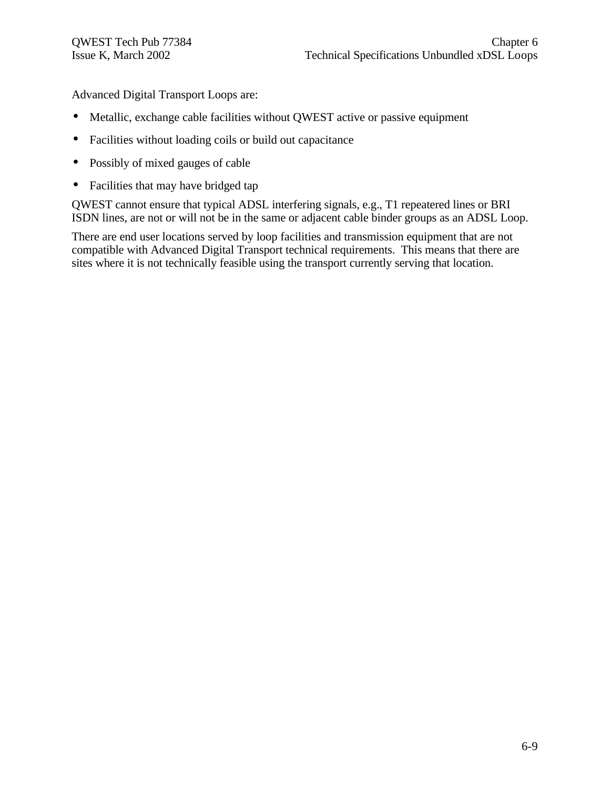Advanced Digital Transport Loops are:

- Metallic, exchange cable facilities without QWEST active or passive equipment
- Facilities without loading coils or build out capacitance
- Possibly of mixed gauges of cable
- Facilities that may have bridged tap

QWEST cannot ensure that typical ADSL interfering signals, e.g., T1 repeatered lines or BRI ISDN lines, are not or will not be in the same or adjacent cable binder groups as an ADSL Loop.

There are end user locations served by loop facilities and transmission equipment that are not compatible with Advanced Digital Transport technical requirements. This means that there are sites where it is not technically feasible using the transport currently serving that location.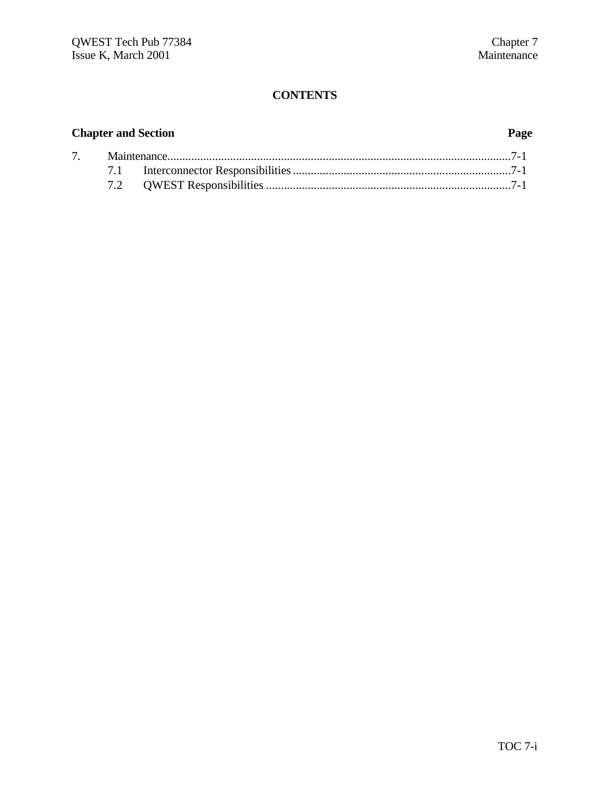# **CONTENTS**

# **Chapter and Section Page**

| 7. |  |  |  |
|----|--|--|--|
|    |  |  |  |
|    |  |  |  |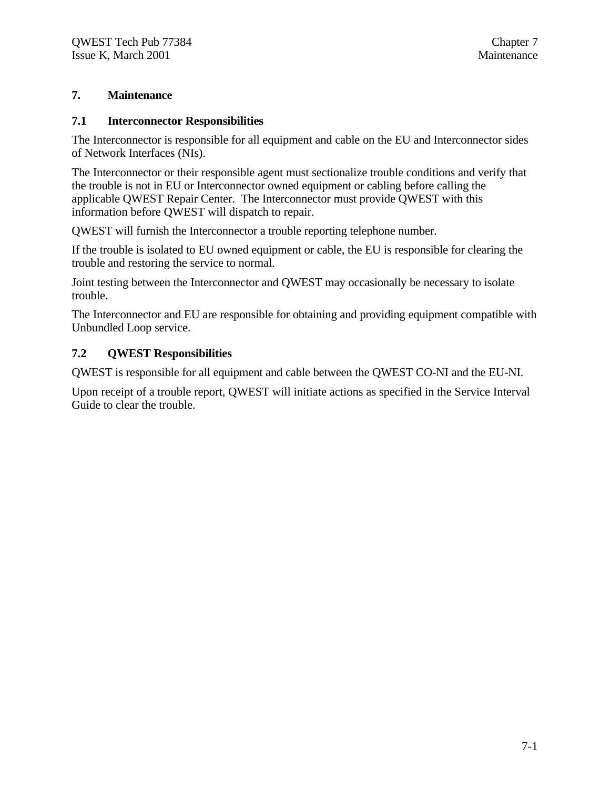# **7. Maintenance**

#### **7.1 Interconnector Responsibilities**

The Interconnector is responsible for all equipment and cable on the EU and Interconnector sides of Network Interfaces (NIs).

The Interconnector or their responsible agent must sectionalize trouble conditions and verify that the trouble is not in EU or Interconnector owned equipment or cabling before calling the applicable QWEST Repair Center. The Interconnector must provide QWEST with this information before QWEST will dispatch to repair.

QWEST will furnish the Interconnector a trouble reporting telephone number.

If the trouble is isolated to EU owned equipment or cable, the EU is responsible for clearing the trouble and restoring the service to normal.

Joint testing between the Interconnector and QWEST may occasionally be necessary to isolate trouble.

The Interconnector and EU are responsible for obtaining and providing equipment compatible with Unbundled Loop service.

#### **7.2 QWEST Responsibilities**

QWEST is responsible for all equipment and cable between the QWEST CO-NI and the EU-NI.

Upon receipt of a trouble report, QWEST will initiate actions as specified in the Service Interval Guide to clear the trouble.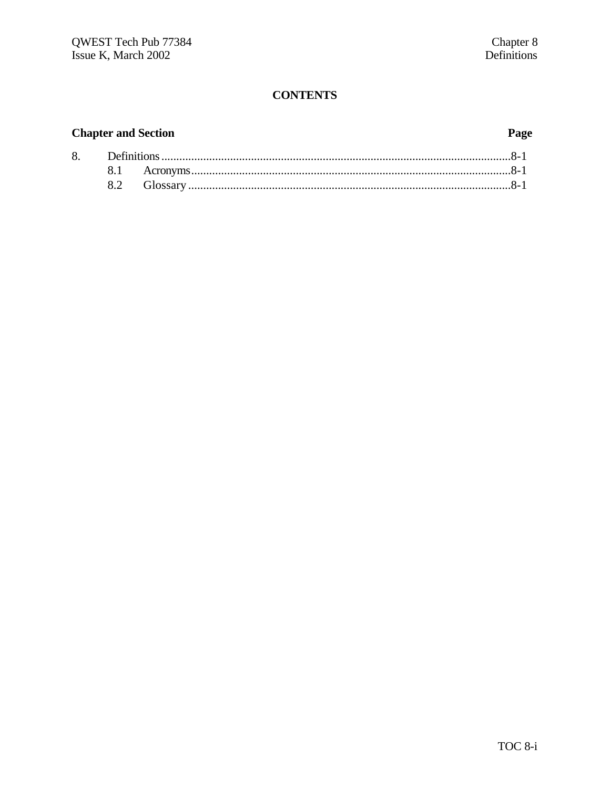# **CONTENTS**

# **Chapter and Section**

# Page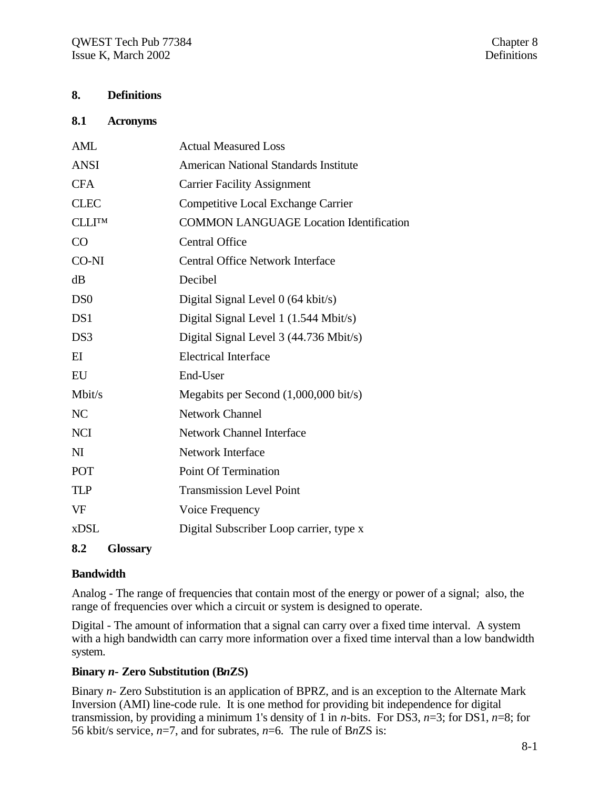# **8. Definitions**

#### **8.1 Acronyms**

| <b>AML</b>             | <b>Actual Measured Loss</b>                    |
|------------------------|------------------------------------------------|
| <b>ANSI</b>            | <b>American National Standards Institute</b>   |
| <b>CFA</b>             | <b>Carrier Facility Assignment</b>             |
| <b>CLEC</b>            | Competitive Local Exchange Carrier             |
| <b>CLLITM</b>          | <b>COMMON LANGUAGE Location Identification</b> |
| CO                     | <b>Central Office</b>                          |
| CO-NI                  | <b>Central Office Network Interface</b>        |
| dB                     | Decibel                                        |
| DS <sub>0</sub>        | Digital Signal Level $0$ (64 kbit/s)           |
| DS1                    | Digital Signal Level 1 (1.544 Mbit/s)          |
| DS <sub>3</sub>        | Digital Signal Level 3 (44.736 Mbit/s)         |
| EI                     | <b>Electrical Interface</b>                    |
| EU                     | End-User                                       |
| Mbit/s                 | Megabits per Second (1,000,000 bit/s)          |
| N <sub>C</sub>         | <b>Network Channel</b>                         |
| <b>NCI</b>             | <b>Network Channel Interface</b>               |
| N <sub>I</sub>         | <b>Network Interface</b>                       |
| POT                    | <b>Point Of Termination</b>                    |
| <b>TLP</b>             | <b>Transmission Level Point</b>                |
| VF                     | Voice Frequency                                |
| <b>xDSL</b>            | Digital Subscriber Loop carrier, type x        |
| 8.2<br><b>Glossary</b> |                                                |

# **Bandwidth**

Analog - The range of frequencies that contain most of the energy or power of a signal; also, the range of frequencies over which a circuit or system is designed to operate.

Digital - The amount of information that a signal can carry over a fixed time interval. A system with a high bandwidth can carry more information over a fixed time interval than a low bandwidth system.

#### **Binary** *n-* **Zero Substitution (B***n***ZS)**

Binary *n*- Zero Substitution is an application of BPRZ, and is an exception to the Alternate Mark Inversion (AMI) line-code rule. It is one method for providing bit independence for digital transmission, by providing a minimum 1's density of 1 in *n*-bits. For DS3, *n*=3; for DS1, *n*=8; for 56 kbit/s service, *n*=7, and for subrates, *n*=6. The rule of B*n*ZS is: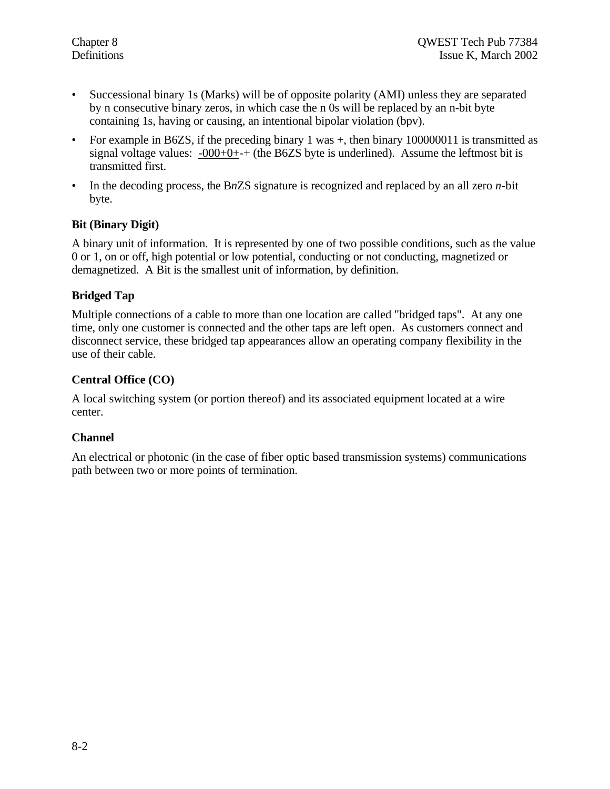- Successional binary 1s (Marks) will be of opposite polarity (AMI) unless they are separated by n consecutive binary zeros, in which case the n 0s will be replaced by an n-bit byte containing 1s, having or causing, an intentional bipolar violation (bpv).
- For example in B6ZS, if the preceding binary  $1 \text{ was } +$ , then binary  $100000011$  is transmitted as signal voltage values:  $-000+0++$  (the B6ZS byte is underlined). Assume the leftmost bit is transmitted first.
- In the decoding process, the B*n*ZS signature is recognized and replaced by an all zero *n*-bit byte.

# **Bit (Binary Digit)**

A binary unit of information. It is represented by one of two possible conditions, such as the value 0 or 1, on or off, high potential or low potential, conducting or not conducting, magnetized or demagnetized. A Bit is the smallest unit of information, by definition.

#### **Bridged Tap**

Multiple connections of a cable to more than one location are called "bridged taps". At any one time, only one customer is connected and the other taps are left open. As customers connect and disconnect service, these bridged tap appearances allow an operating company flexibility in the use of their cable.

#### **Central Office (CO)**

A local switching system (or portion thereof) and its associated equipment located at a wire center.

#### **Channel**

An electrical or photonic (in the case of fiber optic based transmission systems) communications path between two or more points of termination.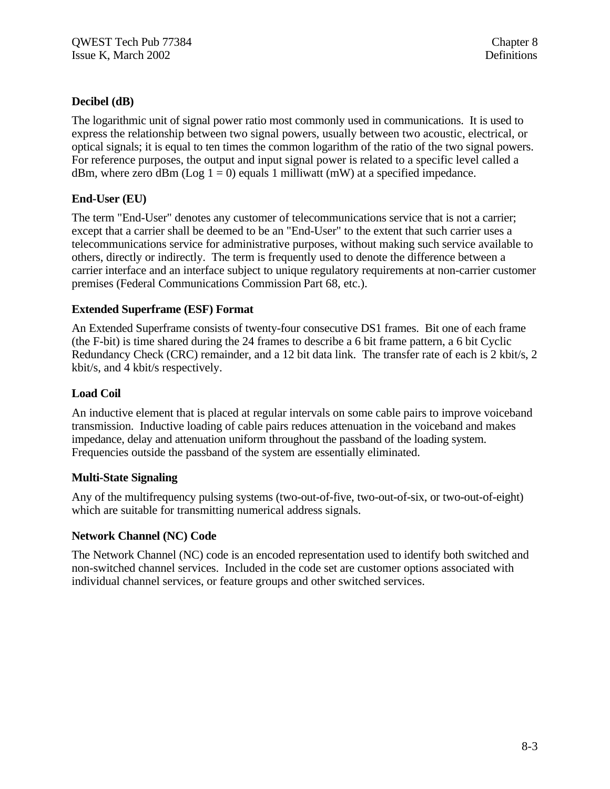# **Decibel (dB)**

The logarithmic unit of signal power ratio most commonly used in communications. It is used to express the relationship between two signal powers, usually between two acoustic, electrical, or optical signals; it is equal to ten times the common logarithm of the ratio of the two signal powers. For reference purposes, the output and input signal power is related to a specific level called a dBm, where zero dBm (Log  $1 = 0$ ) equals 1 milliwatt (mW) at a specified impedance.

# **End-User (EU)**

The term "End-User" denotes any customer of telecommunications service that is not a carrier; except that a carrier shall be deemed to be an "End-User" to the extent that such carrier uses a telecommunications service for administrative purposes, without making such service available to others, directly or indirectly. The term is frequently used to denote the difference between a carrier interface and an interface subject to unique regulatory requirements at non-carrier customer premises (Federal Communications Commission Part 68, etc.).

# **Extended Superframe (ESF) Format**

An Extended Superframe consists of twenty-four consecutive DS1 frames. Bit one of each frame (the F-bit) is time shared during the 24 frames to describe a 6 bit frame pattern, a 6 bit Cyclic Redundancy Check (CRC) remainder, and a 12 bit data link. The transfer rate of each is 2 kbit/s, 2 kbit/s, and 4 kbit/s respectively.

# **Load Coil**

An inductive element that is placed at regular intervals on some cable pairs to improve voiceband transmission. Inductive loading of cable pairs reduces attenuation in the voiceband and makes impedance, delay and attenuation uniform throughout the passband of the loading system. Frequencies outside the passband of the system are essentially eliminated.

# **Multi-State Signaling**

Any of the multifrequency pulsing systems (two-out-of-five, two-out-of-six, or two-out-of-eight) which are suitable for transmitting numerical address signals.

# **Network Channel (NC) Code**

The Network Channel (NC) code is an encoded representation used to identify both switched and non-switched channel services. Included in the code set are customer options associated with individual channel services, or feature groups and other switched services.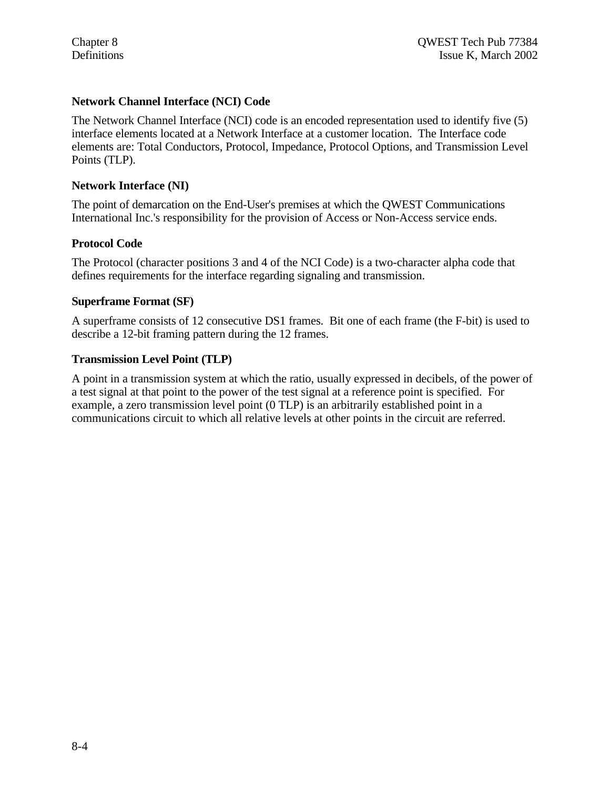#### **Network Channel Interface (NCI) Code**

The Network Channel Interface (NCI) code is an encoded representation used to identify five (5) interface elements located at a Network Interface at a customer location. The Interface code elements are: Total Conductors, Protocol, Impedance, Protocol Options, and Transmission Level Points (TLP).

#### **Network Interface (NI)**

The point of demarcation on the End-User's premises at which the QWEST Communications International Inc.'s responsibility for the provision of Access or Non-Access service ends.

#### **Protocol Code**

The Protocol (character positions 3 and 4 of the NCI Code) is a two-character alpha code that defines requirements for the interface regarding signaling and transmission.

#### **Superframe Format (SF)**

A superframe consists of 12 consecutive DS1 frames. Bit one of each frame (the F-bit) is used to describe a 12-bit framing pattern during the 12 frames.

#### **Transmission Level Point (TLP)**

A point in a transmission system at which the ratio, usually expressed in decibels, of the power of a test signal at that point to the power of the test signal at a reference point is specified. For example, a zero transmission level point (0 TLP) is an arbitrarily established point in a communications circuit to which all relative levels at other points in the circuit are referred.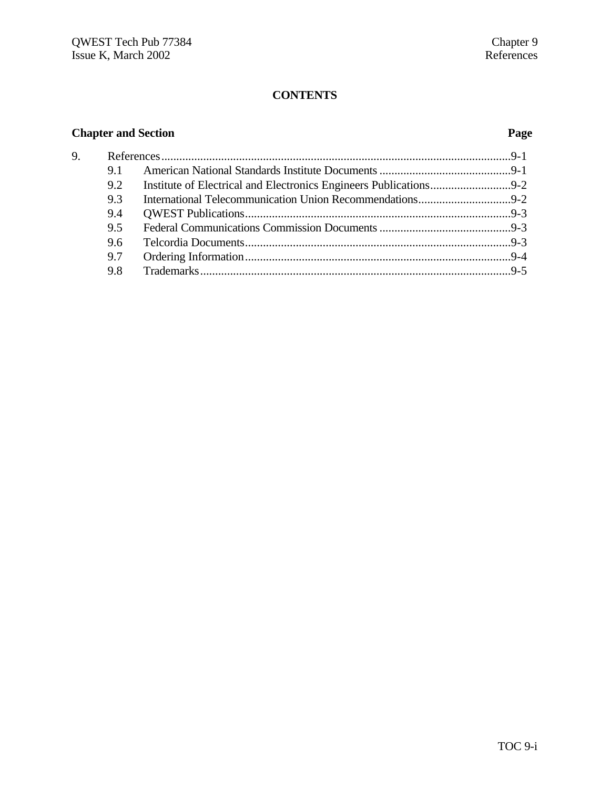# **CONTENTS**

# **Chapter and Section Page**

| 9. |     |  |  |
|----|-----|--|--|
|    | 9.1 |  |  |
|    | 9.2 |  |  |
|    | 9.3 |  |  |
|    | 9.4 |  |  |
|    | 9.5 |  |  |
|    | 9.6 |  |  |
|    | 9.7 |  |  |
|    | 9.8 |  |  |
|    |     |  |  |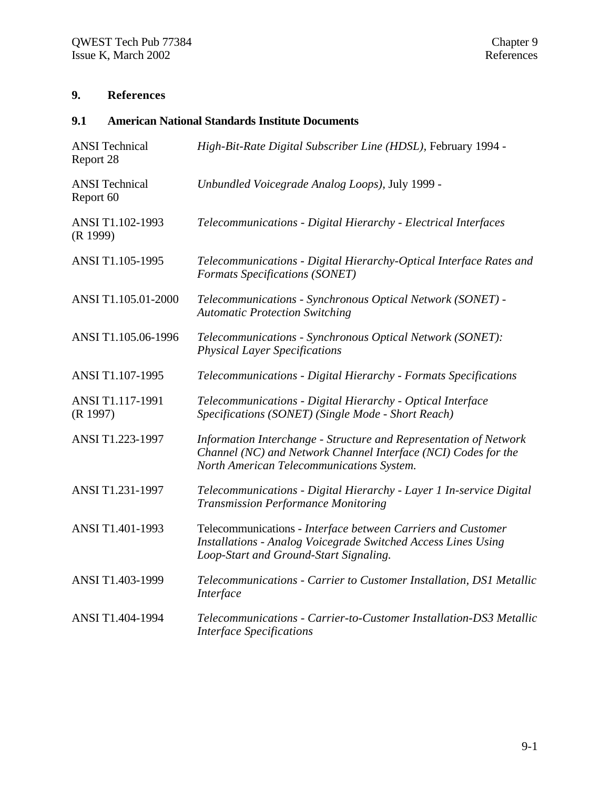# **9. References**

# **9.1 American National Standards Institute Documents**

| <b>ANSI</b> Technical<br>Report 28 | High-Bit-Rate Digital Subscriber Line (HDSL), February 1994 -                                                                                                                    |
|------------------------------------|----------------------------------------------------------------------------------------------------------------------------------------------------------------------------------|
| <b>ANSI</b> Technical<br>Report 60 | Unbundled Voicegrade Analog Loops), July 1999 -                                                                                                                                  |
| ANSI T1.102-1993<br>(R 1999)       | Telecommunications - Digital Hierarchy - Electrical Interfaces                                                                                                                   |
| ANSI T1.105-1995                   | Telecommunications - Digital Hierarchy-Optical Interface Rates and<br>Formats Specifications (SONET)                                                                             |
| ANSI T1.105.01-2000                | Telecommunications - Synchronous Optical Network (SONET) -<br><b>Automatic Protection Switching</b>                                                                              |
| ANSI T1.105.06-1996                | Telecommunications - Synchronous Optical Network (SONET):<br><b>Physical Layer Specifications</b>                                                                                |
| ANSI T1.107-1995                   | Telecommunications - Digital Hierarchy - Formats Specifications                                                                                                                  |
| ANSI T1.117-1991<br>(R 1997)       | Telecommunications - Digital Hierarchy - Optical Interface<br>Specifications (SONET) (Single Mode - Short Reach)                                                                 |
| ANSI T1.223-1997                   | Information Interchange - Structure and Representation of Network<br>Channel (NC) and Network Channel Interface (NCI) Codes for the<br>North American Telecommunications System. |
| ANSI T1.231-1997                   | Telecommunications - Digital Hierarchy - Layer 1 In-service Digital<br><b>Transmission Performance Monitoring</b>                                                                |
| ANSI T1.401-1993                   | Telecommunications - Interface between Carriers and Customer<br>Installations - Analog Voicegrade Switched Access Lines Using<br>Loop-Start and Ground-Start Signaling.          |
| ANSI T1.403-1999                   | Telecommunications - Carrier to Customer Installation, DS1 Metallic<br>Interface                                                                                                 |
| ANSI T1.404-1994                   | Telecommunications - Carrier-to-Customer Installation-DS3 Metallic<br><b>Interface Specifications</b>                                                                            |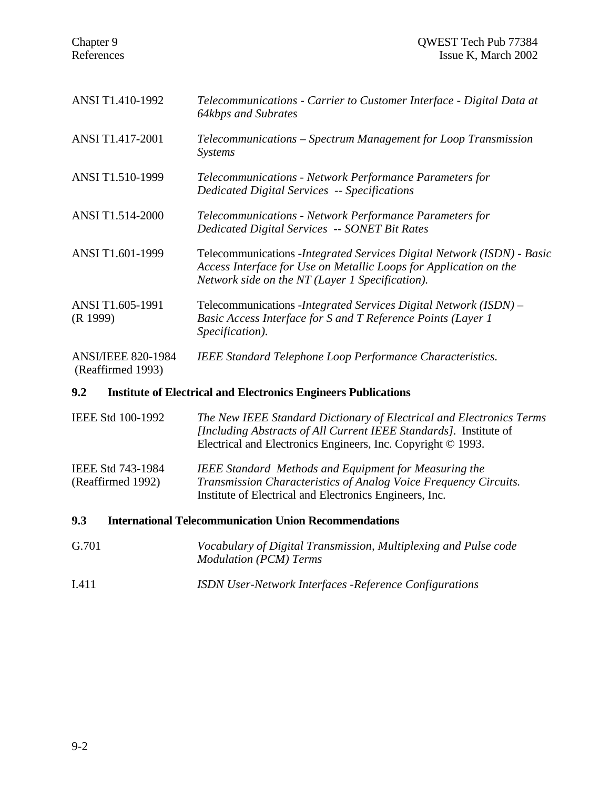| <b>ANSI T1.410-1992</b>                        | Telecommunications - Carrier to Customer Interface - Digital Data at<br>64kbps and Subrates                                                                                                     |
|------------------------------------------------|-------------------------------------------------------------------------------------------------------------------------------------------------------------------------------------------------|
| ANSI T1.417-2001                               | Telecommunications – Spectrum Management for Loop Transmission<br><i>Systems</i>                                                                                                                |
| ANSI T1.510-1999                               | Telecommunications - Network Performance Parameters for<br><b>Dedicated Digital Services -- Specifications</b>                                                                                  |
| <b>ANSI T1.514-2000</b>                        | Telecommunications - Network Performance Parameters for<br><b>Dedicated Digital Services -- SONET Bit Rates</b>                                                                                 |
| ANSI T1.601-1999                               | Telecommunications - Integrated Services Digital Network (ISDN) - Basic<br>Access Interface for Use on Metallic Loops for Application on the<br>Network side on the NT (Layer 1 Specification). |
| ANSI T1.605-1991<br>(R 1999)                   | Telecommunications - Integrated Services Digital Network (ISDN) –<br>Basic Access Interface for S and T Reference Points (Layer 1<br>Specification).                                            |
| <b>ANSI/IEEE 820-1984</b><br>(Reaffirmed 1993) | <b>IEEE Standard Telephone Loop Performance Characteristics.</b>                                                                                                                                |

#### **9.2 Institute of Electrical and Electronics Engineers Publications**

IEEE Std 100-1992 *The New IEEE Standard Dictionary of Electrical and Electronics Terms [Including Abstracts of All Current IEEE Standards].* Institute of Electrical and Electronics Engineers, Inc. Copyright © 1993.

IEEE Std 743-1984 *IEEE Standard Methods and Equipment for Measuring the* (Reaffirmed 1992) *Transmission Characteristics of Analog Voice Frequency Circuits.* Institute of Electrical and Electronics Engineers, Inc.

- **9.3 International Telecommunication Union Recommendations**
- G.701 *Vocabulary of Digital Transmission, Multiplexing and Pulse code Modulation (PCM) Terms*
- I.411 *ISDN User-Network Interfaces -Reference Configurations*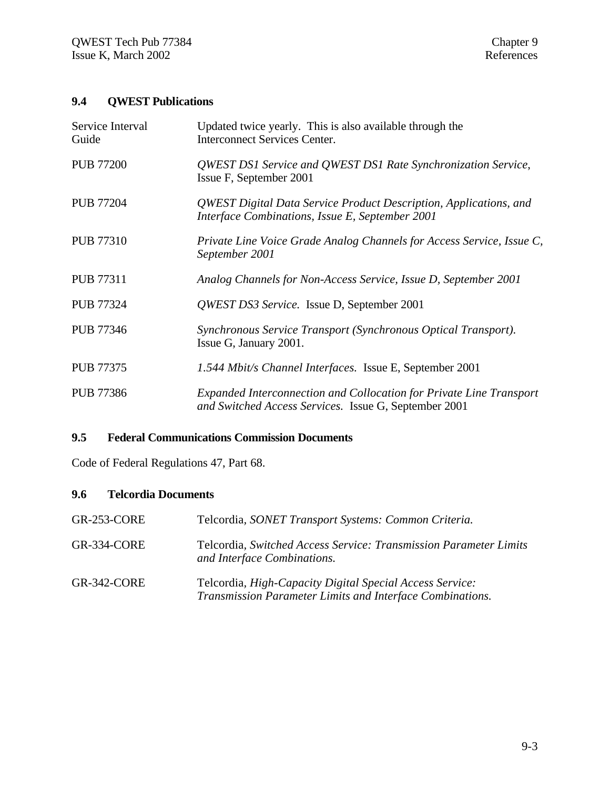# **9.4 QWEST Publications**

| Service Interval<br>Guide | Updated twice yearly. This is also available through the<br><b>Interconnect Services Center.</b>                             |
|---------------------------|------------------------------------------------------------------------------------------------------------------------------|
| <b>PUB 77200</b>          | QWEST DS1 Service and QWEST DS1 Rate Synchronization Service,<br>Issue F, September 2001                                     |
| <b>PUB 77204</b>          | QWEST Digital Data Service Product Description, Applications, and<br>Interface Combinations, Issue E, September 2001         |
| <b>PUB 77310</b>          | Private Line Voice Grade Analog Channels for Access Service, Issue C,<br>September 2001                                      |
| <b>PUB 77311</b>          | Analog Channels for Non-Access Service, Issue D, September 2001                                                              |
| <b>PUB 77324</b>          | QWEST DS3 Service. Issue D, September 2001                                                                                   |
| <b>PUB 77346</b>          | Synchronous Service Transport (Synchronous Optical Transport).<br>Issue G, January 2001.                                     |
| <b>PUB 77375</b>          | 1.544 Mbit/s Channel Interfaces. Issue E, September 2001                                                                     |
| <b>PUB 77386</b>          | Expanded Interconnection and Collocation for Private Line Transport<br>and Switched Access Services. Issue G, September 2001 |

# **9.5 Federal Communications Commission Documents**

Code of Federal Regulations 47, Part 68.

#### **9.6 Telcordia Documents**

| <b>GR-253-CORE</b> | Telcordia, SONET Transport Systems: Common Criteria.                                                                          |
|--------------------|-------------------------------------------------------------------------------------------------------------------------------|
| GR-334-CORE        | Telcordia, Switched Access Service: Transmission Parameter Limits<br>and Interface Combinations.                              |
| GR-342-CORE        | Telcordia, <i>High-Capacity Digital Special Access Service</i> :<br>Transmission Parameter Limits and Interface Combinations. |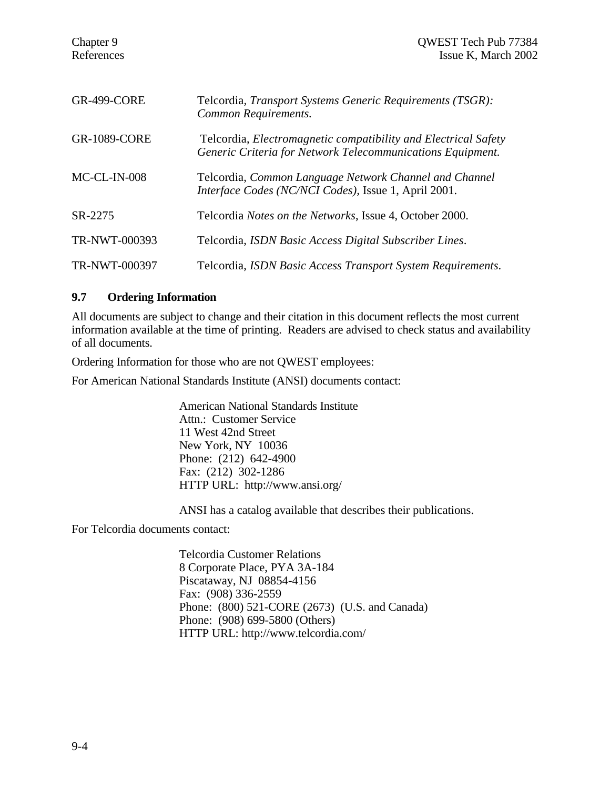| <b>GR-499-CORE</b>   | Telcordia, <i>Transport Systems Generic Requirements</i> ( <i>TSGR</i> ):<br>Common Requirements.                                   |
|----------------------|-------------------------------------------------------------------------------------------------------------------------------------|
| <b>GR-1089-CORE</b>  | Telcordia, <i>Electromagnetic compatibility and Electrical Safety</i><br>Generic Criteria for Network Telecommunications Equipment. |
| $MC-CL-IN-008$       | Telcordia, Common Language Network Channel and Channel<br>Interface Codes (NC/NCI Codes), Issue 1, April 2001.                      |
| SR-2275              | Telcordia <i>Notes on the Networks</i> , Issue 4, October 2000.                                                                     |
| TR-NWT-000393        | Telcordia, ISDN Basic Access Digital Subscriber Lines.                                                                              |
| <b>TR-NWT-000397</b> | Telcordia, ISDN Basic Access Transport System Requirements.                                                                         |

#### **9.7 Ordering Information**

All documents are subject to change and their citation in this document reflects the most current information available at the time of printing. Readers are advised to check status and availability of all documents.

Ordering Information for those who are not QWEST employees:

For American National Standards Institute (ANSI) documents contact:

American National Standards Institute Attn.: Customer Service 11 West 42nd Street New York, NY 10036 Phone: (212) 642-4900 Fax: (212) 302-1286 HTTP URL: http://www.ansi.org/

ANSI has a catalog available that describes their publications.

For Telcordia documents contact:

Telcordia Customer Relations 8 Corporate Place, PYA 3A-184 Piscataway, NJ 08854-4156 Fax: (908) 336-2559 Phone: (800) 521-CORE (2673) (U.S. and Canada) Phone: (908) 699-5800 (Others) HTTP URL: http://www.telcordia.com/